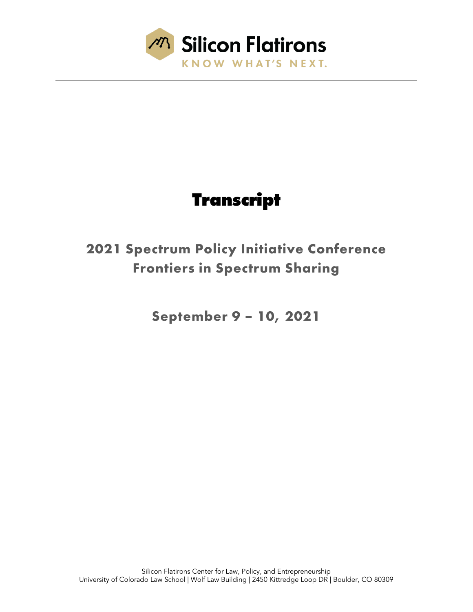

# **Transcript**

# **2021 Spectrum Policy Initiative Conference Frontiers in Spectrum Sharing**

**September 9 – 10, 2021**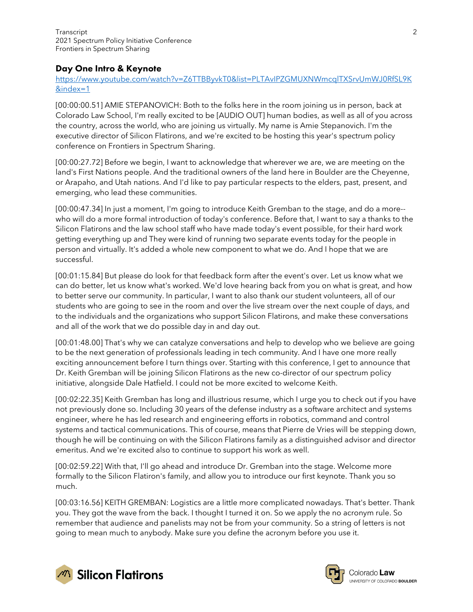# Day One Intro & Keynote

#### [https://www.youtube.com/watch?v=Z6TTBByvkT0&list=PLTAvIPZGMUXNWmcqlTXSrvUmWJ0RfSL9K](https://www.youtube.com/watch?v=Z6TTBByvkT0&list=PLTAvIPZGMUXNWmcqlTXSrvUmWJ0RfSL9K&index=1) [&index=1](https://www.youtube.com/watch?v=Z6TTBByvkT0&list=PLTAvIPZGMUXNWmcqlTXSrvUmWJ0RfSL9K&index=1)

[00:00:00.51] AMIE STEPANOVICH: Both to the folks here in the room joining us in person, back at Colorado Law School, I'm really excited to be [AUDIO OUT] human bodies, as well as all of you across the country, across the world, who are joining us virtually. My name is Amie Stepanovich. I'm the executive director of Silicon Flatirons, and we're excited to be hosting this year's spectrum policy conference on Frontiers in Spectrum Sharing.

[00:00:27.72] Before we begin, I want to acknowledge that wherever we are, we are meeting on the land's First Nations people. And the traditional owners of the land here in Boulder are the Cheyenne, or Arapaho, and Utah nations. And I'd like to pay particular respects to the elders, past, present, and emerging, who lead these communities.

[00:00:47.34] In just a moment, I'm going to introduce Keith Gremban to the stage, and do a more- who will do a more formal introduction of today's conference. Before that, I want to say a thanks to the Silicon Flatirons and the law school staff who have made today's event possible, for their hard work getting everything up and They were kind of running two separate events today for the people in person and virtually. It's added a whole new component to what we do. And I hope that we are successful.

[00:01:15.84] But please do look for that feedback form after the event's over. Let us know what we can do better, let us know what's worked. We'd love hearing back from you on what is great, and how to better serve our community. In particular, I want to also thank our student volunteers, all of our students who are going to see in the room and over the live stream over the next couple of days, and to the individuals and the organizations who support Silicon Flatirons, and make these conversations and all of the work that we do possible day in and day out.

[00:01:48.00] That's why we can catalyze conversations and help to develop who we believe are going to be the next generation of professionals leading in tech community. And I have one more really exciting announcement before I turn things over. Starting with this conference, I get to announce that Dr. Keith Gremban will be joining Silicon Flatirons as the new co-director of our spectrum policy initiative, alongside Dale Hatfield. I could not be more excited to welcome Keith.

[00:02:22.35] Keith Gremban has long and illustrious resume, which I urge you to check out if you have not previously done so. Including 30 years of the defense industry as a software architect and systems engineer, where he has led research and engineering efforts in robotics, command and control systems and tactical communications. This of course, means that Pierre de Vries will be stepping down, though he will be continuing on with the Silicon Flatirons family as a distinguished advisor and director emeritus. And we're excited also to continue to support his work as well.

[00:02:59.22] With that, I'll go ahead and introduce Dr. Gremban into the stage. Welcome more formally to the Silicon Flatiron's family, and allow you to introduce our first keynote. Thank you so much.

[00:03:16.56] KEITH GREMBAN: Logistics are a little more complicated nowadays. That's better. Thank you. They got the wave from the back. I thought I turned it on. So we apply the no acronym rule. So remember that audience and panelists may not be from your community. So a string of letters is not going to mean much to anybody. Make sure you define the acronym before you use it.



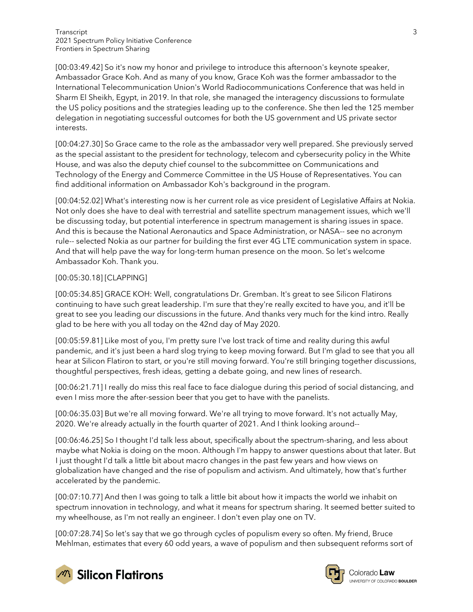[00:03:49.42] So it's now my honor and privilege to introduce this afternoon's keynote speaker, Ambassador Grace Koh. And as many of you know, Grace Koh was the former ambassador to the International Telecommunication Union's World Radiocommunications Conference that was held in Sharm El Sheikh, Egypt, in 2019. In that role, she managed the interagency discussions to formulate the US policy positions and the strategies leading up to the conference. She then led the 125 member delegation in negotiating successful outcomes for both the US government and US private sector interests.

[00:04:27.30] So Grace came to the role as the ambassador very well prepared. She previously served as the special assistant to the president for technology, telecom and cybersecurity policy in the White House, and was also the deputy chief counsel to the subcommittee on Communications and Technology of the Energy and Commerce Committee in the US House of Representatives. You can find additional information on Ambassador Koh's background in the program.

[00:04:52.02] What's interesting now is her current role as vice president of Legislative Affairs at Nokia. Not only does she have to deal with terrestrial and satellite spectrum management issues, which we'll be discussing today, but potential interference in spectrum management is sharing issues in space. And this is because the National Aeronautics and Space Administration, or NASA-- see no acronym rule-- selected Nokia as our partner for building the first ever 4G LTE communication system in space. And that will help pave the way for long-term human presence on the moon. So let's welcome Ambassador Koh. Thank you.

#### [00:05:30.18] [CLAPPING]

[00:05:34.85] GRACE KOH: Well, congratulations Dr. Gremban. It's great to see Silicon Flatirons continuing to have such great leadership. I'm sure that they're really excited to have you, and it'll be great to see you leading our discussions in the future. And thanks very much for the kind intro. Really glad to be here with you all today on the 42nd day of May 2020.

[00:05:59.81] Like most of you, I'm pretty sure I've lost track of time and reality during this awful pandemic, and it's just been a hard slog trying to keep moving forward. But I'm glad to see that you all hear at Silicon Flatiron to start, or you're still moving forward. You're still bringing together discussions, thoughtful perspectives, fresh ideas, getting a debate going, and new lines of research.

[00:06:21.71] I really do miss this real face to face dialogue during this period of social distancing, and even I miss more the after-session beer that you get to have with the panelists.

[00:06:35.03] But we're all moving forward. We're all trying to move forward. It's not actually May, 2020. We're already actually in the fourth quarter of 2021. And I think looking around--

[00:06:46.25] So I thought I'd talk less about, specifically about the spectrum-sharing, and less about maybe what Nokia is doing on the moon. Although I'm happy to answer questions about that later. But I just thought I'd talk a little bit about macro changes in the past few years and how views on globalization have changed and the rise of populism and activism. And ultimately, how that's further accelerated by the pandemic.

[00:07:10.77] And then I was going to talk a little bit about how it impacts the world we inhabit on spectrum innovation in technology, and what it means for spectrum sharing. It seemed better suited to my wheelhouse, as I'm not really an engineer. I don't even play one on TV.

[00:07:28.74] So let's say that we go through cycles of populism every so often. My friend, Bruce Mehlman, estimates that every 60 odd years, a wave of populism and then subsequent reforms sort of





Colorado Law **UNIVERSITY OF COLOBADO BOULDER**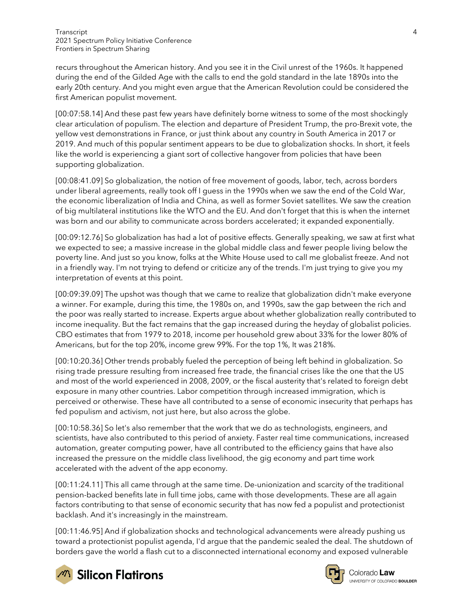recurs throughout the American history. And you see it in the Civil unrest of the 1960s. It happened during the end of the Gilded Age with the calls to end the gold standard in the late 1890s into the early 20th century. And you might even argue that the American Revolution could be considered the first American populist movement.

[00:07:58.14] And these past few years have definitely borne witness to some of the most shockingly clear articulation of populism. The election and departure of President Trump, the pro-Brexit vote, the yellow vest demonstrations in France, or just think about any country in South America in 2017 or 2019. And much of this popular sentiment appears to be due to globalization shocks. In short, it feels like the world is experiencing a giant sort of collective hangover from policies that have been supporting globalization.

[00:08:41.09] So globalization, the notion of free movement of goods, labor, tech, across borders under liberal agreements, really took off I guess in the 1990s when we saw the end of the Cold War, the economic liberalization of India and China, as well as former Soviet satellites. We saw the creation of big multilateral institutions like the WTO and the EU. And don't forget that this is when the internet was born and our ability to communicate across borders accelerated; it expanded exponentially.

[00:09:12.76] So globalization has had a lot of positive effects. Generally speaking, we saw at first what we expected to see; a massive increase in the global middle class and fewer people living below the poverty line. And just so you know, folks at the White House used to call me globalist freeze. And not in a friendly way. I'm not trying to defend or criticize any of the trends. I'm just trying to give you my interpretation of events at this point.

[00:09:39.09] The upshot was though that we came to realize that globalization didn't make everyone a winner. For example, during this time, the 1980s on, and 1990s, saw the gap between the rich and the poor was really started to increase. Experts argue about whether globalization really contributed to income inequality. But the fact remains that the gap increased during the heyday of globalist policies. CBO estimates that from 1979 to 2018, income per household grew about 33% for the lower 80% of Americans, but for the top 20%, income grew 99%. For the top 1%, It was 218%.

[00:10:20.36] Other trends probably fueled the perception of being left behind in globalization. So rising trade pressure resulting from increased free trade, the financial crises like the one that the US and most of the world experienced in 2008, 2009, or the fiscal austerity that's related to foreign debt exposure in many other countries. Labor competition through increased immigration, which is perceived or otherwise. These have all contributed to a sense of economic insecurity that perhaps has fed populism and activism, not just here, but also across the globe.

[00:10:58.36] So let's also remember that the work that we do as technologists, engineers, and scientists, have also contributed to this period of anxiety. Faster real time communications, increased automation, greater computing power, have all contributed to the efficiency gains that have also increased the pressure on the middle class livelihood, the gig economy and part time work accelerated with the advent of the app economy.

[00:11:24.11] This all came through at the same time. De-unionization and scarcity of the traditional pension-backed benefits late in full time jobs, came with those developments. These are all again factors contributing to that sense of economic security that has now fed a populist and protectionist backlash. And it's increasingly in the mainstream.

[00:11:46.95] And if globalization shocks and technological advancements were already pushing us toward a protectionist populist agenda, I'd argue that the pandemic sealed the deal. The shutdown of borders gave the world a flash cut to a disconnected international economy and exposed vulnerable



**M** Silicon Flatirons



UNIVERSITY OF COLORADO BOULDER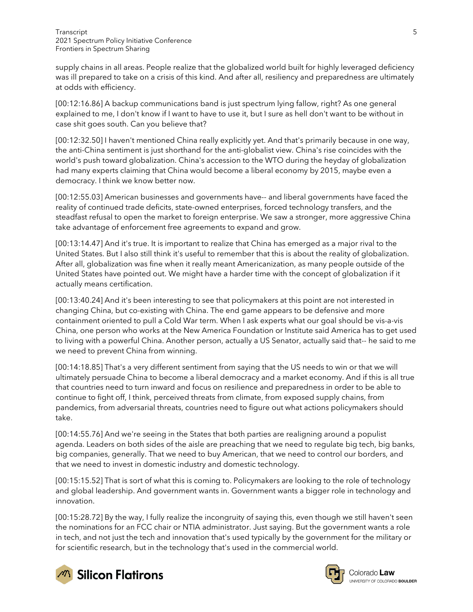supply chains in all areas. People realize that the globalized world built for highly leveraged deficiency was ill prepared to take on a crisis of this kind. And after all, resiliency and preparedness are ultimately at odds with efficiency.

[00:12:16.86] A backup communications band is just spectrum lying fallow, right? As one general explained to me, I don't know if I want to have to use it, but I sure as hell don't want to be without in case shit goes south. Can you believe that?

[00:12:32.50] I haven't mentioned China really explicitly yet. And that's primarily because in one way, the anti-China sentiment is just shorthand for the anti-globalist view. China's rise coincides with the world's push toward globalization. China's accession to the WTO during the heyday of globalization had many experts claiming that China would become a liberal economy by 2015, maybe even a democracy. I think we know better now.

[00:12:55.03] American businesses and governments have-- and liberal governments have faced the reality of continued trade deficits, state-owned enterprises, forced technology transfers, and the steadfast refusal to open the market to foreign enterprise. We saw a stronger, more aggressive China take advantage of enforcement free agreements to expand and grow.

[00:13:14.47] And it's true. It is important to realize that China has emerged as a major rival to the United States. But I also still think it's useful to remember that this is about the reality of globalization. After all, globalization was fine when it really meant Americanization, as many people outside of the United States have pointed out. We might have a harder time with the concept of globalization if it actually means certification.

[00:13:40.24] And it's been interesting to see that policymakers at this point are not interested in changing China, but co-existing with China. The end game appears to be defensive and more containment oriented to pull a Cold War term. When I ask experts what our goal should be vis-a-vis China, one person who works at the New America Foundation or Institute said America has to get used to living with a powerful China. Another person, actually a US Senator, actually said that-- he said to me we need to prevent China from winning.

[00:14:18.85] That's a very different sentiment from saying that the US needs to win or that we will ultimately persuade China to become a liberal democracy and a market economy. And if this is all true that countries need to turn inward and focus on resilience and preparedness in order to be able to continue to fight off, I think, perceived threats from climate, from exposed supply chains, from pandemics, from adversarial threats, countries need to figure out what actions policymakers should take.

[00:14:55.76] And we're seeing in the States that both parties are realigning around a populist agenda. Leaders on both sides of the aisle are preaching that we need to regulate big tech, big banks, big companies, generally. That we need to buy American, that we need to control our borders, and that we need to invest in domestic industry and domestic technology.

[00:15:15.52] That is sort of what this is coming to. Policymakers are looking to the role of technology and global leadership. And government wants in. Government wants a bigger role in technology and innovation.

[00:15:28.72] By the way, I fully realize the incongruity of saying this, even though we still haven't seen the nominations for an FCC chair or NTIA administrator. Just saying. But the government wants a role in tech, and not just the tech and innovation that's used typically by the government for the military or for scientific research, but in the technology that's used in the commercial world.



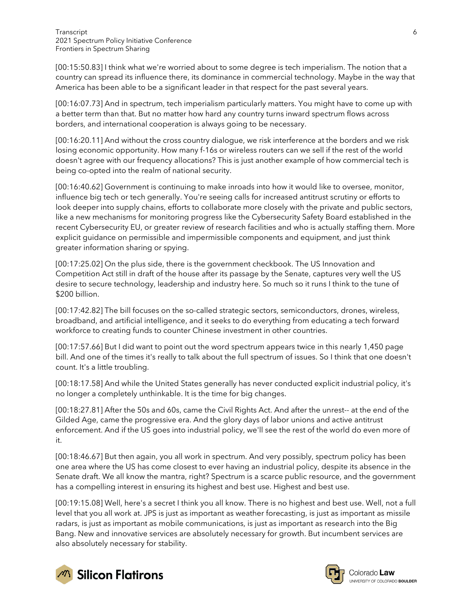[00:15:50.83] I think what we're worried about to some degree is tech imperialism. The notion that a country can spread its influence there, its dominance in commercial technology. Maybe in the way that America has been able to be a significant leader in that respect for the past several years.

[00:16:07.73] And in spectrum, tech imperialism particularly matters. You might have to come up with a better term than that. But no matter how hard any country turns inward spectrum flows across borders, and international cooperation is always going to be necessary.

[00:16:20.11] And without the cross country dialogue, we risk interference at the borders and we risk losing economic opportunity. How many f-16s or wireless routers can we sell if the rest of the world doesn't agree with our frequency allocations? This is just another example of how commercial tech is being co-opted into the realm of national security.

[00:16:40.62] Government is continuing to make inroads into how it would like to oversee, monitor, influence big tech or tech generally. You're seeing calls for increased antitrust scrutiny or efforts to look deeper into supply chains, efforts to collaborate more closely with the private and public sectors, like a new mechanisms for monitoring progress like the Cybersecurity Safety Board established in the recent Cybersecurity EU, or greater review of research facilities and who is actually staffing them. More explicit guidance on permissible and impermissible components and equipment, and just think greater information sharing or spying.

[00:17:25.02] On the plus side, there is the government checkbook. The US Innovation and Competition Act still in draft of the house after its passage by the Senate, captures very well the US desire to secure technology, leadership and industry here. So much so it runs I think to the tune of \$200 billion.

[00:17:42.82] The bill focuses on the so-called strategic sectors, semiconductors, drones, wireless, broadband, and artificial intelligence, and it seeks to do everything from educating a tech forward workforce to creating funds to counter Chinese investment in other countries.

[00:17:57.66] But I did want to point out the word spectrum appears twice in this nearly 1,450 page bill. And one of the times it's really to talk about the full spectrum of issues. So I think that one doesn't count. It's a little troubling.

[00:18:17.58] And while the United States generally has never conducted explicit industrial policy, it's no longer a completely unthinkable. It is the time for big changes.

[00:18:27.81] After the 50s and 60s, came the Civil Rights Act. And after the unrest-- at the end of the Gilded Age, came the progressive era. And the glory days of labor unions and active antitrust enforcement. And if the US goes into industrial policy, we'll see the rest of the world do even more of it.

[00:18:46.67] But then again, you all work in spectrum. And very possibly, spectrum policy has been one area where the US has come closest to ever having an industrial policy, despite its absence in the Senate draft. We all know the mantra, right? Spectrum is a scarce public resource, and the government has a compelling interest in ensuring its highest and best use. Highest and best use.

[00:19:15.08] Well, here's a secret I think you all know. There is no highest and best use. Well, not a full level that you all work at. JPS is just as important as weather forecasting, is just as important as missile radars, is just as important as mobile communications, is just as important as research into the Big Bang. New and innovative services are absolutely necessary for growth. But incumbent services are also absolutely necessary for stability.



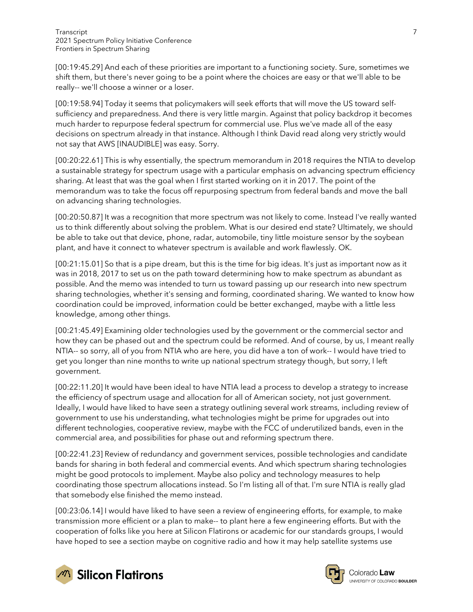[00:19:45.29] And each of these priorities are important to a functioning society. Sure, sometimes we shift them, but there's never going to be a point where the choices are easy or that we'll able to be really-- we'll choose a winner or a loser.

[00:19:58.94] Today it seems that policymakers will seek efforts that will move the US toward selfsufficiency and preparedness. And there is very little margin. Against that policy backdrop it becomes much harder to repurpose federal spectrum for commercial use. Plus we've made all of the easy decisions on spectrum already in that instance. Although I think David read along very strictly would not say that AWS [INAUDIBLE] was easy. Sorry.

[00:20:22.61] This is why essentially, the spectrum memorandum in 2018 requires the NTIA to develop a sustainable strategy for spectrum usage with a particular emphasis on advancing spectrum efficiency sharing. At least that was the goal when I first started working on it in 2017. The point of the memorandum was to take the focus off repurposing spectrum from federal bands and move the ball on advancing sharing technologies.

[00:20:50.87] It was a recognition that more spectrum was not likely to come. Instead I've really wanted us to think differently about solving the problem. What is our desired end state? Ultimately, we should be able to take out that device, phone, radar, automobile, tiny little moisture sensor by the soybean plant, and have it connect to whatever spectrum is available and work flawlessly. OK.

[00:21:15.01] So that is a pipe dream, but this is the time for big ideas. It's just as important now as it was in 2018, 2017 to set us on the path toward determining how to make spectrum as abundant as possible. And the memo was intended to turn us toward passing up our research into new spectrum sharing technologies, whether it's sensing and forming, coordinated sharing. We wanted to know how coordination could be improved, information could be better exchanged, maybe with a little less knowledge, among other things.

[00:21:45.49] Examining older technologies used by the government or the commercial sector and how they can be phased out and the spectrum could be reformed. And of course, by us, I meant really NTIA-- so sorry, all of you from NTIA who are here, you did have a ton of work-- I would have tried to get you longer than nine months to write up national spectrum strategy though, but sorry, I left government.

[00:22:11.20] It would have been ideal to have NTIA lead a process to develop a strategy to increase the efficiency of spectrum usage and allocation for all of American society, not just government. Ideally, I would have liked to have seen a strategy outlining several work streams, including review of government to use his understanding, what technologies might be prime for upgrades out into different technologies, cooperative review, maybe with the FCC of underutilized bands, even in the commercial area, and possibilities for phase out and reforming spectrum there.

[00:22:41.23] Review of redundancy and government services, possible technologies and candidate bands for sharing in both federal and commercial events. And which spectrum sharing technologies might be good protocols to implement. Maybe also policy and technology measures to help coordinating those spectrum allocations instead. So I'm listing all of that. I'm sure NTIA is really glad that somebody else finished the memo instead.

[00:23:06.14] I would have liked to have seen a review of engineering efforts, for example, to make transmission more efficient or a plan to make-- to plant here a few engineering efforts. But with the cooperation of folks like you here at Silicon Flatirons or academic for our standards groups, I would have hoped to see a section maybe on cognitive radio and how it may help satellite systems use



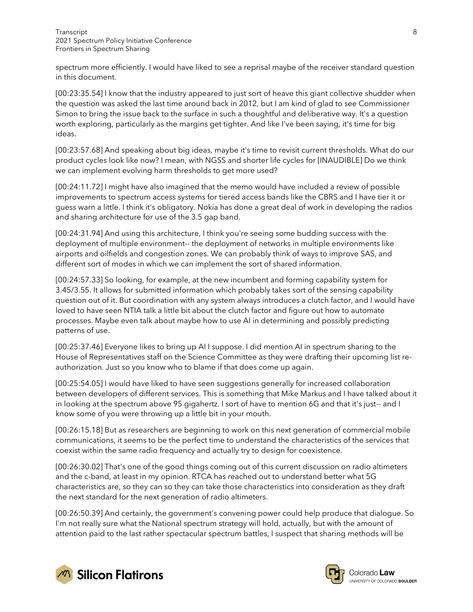spectrum more efficiently. I would have liked to see a reprisal maybe of the receiver standard question in this document.

[00:23:35.54] I know that the industry appeared to just sort of heave this giant collective shudder when the question was asked the last time around back in 2012, but I am kind of glad to see Commissioner Simon to bring the issue back to the surface in such a thoughtful and deliberative way. It's a question worth exploring, particularly as the margins get tighter. And like I've been saying, it's time for big ideas.

[00:23:57.68] And speaking about big ideas, maybe it's time to revisit current thresholds. What do our product cycles look like now? I mean, with NGSS and shorter life cycles for [INAUDIBLE] Do we think we can implement evolving harm thresholds to get more used?

[00:24:11.72] I might have also imagined that the memo would have included a review of possible improvements to spectrum access systems for tiered access bands like the CBRS and I have tier it or guess warn a little. I think it's obligatory. Nokia has done a great deal of work in developing the radios and sharing architecture for use of the 3.5 gap band.

[00:24:31.94] And using this architecture, I think you're seeing some budding success with the deployment of multiple environment-- the deployment of networks in multiple environments like airports and oilfields and congestion zones. We can probably think of ways to improve SAS, and different sort of modes in which we can implement the sort of shared information.

[00:24:57.33] So looking, for example, at the new incumbent and forming capability system for 3.45/3.55. It allows for submitted information which probably takes sort of the sensing capability question out of it. But coordination with any system always introduces a clutch factor, and I would have loved to have seen NTIA talk a little bit about the clutch factor and figure out how to automate processes. Maybe even talk about maybe how to use AI in determining and possibly predicting patterns of use.

[00:25:37.46] Everyone likes to bring up AI I suppose. I did mention AI in spectrum sharing to the House of Representatives staff on the Science Committee as they were drafting their upcoming list reauthorization. Just so you know who to blame if that does come up again.

[00:25:54.05] I would have liked to have seen suggestions generally for increased collaboration between developers of different services. This is something that Mike Markus and I have talked about it in looking at the spectrum above 95 gigahertz. I sort of have to mention 6G and that it's just-- and I know some of you were throwing up a little bit in your mouth.

[00:26:15.18] But as researchers are beginning to work on this next generation of commercial mobile communications, it seems to be the perfect time to understand the characteristics of the services that coexist within the same radio frequency and actually try to design for coexistence.

[00:26:30.02] That's one of the good things coming out of this current discussion on radio altimeters and the c-band, at least in my opinion. RTCA has reached out to understand better what 5G characteristics are, so they can so they can take those characteristics into consideration as they draft the next standard for the next generation of radio altimeters.

[00:26:50.39] And certainly, the government's convening power could help produce that dialogue. So I'm not really sure what the National spectrum strategy will hold, actually, but with the amount of attention paid to the last rather spectacular spectrum battles, I suspect that sharing methods will be



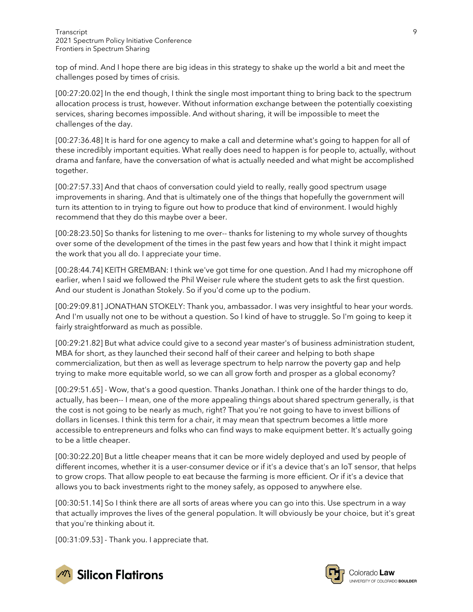top of mind. And I hope there are big ideas in this strategy to shake up the world a bit and meet the challenges posed by times of crisis.

[00:27:20.02] In the end though, I think the single most important thing to bring back to the spectrum allocation process is trust, however. Without information exchange between the potentially coexisting services, sharing becomes impossible. And without sharing, it will be impossible to meet the challenges of the day.

[00:27:36.48] It is hard for one agency to make a call and determine what's going to happen for all of these incredibly important equities. What really does need to happen is for people to, actually, without drama and fanfare, have the conversation of what is actually needed and what might be accomplished together.

[00:27:57.33] And that chaos of conversation could yield to really, really good spectrum usage improvements in sharing. And that is ultimately one of the things that hopefully the government will turn its attention to in trying to figure out how to produce that kind of environment. I would highly recommend that they do this maybe over a beer.

[00:28:23.50] So thanks for listening to me over-- thanks for listening to my whole survey of thoughts over some of the development of the times in the past few years and how that I think it might impact the work that you all do. I appreciate your time.

[00:28:44.74] KEITH GREMBAN: I think we've got time for one question. And I had my microphone off earlier, when I said we followed the Phil Weiser rule where the student gets to ask the first question. And our student is Jonathan Stokely. So if you'd come up to the podium.

[00:29:09.81] JONATHAN STOKELY: Thank you, ambassador. I was very insightful to hear your words. And I'm usually not one to be without a question. So I kind of have to struggle. So I'm going to keep it fairly straightforward as much as possible.

[00:29:21.82] But what advice could give to a second year master's of business administration student, MBA for short, as they launched their second half of their career and helping to both shape commercialization, but then as well as leverage spectrum to help narrow the poverty gap and help trying to make more equitable world, so we can all grow forth and prosper as a global economy?

[00:29:51.65] - Wow, that's a good question. Thanks Jonathan. I think one of the harder things to do, actually, has been-- I mean, one of the more appealing things about shared spectrum generally, is that the cost is not going to be nearly as much, right? That you're not going to have to invest billions of dollars in licenses. I think this term for a chair, it may mean that spectrum becomes a little more accessible to entrepreneurs and folks who can find ways to make equipment better. It's actually going to be a little cheaper.

[00:30:22.20] But a little cheaper means that it can be more widely deployed and used by people of different incomes, whether it is a user-consumer device or if it's a device that's an IoT sensor, that helps to grow crops. That allow people to eat because the farming is more efficient. Or if it's a device that allows you to back investments right to the money safely, as opposed to anywhere else.

[00:30:51.14] So I think there are all sorts of areas where you can go into this. Use spectrum in a way that actually improves the lives of the general population. It will obviously be your choice, but it's great that you're thinking about it.

[00:31:09.53] - Thank you. I appreciate that.



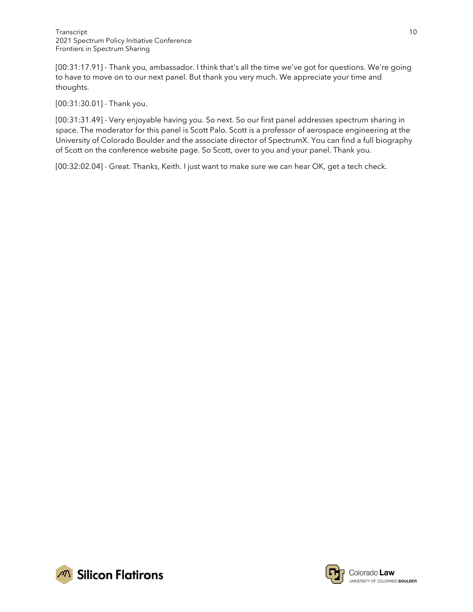[00:31:17.91] - Thank you, ambassador. I think that's all the time we've got for questions. We're going to have to move on to our next panel. But thank you very much. We appreciate your time and thoughts.

[00:31:30.01] - Thank you.

[00:31:31.49] - Very enjoyable having you. So next. So our first panel addresses spectrum sharing in space. The moderator for this panel is Scott Palo. Scott is a professor of aerospace engineering at the University of Colorado Boulder and the associate director of SpectrumX. You can find a full biography of Scott on the conference website page. So Scott, over to you and your panel. Thank you.

[00:32:02.04] - Great. Thanks, Keith. I just want to make sure we can hear OK, get a tech check.



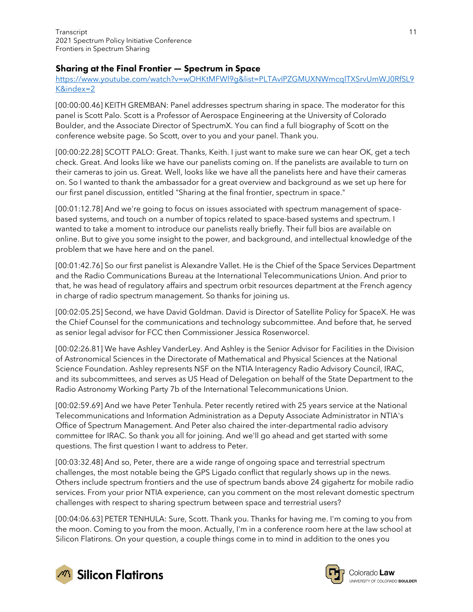## Sharing at the Final Frontier — Spectrum in Space

[https://www.youtube.com/watch?v=wOHKtMFWl9g&list=PLTAvIPZGMUXNWmcqlTXSrvUmWJ0RfSL9](https://www.youtube.com/watch?v=wOHKtMFWl9g&list=PLTAvIPZGMUXNWmcqlTXSrvUmWJ0RfSL9K&index=2) [K&index=2](https://www.youtube.com/watch?v=wOHKtMFWl9g&list=PLTAvIPZGMUXNWmcqlTXSrvUmWJ0RfSL9K&index=2)

[00:00:00.46] KEITH GREMBAN: Panel addresses spectrum sharing in space. The moderator for this panel is Scott Palo. Scott is a Professor of Aerospace Engineering at the University of Colorado Boulder, and the Associate Director of SpectrumX. You can find a full biography of Scott on the conference website page. So Scott, over to you and your panel. Thank you.

[00:00:22.28] SCOTT PALO: Great. Thanks, Keith. I just want to make sure we can hear OK, get a tech check. Great. And looks like we have our panelists coming on. If the panelists are available to turn on their cameras to join us. Great. Well, looks like we have all the panelists here and have their cameras on. So I wanted to thank the ambassador for a great overview and background as we set up here for our first panel discussion, entitled "Sharing at the final frontier, spectrum in space."

[00:01:12.78] And we're going to focus on issues associated with spectrum management of spacebased systems, and touch on a number of topics related to space-based systems and spectrum. I wanted to take a moment to introduce our panelists really briefly. Their full bios are available on online. But to give you some insight to the power, and background, and intellectual knowledge of the problem that we have here and on the panel.

[00:01:42.76] So our first panelist is Alexandre Vallet. He is the Chief of the Space Services Department and the Radio Communications Bureau at the International Telecommunications Union. And prior to that, he was head of regulatory affairs and spectrum orbit resources department at the French agency in charge of radio spectrum management. So thanks for joining us.

[00:02:05.25] Second, we have David Goldman. David is Director of Satellite Policy for SpaceX. He was the Chief Counsel for the communications and technology subcommittee. And before that, he served as senior legal advisor for FCC then Commissioner Jessica Rosenworcel.

[00:02:26.81] We have Ashley VanderLey. And Ashley is the Senior Advisor for Facilities in the Division of Astronomical Sciences in the Directorate of Mathematical and Physical Sciences at the National Science Foundation. Ashley represents NSF on the NTIA Interagency Radio Advisory Council, IRAC, and its subcommittees, and serves as US Head of Delegation on behalf of the State Department to the Radio Astronomy Working Party 7b of the International Telecommunications Union.

[00:02:59.69] And we have Peter Tenhula. Peter recently retired with 25 years service at the National Telecommunications and Information Administration as a Deputy Associate Administrator in NTIA's Office of Spectrum Management. And Peter also chaired the inter-departmental radio advisory committee for IRAC. So thank you all for joining. And we'll go ahead and get started with some questions. The first question I want to address to Peter.

[00:03:32.48] And so, Peter, there are a wide range of ongoing space and terrestrial spectrum challenges, the most notable being the GPS Ligado conflict that regularly shows up in the news. Others include spectrum frontiers and the use of spectrum bands above 24 gigahertz for mobile radio services. From your prior NTIA experience, can you comment on the most relevant domestic spectrum challenges with respect to sharing spectrum between space and terrestrial users?

[00:04:06.63] PETER TENHULA: Sure, Scott. Thank you. Thanks for having me. I'm coming to you from the moon. Coming to you from the moon. Actually, I'm in a conference room here at the law school at Silicon Flatirons. On your question, a couple things come in to mind in addition to the ones you



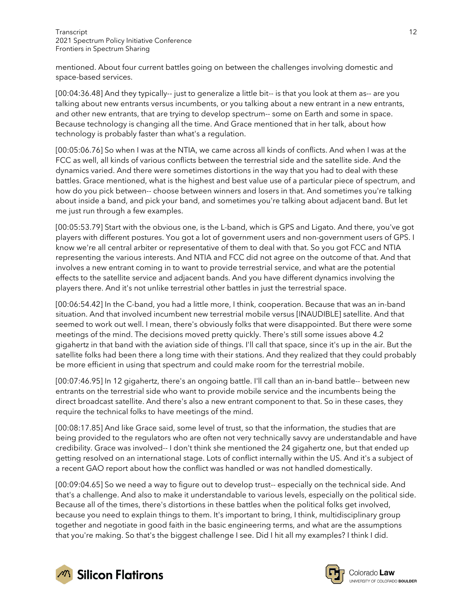mentioned. About four current battles going on between the challenges involving domestic and space-based services.

[00:04:36.48] And they typically-- just to generalize a little bit-- is that you look at them as-- are you talking about new entrants versus incumbents, or you talking about a new entrant in a new entrants, and other new entrants, that are trying to develop spectrum-- some on Earth and some in space. Because technology is changing all the time. And Grace mentioned that in her talk, about how technology is probably faster than what's a regulation.

[00:05:06.76] So when I was at the NTIA, we came across all kinds of conflicts. And when I was at the FCC as well, all kinds of various conflicts between the terrestrial side and the satellite side. And the dynamics varied. And there were sometimes distortions in the way that you had to deal with these battles. Grace mentioned, what is the highest and best value use of a particular piece of spectrum, and how do you pick between-- choose between winners and losers in that. And sometimes you're talking about inside a band, and pick your band, and sometimes you're talking about adjacent band. But let me just run through a few examples.

[00:05:53.79] Start with the obvious one, is the L-band, which is GPS and Ligato. And there, you've got players with different postures. You got a lot of government users and non-government users of GPS. I know we're all central arbiter or representative of them to deal with that. So you got FCC and NTIA representing the various interests. And NTIA and FCC did not agree on the outcome of that. And that involves a new entrant coming in to want to provide terrestrial service, and what are the potential effects to the satellite service and adjacent bands. And you have different dynamics involving the players there. And it's not unlike terrestrial other battles in just the terrestrial space.

[00:06:54.42] In the C-band, you had a little more, I think, cooperation. Because that was an in-band situation. And that involved incumbent new terrestrial mobile versus [INAUDIBLE] satellite. And that seemed to work out well. I mean, there's obviously folks that were disappointed. But there were some meetings of the mind. The decisions moved pretty quickly. There's still some issues above 4.2 gigahertz in that band with the aviation side of things. I'll call that space, since it's up in the air. But the satellite folks had been there a long time with their stations. And they realized that they could probably be more efficient in using that spectrum and could make room for the terrestrial mobile.

[00:07:46.95] In 12 gigahertz, there's an ongoing battle. I'll call than an in-band battle-- between new entrants on the terrestrial side who want to provide mobile service and the incumbents being the direct broadcast satellite. And there's also a new entrant component to that. So in these cases, they require the technical folks to have meetings of the mind.

[00:08:17.85] And like Grace said, some level of trust, so that the information, the studies that are being provided to the regulators who are often not very technically savvy are understandable and have credibility. Grace was involved-- I don't think she mentioned the 24 gigahertz one, but that ended up getting resolved on an international stage. Lots of conflict internally within the US. And it's a subject of a recent GAO report about how the conflict was handled or was not handled domestically.

[00:09:04.65] So we need a way to figure out to develop trust-- especially on the technical side. And that's a challenge. And also to make it understandable to various levels, especially on the political side. Because all of the times, there's distortions in these battles when the political folks get involved, because you need to explain things to them. It's important to bring, I think, multidisciplinary group together and negotiate in good faith in the basic engineering terms, and what are the assumptions that you're making. So that's the biggest challenge I see. Did I hit all my examples? I think I did.



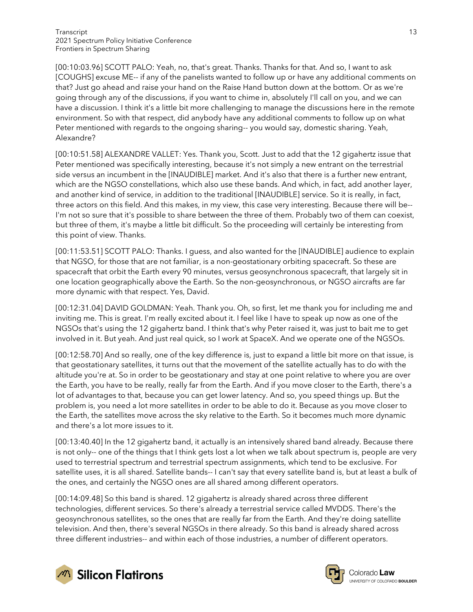[00:10:03.96] SCOTT PALO: Yeah, no, that's great. Thanks. Thanks for that. And so, I want to ask [COUGHS] excuse ME-- if any of the panelists wanted to follow up or have any additional comments on that? Just go ahead and raise your hand on the Raise Hand button down at the bottom. Or as we're going through any of the discussions, if you want to chime in, absolutely I'll call on you, and we can have a discussion. I think it's a little bit more challenging to manage the discussions here in the remote environment. So with that respect, did anybody have any additional comments to follow up on what Peter mentioned with regards to the ongoing sharing-- you would say, domestic sharing. Yeah, Alexandre?

[00:10:51.58] ALEXANDRE VALLET: Yes. Thank you, Scott. Just to add that the 12 gigahertz issue that Peter mentioned was specifically interesting, because it's not simply a new entrant on the terrestrial side versus an incumbent in the [INAUDIBLE] market. And it's also that there is a further new entrant, which are the NGSO constellations, which also use these bands. And which, in fact, add another layer, and another kind of service, in addition to the traditional [INAUDIBLE] service. So it is really, in fact, three actors on this field. And this makes, in my view, this case very interesting. Because there will be-- I'm not so sure that it's possible to share between the three of them. Probably two of them can coexist, but three of them, it's maybe a little bit difficult. So the proceeding will certainly be interesting from this point of view. Thanks.

[00:11:53.51] SCOTT PALO: Thanks. I guess, and also wanted for the [INAUDIBLE] audience to explain that NGSO, for those that are not familiar, is a non-geostationary orbiting spacecraft. So these are spacecraft that orbit the Earth every 90 minutes, versus geosynchronous spacecraft, that largely sit in one location geographically above the Earth. So the non-geosynchronous, or NGSO aircrafts are far more dynamic with that respect. Yes, David.

[00:12:31.04] DAVID GOLDMAN: Yeah. Thank you. Oh, so first, let me thank you for including me and inviting me. This is great. I'm really excited about it. I feel like I have to speak up now as one of the NGSOs that's using the 12 gigahertz band. I think that's why Peter raised it, was just to bait me to get involved in it. But yeah. And just real quick, so I work at SpaceX. And we operate one of the NGSOs.

[00:12:58.70] And so really, one of the key difference is, just to expand a little bit more on that issue, is that geostationary satellites, it turns out that the movement of the satellite actually has to do with the altitude you're at. So in order to be geostationary and stay at one point relative to where you are over the Earth, you have to be really, really far from the Earth. And if you move closer to the Earth, there's a lot of advantages to that, because you can get lower latency. And so, you speed things up. But the problem is, you need a lot more satellites in order to be able to do it. Because as you move closer to the Earth, the satellites move across the sky relative to the Earth. So it becomes much more dynamic and there's a lot more issues to it.

[00:13:40.40] In the 12 gigahertz band, it actually is an intensively shared band already. Because there is not only-- one of the things that I think gets lost a lot when we talk about spectrum is, people are very used to terrestrial spectrum and terrestrial spectrum assignments, which tend to be exclusive. For satellite uses, it is all shared. Satellite bands-- I can't say that every satellite band is, but at least a bulk of the ones, and certainly the NGSO ones are all shared among different operators.

[00:14:09.48] So this band is shared. 12 gigahertz is already shared across three different technologies, different services. So there's already a terrestrial service called MVDDS. There's the geosynchronous satellites, so the ones that are really far from the Earth. And they're doing satellite television. And then, there's several NGSOs in there already. So this band is already shared across three different industries-- and within each of those industries, a number of different operators.



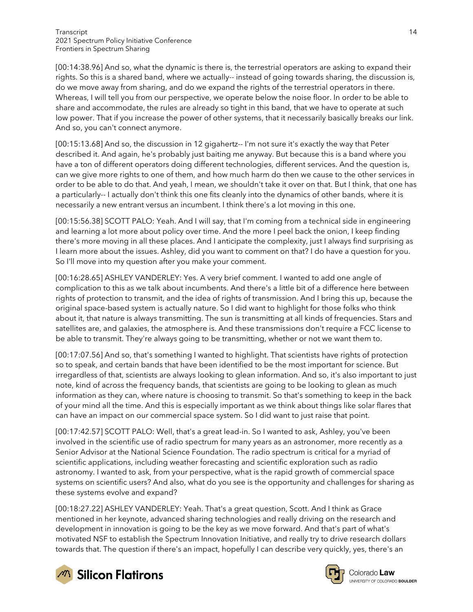[00:14:38.96] And so, what the dynamic is there is, the terrestrial operators are asking to expand their rights. So this is a shared band, where we actually-- instead of going towards sharing, the discussion is, do we move away from sharing, and do we expand the rights of the terrestrial operators in there. Whereas, I will tell you from our perspective, we operate below the noise floor. In order to be able to share and accommodate, the rules are already so tight in this band, that we have to operate at such low power. That if you increase the power of other systems, that it necessarily basically breaks our link. And so, you can't connect anymore.

[00:15:13.68] And so, the discussion in 12 gigahertz-- I'm not sure it's exactly the way that Peter described it. And again, he's probably just baiting me anyway. But because this is a band where you have a ton of different operators doing different technologies, different services. And the question is, can we give more rights to one of them, and how much harm do then we cause to the other services in order to be able to do that. And yeah, I mean, we shouldn't take it over on that. But I think, that one has a particularly-- I actually don't think this one fits cleanly into the dynamics of other bands, where it is necessarily a new entrant versus an incumbent. I think there's a lot moving in this one.

[00:15:56.38] SCOTT PALO: Yeah. And I will say, that I'm coming from a technical side in engineering and learning a lot more about policy over time. And the more I peel back the onion, I keep finding there's more moving in all these places. And I anticipate the complexity, just I always find surprising as I learn more about the issues. Ashley, did you want to comment on that? I do have a question for you. So I'll move into my question after you make your comment.

[00:16:28.65] ASHLEY VANDERLEY: Yes. A very brief comment. I wanted to add one angle of complication to this as we talk about incumbents. And there's a little bit of a difference here between rights of protection to transmit, and the idea of rights of transmission. And I bring this up, because the original space-based system is actually nature. So I did want to highlight for those folks who think about it, that nature is always transmitting. The sun is transmitting at all kinds of frequencies. Stars and satellites are, and galaxies, the atmosphere is. And these transmissions don't require a FCC license to be able to transmit. They're always going to be transmitting, whether or not we want them to.

[00:17:07.56] And so, that's something I wanted to highlight. That scientists have rights of protection so to speak, and certain bands that have been identified to be the most important for science. But irregardless of that, scientists are always looking to glean information. And so, it's also important to just note, kind of across the frequency bands, that scientists are going to be looking to glean as much information as they can, where nature is choosing to transmit. So that's something to keep in the back of your mind all the time. And this is especially important as we think about things like solar flares that can have an impact on our commercial space system. So I did want to just raise that point.

[00:17:42.57] SCOTT PALO: Well, that's a great lead-in. So I wanted to ask, Ashley, you've been involved in the scientific use of radio spectrum for many years as an astronomer, more recently as a Senior Advisor at the National Science Foundation. The radio spectrum is critical for a myriad of scientific applications, including weather forecasting and scientific exploration such as radio astronomy. I wanted to ask, from your perspective, what is the rapid growth of commercial space systems on scientific users? And also, what do you see is the opportunity and challenges for sharing as these systems evolve and expand?

[00:18:27.22] ASHLEY VANDERLEY: Yeah. That's a great question, Scott. And I think as Grace mentioned in her keynote, advanced sharing technologies and really driving on the research and development in innovation is going to be the key as we move forward. And that's part of what's motivated NSF to establish the Spectrum Innovation Initiative, and really try to drive research dollars towards that. The question if there's an impact, hopefully I can describe very quickly, yes, there's an



**M** Silicon Flatirons

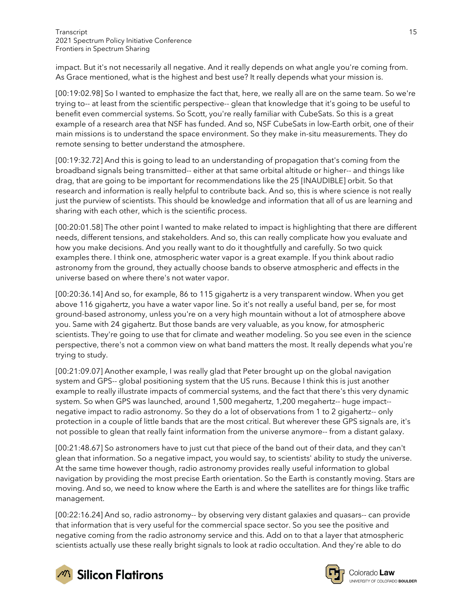impact. But it's not necessarily all negative. And it really depends on what angle you're coming from. As Grace mentioned, what is the highest and best use? It really depends what your mission is.

[00:19:02.98] So I wanted to emphasize the fact that, here, we really all are on the same team. So we're trying to-- at least from the scientific perspective-- glean that knowledge that it's going to be useful to benefit even commercial systems. So Scott, you're really familiar with CubeSats. So this is a great example of a research area that NSF has funded. And so, NSF CubeSats in low-Earth orbit, one of their main missions is to understand the space environment. So they make in-situ measurements. They do remote sensing to better understand the atmosphere.

[00:19:32.72] And this is going to lead to an understanding of propagation that's coming from the broadband signals being transmitted-- either at that same orbital altitude or higher-- and things like drag, that are going to be important for recommendations like the 25 [INAUDIBLE] orbit. So that research and information is really helpful to contribute back. And so, this is where science is not really just the purview of scientists. This should be knowledge and information that all of us are learning and sharing with each other, which is the scientific process.

[00:20:01.58] The other point I wanted to make related to impact is highlighting that there are different needs, different tensions, and stakeholders. And so, this can really complicate how you evaluate and how you make decisions. And you really want to do it thoughtfully and carefully. So two quick examples there. I think one, atmospheric water vapor is a great example. If you think about radio astronomy from the ground, they actually choose bands to observe atmospheric and effects in the universe based on where there's not water vapor.

[00:20:36.14] And so, for example, 86 to 115 gigahertz is a very transparent window. When you get above 116 gigahertz, you have a water vapor line. So it's not really a useful band, per se, for most ground-based astronomy, unless you're on a very high mountain without a lot of atmosphere above you. Same with 24 gigahertz. But those bands are very valuable, as you know, for atmospheric scientists. They're going to use that for climate and weather modeling. So you see even in the science perspective, there's not a common view on what band matters the most. It really depends what you're trying to study.

[00:21:09.07] Another example, I was really glad that Peter brought up on the global navigation system and GPS-- global positioning system that the US runs. Because I think this is just another example to really illustrate impacts of commercial systems, and the fact that there's this very dynamic system. So when GPS was launched, around 1,500 megahertz, 1,200 megahertz-- huge impact- negative impact to radio astronomy. So they do a lot of observations from 1 to 2 gigahertz-- only protection in a couple of little bands that are the most critical. But wherever these GPS signals are, it's not possible to glean that really faint information from the universe anymore-- from a distant galaxy.

[00:21:48.67] So astronomers have to just cut that piece of the band out of their data, and they can't glean that information. So a negative impact, you would say, to scientists' ability to study the universe. At the same time however though, radio astronomy provides really useful information to global navigation by providing the most precise Earth orientation. So the Earth is constantly moving. Stars are moving. And so, we need to know where the Earth is and where the satellites are for things like traffic management.

[00:22:16.24] And so, radio astronomy-- by observing very distant galaxies and quasars-- can provide that information that is very useful for the commercial space sector. So you see the positive and negative coming from the radio astronomy service and this. Add on to that a layer that atmospheric scientists actually use these really bright signals to look at radio occultation. And they're able to do



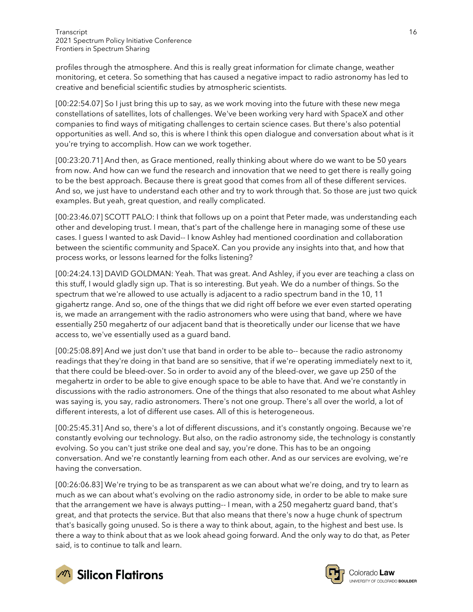profiles through the atmosphere. And this is really great information for climate change, weather monitoring, et cetera. So something that has caused a negative impact to radio astronomy has led to creative and beneficial scientific studies by atmospheric scientists.

[00:22:54.07] So I just bring this up to say, as we work moving into the future with these new mega constellations of satellites, lots of challenges. We've been working very hard with SpaceX and other companies to find ways of mitigating challenges to certain science cases. But there's also potential opportunities as well. And so, this is where I think this open dialogue and conversation about what is it you're trying to accomplish. How can we work together.

[00:23:20.71] And then, as Grace mentioned, really thinking about where do we want to be 50 years from now. And how can we fund the research and innovation that we need to get there is really going to be the best approach. Because there is great good that comes from all of these different services. And so, we just have to understand each other and try to work through that. So those are just two quick examples. But yeah, great question, and really complicated.

[00:23:46.07] SCOTT PALO: I think that follows up on a point that Peter made, was understanding each other and developing trust. I mean, that's part of the challenge here in managing some of these use cases. I guess I wanted to ask David-- I know Ashley had mentioned coordination and collaboration between the scientific community and SpaceX. Can you provide any insights into that, and how that process works, or lessons learned for the folks listening?

[00:24:24.13] DAVID GOLDMAN: Yeah. That was great. And Ashley, if you ever are teaching a class on this stuff, I would gladly sign up. That is so interesting. But yeah. We do a number of things. So the spectrum that we're allowed to use actually is adjacent to a radio spectrum band in the 10, 11 gigahertz range. And so, one of the things that we did right off before we ever even started operating is, we made an arrangement with the radio astronomers who were using that band, where we have essentially 250 megahertz of our adjacent band that is theoretically under our license that we have access to, we've essentially used as a guard band.

[00:25:08.89] And we just don't use that band in order to be able to-- because the radio astronomy readings that they're doing in that band are so sensitive, that if we're operating immediately next to it, that there could be bleed-over. So in order to avoid any of the bleed-over, we gave up 250 of the megahertz in order to be able to give enough space to be able to have that. And we're constantly in discussions with the radio astronomers. One of the things that also resonated to me about what Ashley was saying is, you say, radio astronomers. There's not one group. There's all over the world, a lot of different interests, a lot of different use cases. All of this is heterogeneous.

[00:25:45.31] And so, there's a lot of different discussions, and it's constantly ongoing. Because we're constantly evolving our technology. But also, on the radio astronomy side, the technology is constantly evolving. So you can't just strike one deal and say, you're done. This has to be an ongoing conversation. And we're constantly learning from each other. And as our services are evolving, we're having the conversation.

[00:26:06.83] We're trying to be as transparent as we can about what we're doing, and try to learn as much as we can about what's evolving on the radio astronomy side, in order to be able to make sure that the arrangement we have is always putting-- I mean, with a 250 megahertz guard band, that's great, and that protects the service. But that also means that there's now a huge chunk of spectrum that's basically going unused. So is there a way to think about, again, to the highest and best use. Is there a way to think about that as we look ahead going forward. And the only way to do that, as Peter said, is to continue to talk and learn.



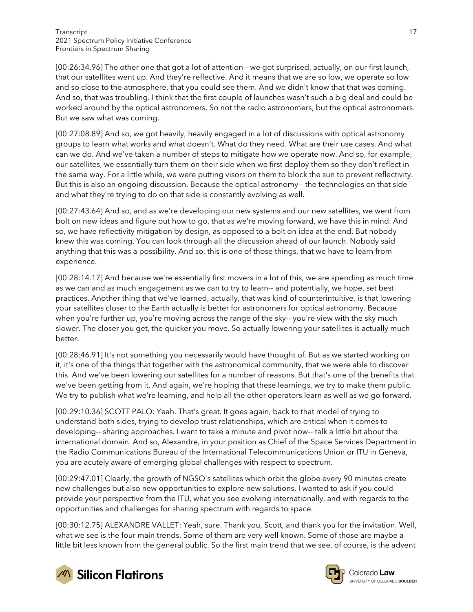[00:26:34.96] The other one that got a lot of attention-- we got surprised, actually, on our first launch, that our satellites went up. And they're reflective. And it means that we are so low, we operate so low and so close to the atmosphere, that you could see them. And we didn't know that that was coming. And so, that was troubling. I think that the first couple of launches wasn't such a big deal and could be worked around by the optical astronomers. So not the radio astronomers, but the optical astronomers. But we saw what was coming.

[00:27:08.89] And so, we got heavily, heavily engaged in a lot of discussions with optical astronomy groups to learn what works and what doesn't. What do they need. What are their use cases. And what can we do. And we've taken a number of steps to mitigate how we operate now. And so, for example, our satellites, we essentially turn them on their side when we first deploy them so they don't reflect in the same way. For a little while, we were putting visors on them to block the sun to prevent reflectivity. But this is also an ongoing discussion. Because the optical astronomy-- the technologies on that side and what they're trying to do on that side is constantly evolving as well.

[00:27:43.64] And so, and as we're developing our new systems and our new satellites, we went from bolt on new ideas and figure out how to go, that as we're moving forward, we have this in mind. And so, we have reflectivity mitigation by design, as opposed to a bolt on idea at the end. But nobody knew this was coming. You can look through all the discussion ahead of our launch. Nobody said anything that this was a possibility. And so, this is one of those things, that we have to learn from experience.

[00:28:14.17] And because we're essentially first movers in a lot of this, we are spending as much time as we can and as much engagement as we can to try to learn-- and potentially, we hope, set best practices. Another thing that we've learned, actually, that was kind of counterintuitive, is that lowering your satellites closer to the Earth actually is better for astronomers for optical astronomy. Because when you're further up, you're moving across the range of the sky-- you're view with the sky much slower. The closer you get, the quicker you move. So actually lowering your satellites is actually much better.

[00:28:46.91] It's not something you necessarily would have thought of. But as we started working on it, it's one of the things that together with the astronomical community, that we were able to discover this. And we've been lowering our satellites for a number of reasons. But that's one of the benefits that we've been getting from it. And again, we're hoping that these learnings, we try to make them public. We try to publish what we're learning, and help all the other operators learn as well as we go forward.

[00:29:10.36] SCOTT PALO: Yeah. That's great. It goes again, back to that model of trying to understand both sides, trying to develop trust relationships, which are critical when it comes to developing-- sharing approaches. I want to take a minute and pivot now-- talk a little bit about the international domain. And so, Alexandre, in your position as Chief of the Space Services Department in the Radio Communications Bureau of the International Telecommunications Union or ITU in Geneva, you are acutely aware of emerging global challenges with respect to spectrum.

[00:29:47.01] Clearly, the growth of NGSO's satellites which orbit the globe every 90 minutes create new challenges but also new opportunities to explore new solutions. I wanted to ask if you could provide your perspective from the ITU, what you see evolving internationally, and with regards to the opportunities and challenges for sharing spectrum with regards to space.

[00:30:12.75] ALEXANDRE VALLET: Yeah, sure. Thank you, Scott, and thank you for the invitation. Well, what we see is the four main trends. Some of them are very well known. Some of those are maybe a little bit less known from the general public. So the first main trend that we see, of course, is the advent





Colorado Law **UNIVERSITY OF COLOBADO BOULDER**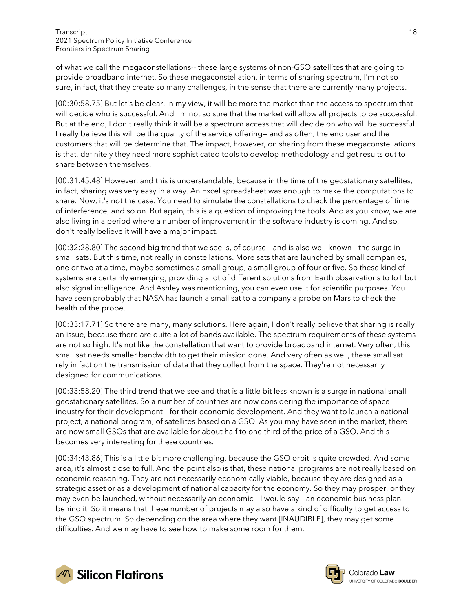of what we call the megaconstellations-- these large systems of non-GSO satellites that are going to provide broadband internet. So these megaconstellation, in terms of sharing spectrum, I'm not so sure, in fact, that they create so many challenges, in the sense that there are currently many projects.

[00:30:58.75] But let's be clear. In my view, it will be more the market than the access to spectrum that will decide who is successful. And I'm not so sure that the market will allow all projects to be successful. But at the end, I don't really think it will be a spectrum access that will decide on who will be successful. I really believe this will be the quality of the service offering-- and as often, the end user and the customers that will be determine that. The impact, however, on sharing from these megaconstellations is that, definitely they need more sophisticated tools to develop methodology and get results out to share between themselves.

[00:31:45.48] However, and this is understandable, because in the time of the geostationary satellites, in fact, sharing was very easy in a way. An Excel spreadsheet was enough to make the computations to share. Now, it's not the case. You need to simulate the constellations to check the percentage of time of interference, and so on. But again, this is a question of improving the tools. And as you know, we are also living in a period where a number of improvement in the software industry is coming. And so, I don't really believe it will have a major impact.

[00:32:28.80] The second big trend that we see is, of course-- and is also well-known-- the surge in small sats. But this time, not really in constellations. More sats that are launched by small companies, one or two at a time, maybe sometimes a small group, a small group of four or five. So these kind of systems are certainly emerging, providing a lot of different solutions from Earth observations to IoT but also signal intelligence. And Ashley was mentioning, you can even use it for scientific purposes. You have seen probably that NASA has launch a small sat to a company a probe on Mars to check the health of the probe.

[00:33:17.71] So there are many, many solutions. Here again, I don't really believe that sharing is really an issue, because there are quite a lot of bands available. The spectrum requirements of these systems are not so high. It's not like the constellation that want to provide broadband internet. Very often, this small sat needs smaller bandwidth to get their mission done. And very often as well, these small sat rely in fact on the transmission of data that they collect from the space. They're not necessarily designed for communications.

[00:33:58.20] The third trend that we see and that is a little bit less known is a surge in national small geostationary satellites. So a number of countries are now considering the importance of space industry for their development-- for their economic development. And they want to launch a national project, a national program, of satellites based on a GSO. As you may have seen in the market, there are now small GSOs that are available for about half to one third of the price of a GSO. And this becomes very interesting for these countries.

[00:34:43.86] This is a little bit more challenging, because the GSO orbit is quite crowded. And some area, it's almost close to full. And the point also is that, these national programs are not really based on economic reasoning. They are not necessarily economically viable, because they are designed as a strategic asset or as a development of national capacity for the economy. So they may prosper, or they may even be launched, without necessarily an economic-- I would say-- an economic business plan behind it. So it means that these number of projects may also have a kind of difficulty to get access to the GSO spectrum. So depending on the area where they want [INAUDIBLE], they may get some difficulties. And we may have to see how to make some room for them.



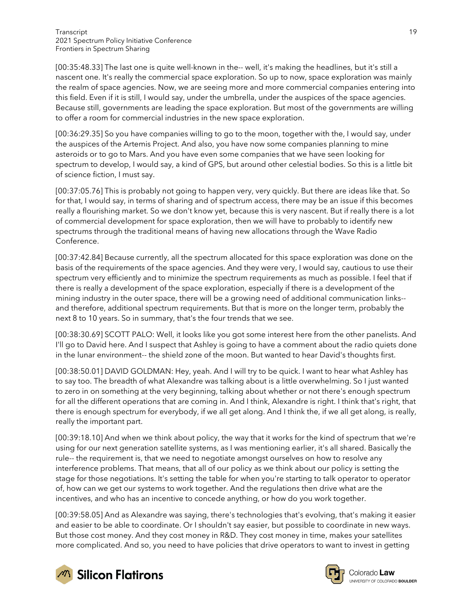[00:35:48.33] The last one is quite well-known in the-- well, it's making the headlines, but it's still a nascent one. It's really the commercial space exploration. So up to now, space exploration was mainly the realm of space agencies. Now, we are seeing more and more commercial companies entering into this field. Even if it is still, I would say, under the umbrella, under the auspices of the space agencies. Because still, governments are leading the space exploration. But most of the governments are willing to offer a room for commercial industries in the new space exploration.

[00:36:29.35] So you have companies willing to go to the moon, together with the, I would say, under the auspices of the Artemis Project. And also, you have now some companies planning to mine asteroids or to go to Mars. And you have even some companies that we have seen looking for spectrum to develop, I would say, a kind of GPS, but around other celestial bodies. So this is a little bit of science fiction, I must say.

[00:37:05.76] This is probably not going to happen very, very quickly. But there are ideas like that. So for that, I would say, in terms of sharing and of spectrum access, there may be an issue if this becomes really a flourishing market. So we don't know yet, because this is very nascent. But if really there is a lot of commercial development for space exploration, then we will have to probably to identify new spectrums through the traditional means of having new allocations through the Wave Radio Conference.

[00:37:42.84] Because currently, all the spectrum allocated for this space exploration was done on the basis of the requirements of the space agencies. And they were very, I would say, cautious to use their spectrum very efficiently and to minimize the spectrum requirements as much as possible. I feel that if there is really a development of the space exploration, especially if there is a development of the mining industry in the outer space, there will be a growing need of additional communication links- and therefore, additional spectrum requirements. But that is more on the longer term, probably the next 8 to 10 years. So in summary, that's the four trends that we see.

[00:38:30.69] SCOTT PALO: Well, it looks like you got some interest here from the other panelists. And I'll go to David here. And I suspect that Ashley is going to have a comment about the radio quiets done in the lunar environment-- the shield zone of the moon. But wanted to hear David's thoughts first.

[00:38:50.01] DAVID GOLDMAN: Hey, yeah. And I will try to be quick. I want to hear what Ashley has to say too. The breadth of what Alexandre was talking about is a little overwhelming. So I just wanted to zero in on something at the very beginning, talking about whether or not there's enough spectrum for all the different operations that are coming in. And I think, Alexandre is right. I think that's right, that there is enough spectrum for everybody, if we all get along. And I think the, if we all get along, is really, really the important part.

[00:39:18.10] And when we think about policy, the way that it works for the kind of spectrum that we're using for our next generation satellite systems, as I was mentioning earlier, it's all shared. Basically the rule-- the requirement is, that we need to negotiate amongst ourselves on how to resolve any interference problems. That means, that all of our policy as we think about our policy is setting the stage for those negotiations. It's setting the table for when you're starting to talk operator to operator of, how can we get our systems to work together. And the regulations then drive what are the incentives, and who has an incentive to concede anything, or how do you work together.

[00:39:58.05] And as Alexandre was saying, there's technologies that's evolving, that's making it easier and easier to be able to coordinate. Or I shouldn't say easier, but possible to coordinate in new ways. But those cost money. And they cost money in R&D. They cost money in time, makes your satellites more complicated. And so, you need to have policies that drive operators to want to invest in getting





Colorado Law **UNIVERSITY OF COLOBADO BOULDER**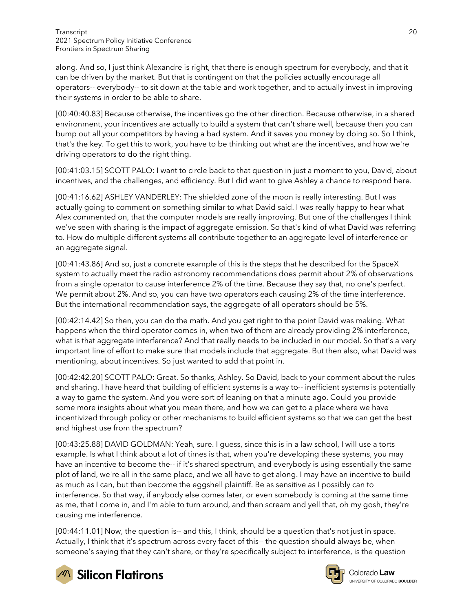along. And so, I just think Alexandre is right, that there is enough spectrum for everybody, and that it can be driven by the market. But that is contingent on that the policies actually encourage all operators-- everybody-- to sit down at the table and work together, and to actually invest in improving their systems in order to be able to share.

[00:40:40.83] Because otherwise, the incentives go the other direction. Because otherwise, in a shared environment, your incentives are actually to build a system that can't share well, because then you can bump out all your competitors by having a bad system. And it saves you money by doing so. So I think, that's the key. To get this to work, you have to be thinking out what are the incentives, and how we're driving operators to do the right thing.

[00:41:03.15] SCOTT PALO: I want to circle back to that question in just a moment to you, David, about incentives, and the challenges, and efficiency. But I did want to give Ashley a chance to respond here.

[00:41:16.62] ASHLEY VANDERLEY: The shielded zone of the moon is really interesting. But I was actually going to comment on something similar to what David said. I was really happy to hear what Alex commented on, that the computer models are really improving. But one of the challenges I think we've seen with sharing is the impact of aggregate emission. So that's kind of what David was referring to. How do multiple different systems all contribute together to an aggregate level of interference or an aggregate signal.

[00:41:43.86] And so, just a concrete example of this is the steps that he described for the SpaceX system to actually meet the radio astronomy recommendations does permit about 2% of observations from a single operator to cause interference 2% of the time. Because they say that, no one's perfect. We permit about 2%. And so, you can have two operators each causing 2% of the time interference. But the international recommendation says, the aggregate of all operators should be 5%.

[00:42:14.42] So then, you can do the math. And you get right to the point David was making. What happens when the third operator comes in, when two of them are already providing 2% interference, what is that aggregate interference? And that really needs to be included in our model. So that's a very important line of effort to make sure that models include that aggregate. But then also, what David was mentioning, about incentives. So just wanted to add that point in.

[00:42:42.20] SCOTT PALO: Great. So thanks, Ashley. So David, back to your comment about the rules and sharing. I have heard that building of efficient systems is a way to-- inefficient systems is potentially a way to game the system. And you were sort of leaning on that a minute ago. Could you provide some more insights about what you mean there, and how we can get to a place where we have incentivized through policy or other mechanisms to build efficient systems so that we can get the best and highest use from the spectrum?

[00:43:25.88] DAVID GOLDMAN: Yeah, sure. I guess, since this is in a law school, I will use a torts example. Is what I think about a lot of times is that, when you're developing these systems, you may have an incentive to become the-- if it's shared spectrum, and everybody is using essentially the same plot of land, we're all in the same place, and we all have to get along. I may have an incentive to build as much as I can, but then become the eggshell plaintiff. Be as sensitive as I possibly can to interference. So that way, if anybody else comes later, or even somebody is coming at the same time as me, that I come in, and I'm able to turn around, and then scream and yell that, oh my gosh, they're causing me interference.

[00:44:11.01] Now, the question is-- and this, I think, should be a question that's not just in space. Actually, I think that it's spectrum across every facet of this-- the question should always be, when someone's saying that they can't share, or they're specifically subject to interference, is the question





Colorado Law UNIVERSITY OF COLORADO BOULDER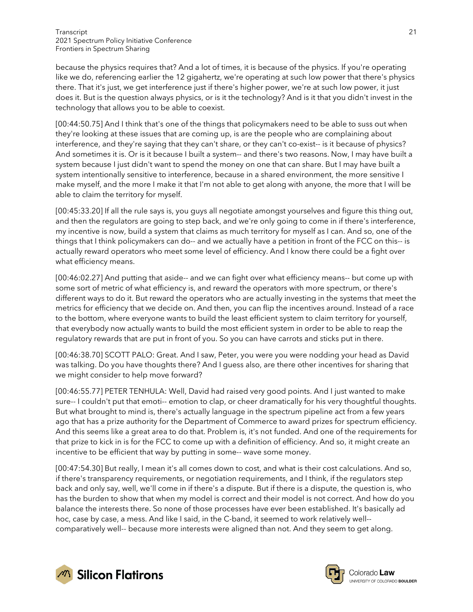because the physics requires that? And a lot of times, it is because of the physics. If you're operating like we do, referencing earlier the 12 gigahertz, we're operating at such low power that there's physics there. That it's just, we get interference just if there's higher power, we're at such low power, it just does it. But is the question always physics, or is it the technology? And is it that you didn't invest in the technology that allows you to be able to coexist.

[00:44:50.75] And I think that's one of the things that policymakers need to be able to suss out when they're looking at these issues that are coming up, is are the people who are complaining about interference, and they're saying that they can't share, or they can't co-exist-- is it because of physics? And sometimes it is. Or is it because I built a system-- and there's two reasons. Now, I may have built a system because I just didn't want to spend the money on one that can share. But I may have built a system intentionally sensitive to interference, because in a shared environment, the more sensitive I make myself, and the more I make it that I'm not able to get along with anyone, the more that I will be able to claim the territory for myself.

[00:45:33.20] If all the rule says is, you guys all negotiate amongst yourselves and figure this thing out, and then the regulators are going to step back, and we're only going to come in if there's interference, my incentive is now, build a system that claims as much territory for myself as I can. And so, one of the things that I think policymakers can do-- and we actually have a petition in front of the FCC on this-- is actually reward operators who meet some level of efficiency. And I know there could be a fight over what efficiency means.

[00:46:02.27] And putting that aside-- and we can fight over what efficiency means-- but come up with some sort of metric of what efficiency is, and reward the operators with more spectrum, or there's different ways to do it. But reward the operators who are actually investing in the systems that meet the metrics for efficiency that we decide on. And then, you can flip the incentives around. Instead of a race to the bottom, where everyone wants to build the least efficient system to claim territory for yourself, that everybody now actually wants to build the most efficient system in order to be able to reap the regulatory rewards that are put in front of you. So you can have carrots and sticks put in there.

[00:46:38.70] SCOTT PALO: Great. And I saw, Peter, you were you were nodding your head as David was talking. Do you have thoughts there? And I guess also, are there other incentives for sharing that we might consider to help move forward?

[00:46:55.77] PETER TENHULA: Well, David had raised very good points. And I just wanted to make sure-- I couldn't put that emoti-- emotion to clap, or cheer dramatically for his very thoughtful thoughts. But what brought to mind is, there's actually language in the spectrum pipeline act from a few years ago that has a prize authority for the Department of Commerce to award prizes for spectrum efficiency. And this seems like a great area to do that. Problem is, it's not funded. And one of the requirements for that prize to kick in is for the FCC to come up with a definition of efficiency. And so, it might create an incentive to be efficient that way by putting in some-- wave some money.

[00:47:54.30] But really, I mean it's all comes down to cost, and what is their cost calculations. And so, if there's transparency requirements, or negotiation requirements, and I think, if the regulators step back and only say, well, we'll come in if there's a dispute. But if there is a dispute, the question is, who has the burden to show that when my model is correct and their model is not correct. And how do you balance the interests there. So none of those processes have ever been established. It's basically ad hoc, case by case, a mess. And like I said, in the C-band, it seemed to work relatively well- comparatively well-- because more interests were aligned than not. And they seem to get along.



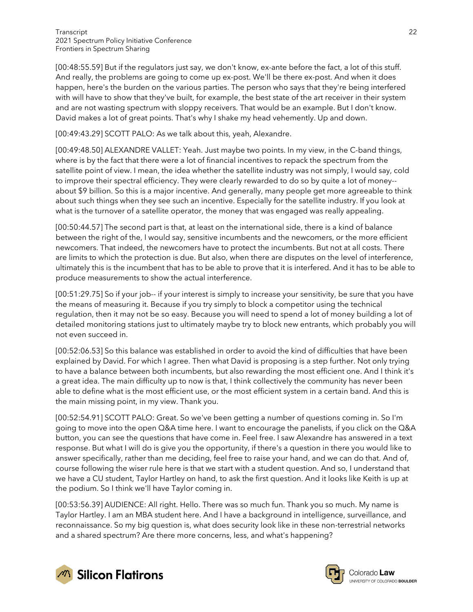[00:48:55.59] But if the regulators just say, we don't know, ex-ante before the fact, a lot of this stuff. And really, the problems are going to come up ex-post. We'll be there ex-post. And when it does happen, here's the burden on the various parties. The person who says that they're being interfered with will have to show that they've built, for example, the best state of the art receiver in their system and are not wasting spectrum with sloppy receivers. That would be an example. But I don't know. David makes a lot of great points. That's why I shake my head vehemently. Up and down.

#### [00:49:43.29] SCOTT PALO: As we talk about this, yeah, Alexandre.

[00:49:48.50] ALEXANDRE VALLET: Yeah. Just maybe two points. In my view, in the C-band things, where is by the fact that there were a lot of financial incentives to repack the spectrum from the satellite point of view. I mean, the idea whether the satellite industry was not simply, I would say, cold to improve their spectral efficiency. They were clearly rewarded to do so by quite a lot of money- about \$9 billion. So this is a major incentive. And generally, many people get more agreeable to think about such things when they see such an incentive. Especially for the satellite industry. If you look at what is the turnover of a satellite operator, the money that was engaged was really appealing.

[00:50:44.57] The second part is that, at least on the international side, there is a kind of balance between the right of the, I would say, sensitive incumbents and the newcomers, or the more efficient newcomers. That indeed, the newcomers have to protect the incumbents. But not at all costs. There are limits to which the protection is due. But also, when there are disputes on the level of interference, ultimately this is the incumbent that has to be able to prove that it is interfered. And it has to be able to produce measurements to show the actual interference.

[00:51:29.75] So if your job-- if your interest is simply to increase your sensitivity, be sure that you have the means of measuring it. Because if you try simply to block a competitor using the technical regulation, then it may not be so easy. Because you will need to spend a lot of money building a lot of detailed monitoring stations just to ultimately maybe try to block new entrants, which probably you will not even succeed in.

[00:52:06.53] So this balance was established in order to avoid the kind of difficulties that have been explained by David. For which I agree. Then what David is proposing is a step further. Not only trying to have a balance between both incumbents, but also rewarding the most efficient one. And I think it's a great idea. The main difficulty up to now is that, I think collectively the community has never been able to define what is the most efficient use, or the most efficient system in a certain band. And this is the main missing point, in my view. Thank you.

[00:52:54.91] SCOTT PALO: Great. So we've been getting a number of questions coming in. So I'm going to move into the open Q&A time here. I want to encourage the panelists, if you click on the Q&A button, you can see the questions that have come in. Feel free. I saw Alexandre has answered in a text response. But what I will do is give you the opportunity, if there's a question in there you would like to answer specifically, rather than me deciding, feel free to raise your hand, and we can do that. And of, course following the wiser rule here is that we start with a student question. And so, I understand that we have a CU student, Taylor Hartley on hand, to ask the first question. And it looks like Keith is up at the podium. So I think we'll have Taylor coming in.

[00:53:56.39] AUDIENCE: All right. Hello. There was so much fun. Thank you so much. My name is Taylor Hartley. I am an MBA student here. And I have a background in intelligence, surveillance, and reconnaissance. So my big question is, what does security look like in these non-terrestrial networks and a shared spectrum? Are there more concerns, less, and what's happening?



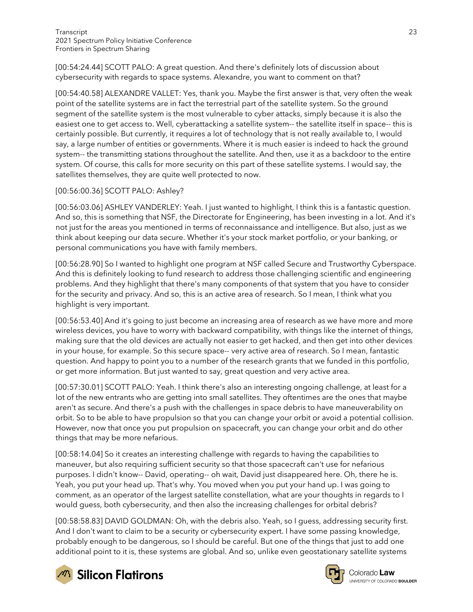[00:54:24.44] SCOTT PALO: A great question. And there's definitely lots of discussion about cybersecurity with regards to space systems. Alexandre, you want to comment on that?

[00:54:40.58] ALEXANDRE VALLET: Yes, thank you. Maybe the first answer is that, very often the weak point of the satellite systems are in fact the terrestrial part of the satellite system. So the ground segment of the satellite system is the most vulnerable to cyber attacks, simply because it is also the easiest one to get access to. Well, cyberattacking a satellite system-- the satellite itself in space-- this is certainly possible. But currently, it requires a lot of technology that is not really available to, I would say, a large number of entities or governments. Where it is much easier is indeed to hack the ground system-- the transmitting stations throughout the satellite. And then, use it as a backdoor to the entire system. Of course, this calls for more security on this part of these satellite systems. I would say, the satellites themselves, they are quite well protected to now.

### [00:56:00.36] SCOTT PALO: Ashley?

[00:56:03.06] ASHLEY VANDERLEY: Yeah. I just wanted to highlight, I think this is a fantastic question. And so, this is something that NSF, the Directorate for Engineering, has been investing in a lot. And it's not just for the areas you mentioned in terms of reconnaissance and intelligence. But also, just as we think about keeping our data secure. Whether it's your stock market portfolio, or your banking, or personal communications you have with family members.

[00:56:28.90] So I wanted to highlight one program at NSF called Secure and Trustworthy Cyberspace. And this is definitely looking to fund research to address those challenging scientific and engineering problems. And they highlight that there's many components of that system that you have to consider for the security and privacy. And so, this is an active area of research. So I mean, I think what you highlight is very important.

[00:56:53.40] And it's going to just become an increasing area of research as we have more and more wireless devices, you have to worry with backward compatibility, with things like the internet of things, making sure that the old devices are actually not easier to get hacked, and then get into other devices in your house, for example. So this secure space-- very active area of research. So I mean, fantastic question. And happy to point you to a number of the research grants that we funded in this portfolio, or get more information. But just wanted to say, great question and very active area.

[00:57:30.01] SCOTT PALO: Yeah. I think there's also an interesting ongoing challenge, at least for a lot of the new entrants who are getting into small satellites. They oftentimes are the ones that maybe aren't as secure. And there's a push with the challenges in space debris to have maneuverability on orbit. So to be able to have propulsion so that you can change your orbit or avoid a potential collision. However, now that once you put propulsion on spacecraft, you can change your orbit and do other things that may be more nefarious.

[00:58:14.04] So it creates an interesting challenge with regards to having the capabilities to maneuver, but also requiring sufficient security so that those spacecraft can't use for nefarious purposes. I didn't know-- David, operating-- oh wait, David just disappeared here. Oh, there he is. Yeah, you put your head up. That's why. You moved when you put your hand up. I was going to comment, as an operator of the largest satellite constellation, what are your thoughts in regards to I would guess, both cybersecurity, and then also the increasing challenges for orbital debris?

[00:58:58.83] DAVID GOLDMAN: Oh, with the debris also. Yeah, so I guess, addressing security first. And I don't want to claim to be a security or cybersecurity expert. I have some passing knowledge, probably enough to be dangerous, so I should be careful. But one of the things that just to add one additional point to it is, these systems are global. And so, unlike even geostationary satellite systems



**M** Silicon Flatirons



Colorado Law UNIVERSITY OF COLORADO BOULDER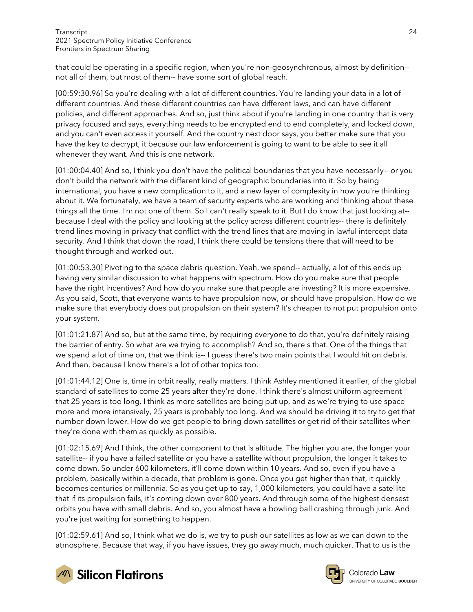that could be operating in a specific region, when you're non-geosynchronous, almost by definition- not all of them, but most of them-- have some sort of global reach.

[00:59:30.96] So you're dealing with a lot of different countries. You're landing your data in a lot of different countries. And these different countries can have different laws, and can have different policies, and different approaches. And so, just think about if you're landing in one country that is very privacy focused and says, everything needs to be encrypted end to end completely, and locked down, and you can't even access it yourself. And the country next door says, you better make sure that you have the key to decrypt, it because our law enforcement is going to want to be able to see it all whenever they want. And this is one network.

[01:00:04.40] And so, I think you don't have the political boundaries that you have necessarily-- or you don't build the network with the different kind of geographic boundaries into it. So by being international, you have a new complication to it, and a new layer of complexity in how you're thinking about it. We fortunately, we have a team of security experts who are working and thinking about these things all the time. I'm not one of them. So I can't really speak to it. But I do know that just looking at- because I deal with the policy and looking at the policy across different countries-- there is definitely trend lines moving in privacy that conflict with the trend lines that are moving in lawful intercept data security. And I think that down the road, I think there could be tensions there that will need to be thought through and worked out.

[01:00:53.30] Pivoting to the space debris question. Yeah, we spend-- actually, a lot of this ends up having very similar discussion to what happens with spectrum. How do you make sure that people have the right incentives? And how do you make sure that people are investing? It is more expensive. As you said, Scott, that everyone wants to have propulsion now, or should have propulsion. How do we make sure that everybody does put propulsion on their system? It's cheaper to not put propulsion onto your system.

[01:01:21.87] And so, but at the same time, by requiring everyone to do that, you're definitely raising the barrier of entry. So what are we trying to accomplish? And so, there's that. One of the things that we spend a lot of time on, that we think is-- I guess there's two main points that I would hit on debris. And then, because I know there's a lot of other topics too.

[01:01:44.12] One is, time in orbit really, really matters. I think Ashley mentioned it earlier, of the global standard of satellites to come 25 years after they're done. I think there's almost uniform agreement that 25 years is too long. I think as more satellites are being put up, and as we're trying to use space more and more intensively, 25 years is probably too long. And we should be driving it to try to get that number down lower. How do we get people to bring down satellites or get rid of their satellites when they're done with them as quickly as possible.

[01:02:15.69] And I think, the other component to that is altitude. The higher you are, the longer your satellite-- if you have a failed satellite or you have a satellite without propulsion, the longer it takes to come down. So under 600 kilometers, it'll come down within 10 years. And so, even if you have a problem, basically within a decade, that problem is gone. Once you get higher than that, it quickly becomes centuries or millennia. So as you get up to say, 1,000 kilometers, you could have a satellite that if its propulsion fails, it's coming down over 800 years. And through some of the highest densest orbits you have with small debris. And so, you almost have a bowling ball crashing through junk. And you're just waiting for something to happen.

[01:02:59.61] And so, I think what we do is, we try to push our satellites as low as we can down to the atmosphere. Because that way, if you have issues, they go away much, much quicker. That to us is the



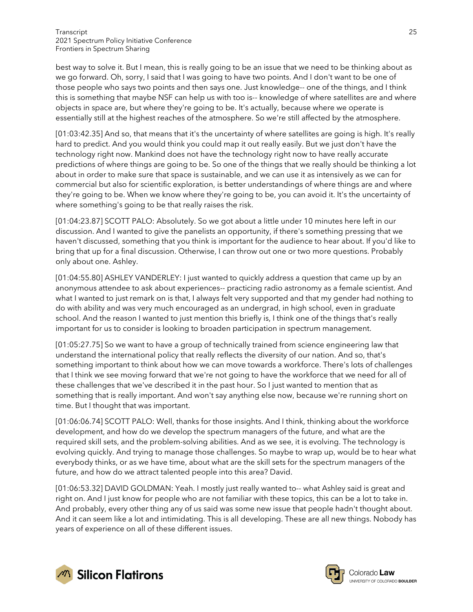best way to solve it. But I mean, this is really going to be an issue that we need to be thinking about as we go forward. Oh, sorry, I said that I was going to have two points. And I don't want to be one of those people who says two points and then says one. Just knowledge-- one of the things, and I think this is something that maybe NSF can help us with too is-- knowledge of where satellites are and where objects in space are, but where they're going to be. It's actually, because where we operate is essentially still at the highest reaches of the atmosphere. So we're still affected by the atmosphere.

[01:03:42.35] And so, that means that it's the uncertainty of where satellites are going is high. It's really hard to predict. And you would think you could map it out really easily. But we just don't have the technology right now. Mankind does not have the technology right now to have really accurate predictions of where things are going to be. So one of the things that we really should be thinking a lot about in order to make sure that space is sustainable, and we can use it as intensively as we can for commercial but also for scientific exploration, is better understandings of where things are and where they're going to be. When we know where they're going to be, you can avoid it. It's the uncertainty of where something's going to be that really raises the risk.

[01:04:23.87] SCOTT PALO: Absolutely. So we got about a little under 10 minutes here left in our discussion. And I wanted to give the panelists an opportunity, if there's something pressing that we haven't discussed, something that you think is important for the audience to hear about. If you'd like to bring that up for a final discussion. Otherwise, I can throw out one or two more questions. Probably only about one. Ashley.

[01:04:55.80] ASHLEY VANDERLEY: I just wanted to quickly address a question that came up by an anonymous attendee to ask about experiences-- practicing radio astronomy as a female scientist. And what I wanted to just remark on is that, I always felt very supported and that my gender had nothing to do with ability and was very much encouraged as an undergrad, in high school, even in graduate school. And the reason I wanted to just mention this briefly is, I think one of the things that's really important for us to consider is looking to broaden participation in spectrum management.

[01:05:27.75] So we want to have a group of technically trained from science engineering law that understand the international policy that really reflects the diversity of our nation. And so, that's something important to think about how we can move towards a workforce. There's lots of challenges that I think we see moving forward that we're not going to have the workforce that we need for all of these challenges that we've described it in the past hour. So I just wanted to mention that as something that is really important. And won't say anything else now, because we're running short on time. But I thought that was important.

[01:06:06.74] SCOTT PALO: Well, thanks for those insights. And I think, thinking about the workforce development, and how do we develop the spectrum managers of the future, and what are the required skill sets, and the problem-solving abilities. And as we see, it is evolving. The technology is evolving quickly. And trying to manage those challenges. So maybe to wrap up, would be to hear what everybody thinks, or as we have time, about what are the skill sets for the spectrum managers of the future, and how do we attract talented people into this area? David.

[01:06:53.32] DAVID GOLDMAN: Yeah. I mostly just really wanted to-- what Ashley said is great and right on. And I just know for people who are not familiar with these topics, this can be a lot to take in. And probably, every other thing any of us said was some new issue that people hadn't thought about. And it can seem like a lot and intimidating. This is all developing. These are all new things. Nobody has years of experience on all of these different issues.

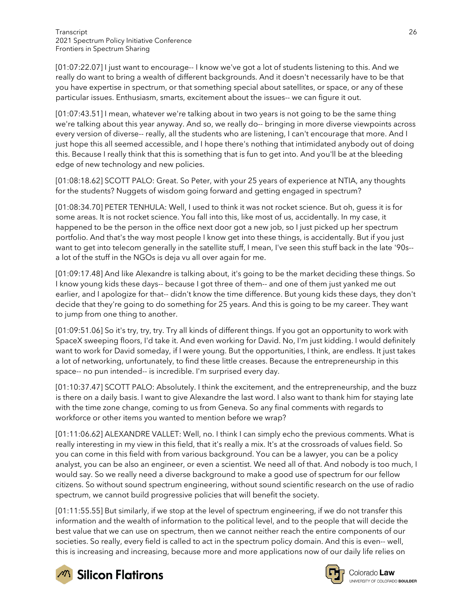[01:07:22.07] I just want to encourage-- I know we've got a lot of students listening to this. And we really do want to bring a wealth of different backgrounds. And it doesn't necessarily have to be that you have expertise in spectrum, or that something special about satellites, or space, or any of these particular issues. Enthusiasm, smarts, excitement about the issues-- we can figure it out.

[01:07:43.51] I mean, whatever we're talking about in two years is not going to be the same thing we're talking about this year anyway. And so, we really do-- bringing in more diverse viewpoints across every version of diverse-- really, all the students who are listening, I can't encourage that more. And I just hope this all seemed accessible, and I hope there's nothing that intimidated anybody out of doing this. Because I really think that this is something that is fun to get into. And you'll be at the bleeding edge of new technology and new policies.

[01:08:18.62] SCOTT PALO: Great. So Peter, with your 25 years of experience at NTIA, any thoughts for the students? Nuggets of wisdom going forward and getting engaged in spectrum?

[01:08:34.70] PETER TENHULA: Well, I used to think it was not rocket science. But oh, guess it is for some areas. It is not rocket science. You fall into this, like most of us, accidentally. In my case, it happened to be the person in the office next door got a new job, so I just picked up her spectrum portfolio. And that's the way most people I know get into these things, is accidentally. But if you just want to get into telecom generally in the satellite stuff, I mean, I've seen this stuff back in the late '90s- a lot of the stuff in the NGOs is deja vu all over again for me.

[01:09:17.48] And like Alexandre is talking about, it's going to be the market deciding these things. So I know young kids these days-- because I got three of them-- and one of them just yanked me out earlier, and I apologize for that-- didn't know the time difference. But young kids these days, they don't decide that they're going to do something for 25 years. And this is going to be my career. They want to jump from one thing to another.

[01:09:51.06] So it's try, try, try. Try all kinds of different things. If you got an opportunity to work with SpaceX sweeping floors, I'd take it. And even working for David. No, I'm just kidding. I would definitely want to work for David someday, if I were young. But the opportunities, I think, are endless. It just takes a lot of networking, unfortunately, to find these little creases. Because the entrepreneurship in this space-- no pun intended-- is incredible. I'm surprised every day.

[01:10:37.47] SCOTT PALO: Absolutely. I think the excitement, and the entrepreneurship, and the buzz is there on a daily basis. I want to give Alexandre the last word. I also want to thank him for staying late with the time zone change, coming to us from Geneva. So any final comments with regards to workforce or other items you wanted to mention before we wrap?

[01:11:06.62] ALEXANDRE VALLET: Well, no. I think I can simply echo the previous comments. What is really interesting in my view in this field, that it's really a mix. It's at the crossroads of values field. So you can come in this field with from various background. You can be a lawyer, you can be a policy analyst, you can be also an engineer, or even a scientist. We need all of that. And nobody is too much, I would say. So we really need a diverse background to make a good use of spectrum for our fellow citizens. So without sound spectrum engineering, without sound scientific research on the use of radio spectrum, we cannot build progressive policies that will benefit the society.

[01:11:55.55] But similarly, if we stop at the level of spectrum engineering, if we do not transfer this information and the wealth of information to the political level, and to the people that will decide the best value that we can use on spectrum, then we cannot neither reach the entire components of our societies. So really, every field is called to act in the spectrum policy domain. And this is even-- well, this is increasing and increasing, because more and more applications now of our daily life relies on



 $\sqrt{2}$  Silicon Flatirons

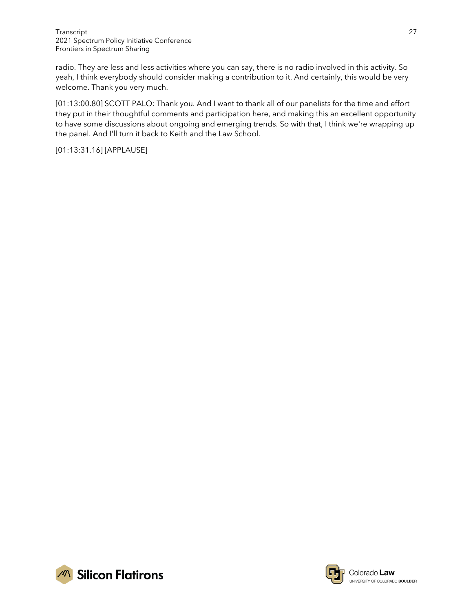radio. They are less and less activities where you can say, there is no radio involved in this activity. So yeah, I think everybody should consider making a contribution to it. And certainly, this would be very welcome. Thank you very much.

[01:13:00.80] SCOTT PALO: Thank you. And I want to thank all of our panelists for the time and effort they put in their thoughtful comments and participation here, and making this an excellent opportunity to have some discussions about ongoing and emerging trends. So with that, I think we're wrapping up the panel. And I'll turn it back to Keith and the Law School.

[01:13:31.16] [APPLAUSE]



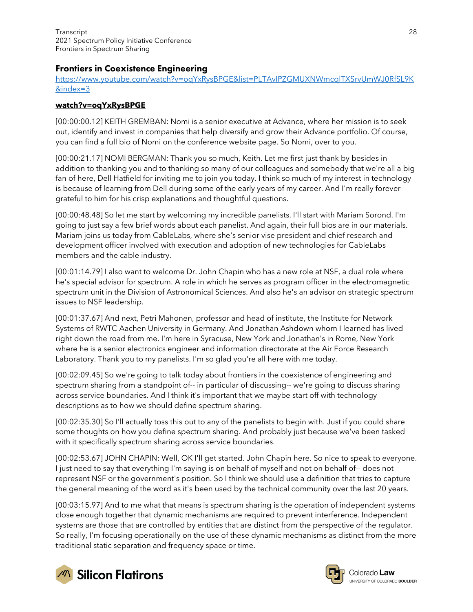# Frontiers in Coexistence Engineering

[https://www.youtube.com/watch?v=oqYxRysBPGE&list=PLTAvIPZGMUXNWmcqlTXSrvUmWJ0RfSL9K](https://www.youtube.com/watch?v=oqYxRysBPGE&list=PLTAvIPZGMUXNWmcqlTXSrvUmWJ0RfSL9K&index=3) [&index=3](https://www.youtube.com/watch?v=oqYxRysBPGE&list=PLTAvIPZGMUXNWmcqlTXSrvUmWJ0RfSL9K&index=3)

#### **watch?v=oqYxRysBPGE**

[00:00:00.12] KEITH GREMBAN: Nomi is a senior executive at Advance, where her mission is to seek out, identify and invest in companies that help diversify and grow their Advance portfolio. Of course, you can find a full bio of Nomi on the conference website page. So Nomi, over to you.

[00:00:21.17] NOMI BERGMAN: Thank you so much, Keith. Let me first just thank by besides in addition to thanking you and to thanking so many of our colleagues and somebody that we're all a big fan of here, Dell Hatfield for inviting me to join you today. I think so much of my interest in technology is because of learning from Dell during some of the early years of my career. And I'm really forever grateful to him for his crisp explanations and thoughtful questions.

[00:00:48.48] So let me start by welcoming my incredible panelists. I'll start with Mariam Sorond. I'm going to just say a few brief words about each panelist. And again, their full bios are in our materials. Mariam joins us today from CableLabs, where she's senior vise president and chief research and development officer involved with execution and adoption of new technologies for CableLabs members and the cable industry.

[00:01:14.79] I also want to welcome Dr. John Chapin who has a new role at NSF, a dual role where he's special advisor for spectrum. A role in which he serves as program officer in the electromagnetic spectrum unit in the Division of Astronomical Sciences. And also he's an advisor on strategic spectrum issues to NSF leadership.

[00:01:37.67] And next, Petri Mahonen, professor and head of institute, the Institute for Network Systems of RWTC Aachen University in Germany. And Jonathan Ashdown whom I learned has lived right down the road from me. I'm here in Syracuse, New York and Jonathan's in Rome, New York where he is a senior electronics engineer and information directorate at the Air Force Research Laboratory. Thank you to my panelists. I'm so glad you're all here with me today.

[00:02:09.45] So we're going to talk today about frontiers in the coexistence of engineering and spectrum sharing from a standpoint of-- in particular of discussing-- we're going to discuss sharing across service boundaries. And I think it's important that we maybe start off with technology descriptions as to how we should define spectrum sharing.

[00:02:35.30] So I'll actually toss this out to any of the panelists to begin with. Just if you could share some thoughts on how you define spectrum sharing. And probably just because we've been tasked with it specifically spectrum sharing across service boundaries.

[00:02:53.67] JOHN CHAPIN: Well, OK I'll get started. John Chapin here. So nice to speak to everyone. I just need to say that everything I'm saying is on behalf of myself and not on behalf of-- does not represent NSF or the government's position. So I think we should use a definition that tries to capture the general meaning of the word as it's been used by the technical community over the last 20 years.

[00:03:15.97] And to me what that means is spectrum sharing is the operation of independent systems close enough together that dynamic mechanisms are required to prevent interference. Independent systems are those that are controlled by entities that are distinct from the perspective of the regulator. So really, I'm focusing operationally on the use of these dynamic mechanisms as distinct from the more traditional static separation and frequency space or time.



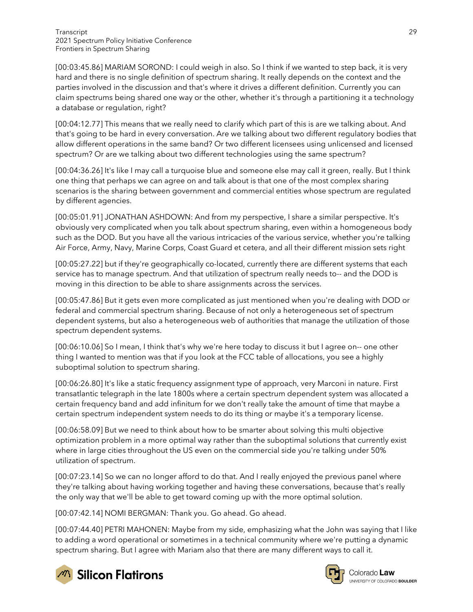[00:03:45.86] MARIAM SOROND: I could weigh in also. So I think if we wanted to step back, it is very hard and there is no single definition of spectrum sharing. It really depends on the context and the parties involved in the discussion and that's where it drives a different definition. Currently you can claim spectrums being shared one way or the other, whether it's through a partitioning it a technology a database or regulation, right?

[00:04:12.77] This means that we really need to clarify which part of this is are we talking about. And that's going to be hard in every conversation. Are we talking about two different regulatory bodies that allow different operations in the same band? Or two different licensees using unlicensed and licensed spectrum? Or are we talking about two different technologies using the same spectrum?

[00:04:36.26] It's like I may call a turquoise blue and someone else may call it green, really. But I think one thing that perhaps we can agree on and talk about is that one of the most complex sharing scenarios is the sharing between government and commercial entities whose spectrum are regulated by different agencies.

[00:05:01.91] JONATHAN ASHDOWN: And from my perspective, I share a similar perspective. It's obviously very complicated when you talk about spectrum sharing, even within a homogeneous body such as the DOD. But you have all the various intricacies of the various service, whether you're talking Air Force, Army, Navy, Marine Corps, Coast Guard et cetera, and all their different mission sets right

[00:05:27.22] but if they're geographically co-located, currently there are different systems that each service has to manage spectrum. And that utilization of spectrum really needs to-- and the DOD is moving in this direction to be able to share assignments across the services.

[00:05:47.86] But it gets even more complicated as just mentioned when you're dealing with DOD or federal and commercial spectrum sharing. Because of not only a heterogeneous set of spectrum dependent systems, but also a heterogeneous web of authorities that manage the utilization of those spectrum dependent systems.

[00:06:10.06] So I mean, I think that's why we're here today to discuss it but I agree on-- one other thing I wanted to mention was that if you look at the FCC table of allocations, you see a highly suboptimal solution to spectrum sharing.

[00:06:26.80] It's like a static frequency assignment type of approach, very Marconi in nature. First transatlantic telegraph in the late 1800s where a certain spectrum dependent system was allocated a certain frequency band and add infinitum for we don't really take the amount of time that maybe a certain spectrum independent system needs to do its thing or maybe it's a temporary license.

[00:06:58.09] But we need to think about how to be smarter about solving this multi objective optimization problem in a more optimal way rather than the suboptimal solutions that currently exist where in large cities throughout the US even on the commercial side you're talking under 50% utilization of spectrum.

[00:07:23.14] So we can no longer afford to do that. And I really enjoyed the previous panel where they're talking about having working together and having these conversations, because that's really the only way that we'll be able to get toward coming up with the more optimal solution.

[00:07:42.14] NOMI BERGMAN: Thank you. Go ahead. Go ahead.

[00:07:44.40] PETRI MAHONEN: Maybe from my side, emphasizing what the John was saying that I like to adding a word operational or sometimes in a technical community where we're putting a dynamic spectrum sharing. But I agree with Mariam also that there are many different ways to call it.



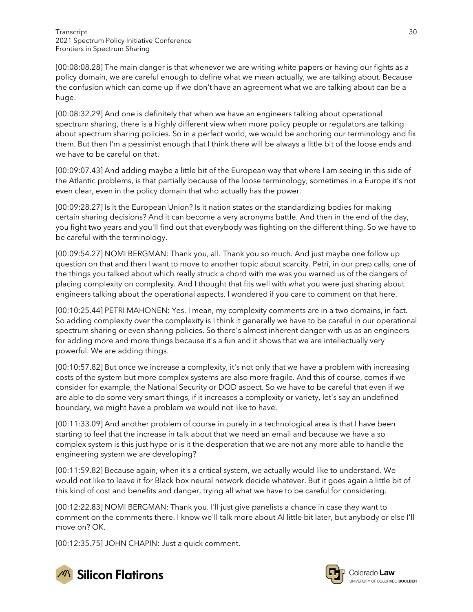[00:08:08.28] The main danger is that whenever we are writing white papers or having our fights as a policy domain, we are careful enough to define what we mean actually, we are talking about. Because the confusion which can come up if we don't have an agreement what we are talking about can be a huge.

[00:08:32.29] And one is definitely that when we have an engineers talking about operational spectrum sharing, there is a highly different view when more policy people or regulators are talking about spectrum sharing policies. So in a perfect world, we would be anchoring our terminology and fix them. But then I'm a pessimist enough that I think there will be always a little bit of the loose ends and we have to be careful on that.

[00:09:07.43] And adding maybe a little bit of the European way that where I am seeing in this side of the Atlantic problems, is that partially because of the loose terminology, sometimes in a Europe it's not even clear, even in the policy domain that who actually has the power.

[00:09:28.27] Is it the European Union? Is it nation states or the standardizing bodies for making certain sharing decisions? And it can become a very acronyms battle. And then in the end of the day, you fight two years and you'll find out that everybody was fighting on the different thing. So we have to be careful with the terminology.

[00:09:54.27] NOMI BERGMAN: Thank you, all. Thank you so much. And just maybe one follow up question on that and then I want to move to another topic about scarcity. Petri, in our prep calls, one of the things you talked about which really struck a chord with me was you warned us of the dangers of placing complexity on complexity. And I thought that fits well with what you were just sharing about engineers talking about the operational aspects. I wondered if you care to comment on that here.

[00:10:25.44] PETRI MAHONEN: Yes. I mean, my complexity comments are in a two domains, in fact. So adding complexity over the complexity is I think it generally we have to be careful in our operational spectrum sharing or even sharing policies. So there's almost inherent danger with us as an engineers for adding more and more things because it's a fun and it shows that we are intellectually very powerful. We are adding things.

[00:10:57.82] But once we increase a complexity, it's not only that we have a problem with increasing costs of the system but more complex systems are also more fragile. And this of course, comes if we consider for example, the National Security or DOD aspect. So we have to be careful that even if we are able to do some very smart things, if it increases a complexity or variety, let's say an undefined boundary, we might have a problem we would not like to have.

[00:11:33.09] And another problem of course in purely in a technological area is that I have been starting to feel that the increase in talk about that we need an email and because we have a so complex system is this just hype or is it the desperation that we are not any more able to handle the engineering system we are developing?

[00:11:59.82] Because again, when it's a critical system, we actually would like to understand. We would not like to leave it for Black box neural network decide whatever. But it goes again a little bit of this kind of cost and benefits and danger, trying all what we have to be careful for considering.

[00:12:22.83] NOMI BERGMAN: Thank you. I'll just give panelists a chance in case they want to comment on the comments there. I know we'll talk more about AI little bit later, but anybody or else I'll move on? OK.

[00:12:35.75] JOHN CHAPIN: Just a quick comment.





Colorado **Law** UNIVERSITY OF COLORADO BOULDER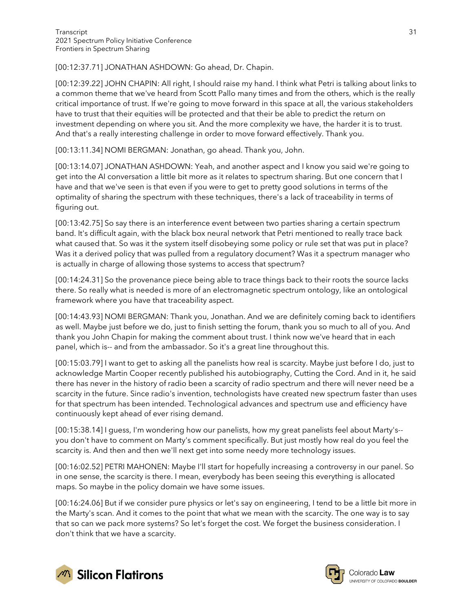[00:12:37.71] JONATHAN ASHDOWN: Go ahead, Dr. Chapin.

[00:12:39.22] JOHN CHAPIN: All right, I should raise my hand. I think what Petri is talking about links to a common theme that we've heard from Scott Pallo many times and from the others, which is the really critical importance of trust. If we're going to move forward in this space at all, the various stakeholders have to trust that their equities will be protected and that their be able to predict the return on investment depending on where you sit. And the more complexity we have, the harder it is to trust. And that's a really interesting challenge in order to move forward effectively. Thank you.

[00:13:11.34] NOMI BERGMAN: Jonathan, go ahead. Thank you, John.

[00:13:14.07] JONATHAN ASHDOWN: Yeah, and another aspect and I know you said we're going to get into the AI conversation a little bit more as it relates to spectrum sharing. But one concern that I have and that we've seen is that even if you were to get to pretty good solutions in terms of the optimality of sharing the spectrum with these techniques, there's a lack of traceability in terms of figuring out.

[00:13:42.75] So say there is an interference event between two parties sharing a certain spectrum band. It's difficult again, with the black box neural network that Petri mentioned to really trace back what caused that. So was it the system itself disobeying some policy or rule set that was put in place? Was it a derived policy that was pulled from a regulatory document? Was it a spectrum manager who is actually in charge of allowing those systems to access that spectrum?

[00:14:24.31] So the provenance piece being able to trace things back to their roots the source lacks there. So really what is needed is more of an electromagnetic spectrum ontology, like an ontological framework where you have that traceability aspect.

[00:14:43.93] NOMI BERGMAN: Thank you, Jonathan. And we are definitely coming back to identifiers as well. Maybe just before we do, just to finish setting the forum, thank you so much to all of you. And thank you John Chapin for making the comment about trust. I think now we've heard that in each panel, which is-- and from the ambassador. So it's a great line throughout this.

[00:15:03.79] I want to get to asking all the panelists how real is scarcity. Maybe just before I do, just to acknowledge Martin Cooper recently published his autobiography, Cutting the Cord. And in it, he said there has never in the history of radio been a scarcity of radio spectrum and there will never need be a scarcity in the future. Since radio's invention, technologists have created new spectrum faster than uses for that spectrum has been intended. Technological advances and spectrum use and efficiency have continuously kept ahead of ever rising demand.

[00:15:38.14] I guess, I'm wondering how our panelists, how my great panelists feel about Marty's- you don't have to comment on Marty's comment specifically. But just mostly how real do you feel the scarcity is. And then and then we'll next get into some needy more technology issues.

[00:16:02.52] PETRI MAHONEN: Maybe I'll start for hopefully increasing a controversy in our panel. So in one sense, the scarcity is there. I mean, everybody has been seeing this everything is allocated maps. So maybe in the policy domain we have some issues.

[00:16:24.06] But if we consider pure physics or let's say on engineering, I tend to be a little bit more in the Marty's scan. And it comes to the point that what we mean with the scarcity. The one way is to say that so can we pack more systems? So let's forget the cost. We forget the business consideration. I don't think that we have a scarcity.



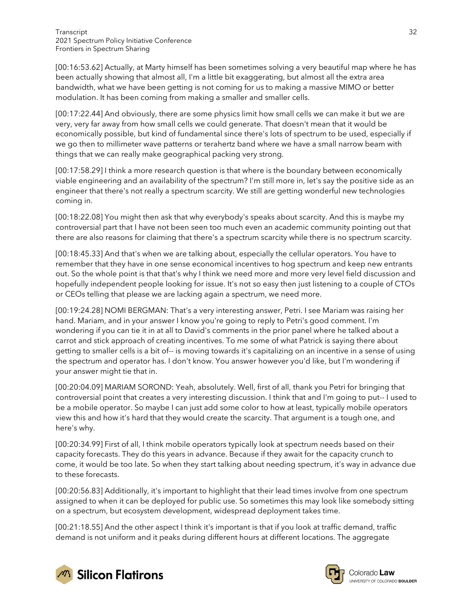[00:16:53.62] Actually, at Marty himself has been sometimes solving a very beautiful map where he has been actually showing that almost all, I'm a little bit exaggerating, but almost all the extra area bandwidth, what we have been getting is not coming for us to making a massive MIMO or better modulation. It has been coming from making a smaller and smaller cells.

[00:17:22.44] And obviously, there are some physics limit how small cells we can make it but we are very, very far away from how small cells we could generate. That doesn't mean that it would be economically possible, but kind of fundamental since there's lots of spectrum to be used, especially if we go then to millimeter wave patterns or terahertz band where we have a small narrow beam with things that we can really make geographical packing very strong.

[00:17:58.29] I think a more research question is that where is the boundary between economically viable engineering and an availability of the spectrum? I'm still more in, let's say the positive side as an engineer that there's not really a spectrum scarcity. We still are getting wonderful new technologies coming in.

[00:18:22.08] You might then ask that why everybody's speaks about scarcity. And this is maybe my controversial part that I have not been seen too much even an academic community pointing out that there are also reasons for claiming that there's a spectrum scarcity while there is no spectrum scarcity.

[00:18:45.33] And that's when we are talking about, especially the cellular operators. You have to remember that they have in one sense economical incentives to hog spectrum and keep new entrants out. So the whole point is that that's why I think we need more and more very level field discussion and hopefully independent people looking for issue. It's not so easy then just listening to a couple of CTOs or CEOs telling that please we are lacking again a spectrum, we need more.

[00:19:24.28] NOMI BERGMAN: That's a very interesting answer, Petri. I see Mariam was raising her hand. Mariam, and in your answer I know you're going to reply to Petri's good comment. I'm wondering if you can tie it in at all to David's comments in the prior panel where he talked about a carrot and stick approach of creating incentives. To me some of what Patrick is saying there about getting to smaller cells is a bit of-- is moving towards it's capitalizing on an incentive in a sense of using the spectrum and operator has. I don't know. You answer however you'd like, but I'm wondering if your answer might tie that in.

[00:20:04.09] MARIAM SOROND: Yeah, absolutely. Well, first of all, thank you Petri for bringing that controversial point that creates a very interesting discussion. I think that and I'm going to put-- I used to be a mobile operator. So maybe I can just add some color to how at least, typically mobile operators view this and how it's hard that they would create the scarcity. That argument is a tough one, and here's why.

[00:20:34.99] First of all, I think mobile operators typically look at spectrum needs based on their capacity forecasts. They do this years in advance. Because if they await for the capacity crunch to come, it would be too late. So when they start talking about needing spectrum, it's way in advance due to these forecasts.

[00:20:56.83] Additionally, it's important to highlight that their lead times involve from one spectrum assigned to when it can be deployed for public use. So sometimes this may look like somebody sitting on a spectrum, but ecosystem development, widespread deployment takes time.

[00:21:18.55] And the other aspect I think it's important is that if you look at traffic demand, traffic demand is not uniform and it peaks during different hours at different locations. The aggregate



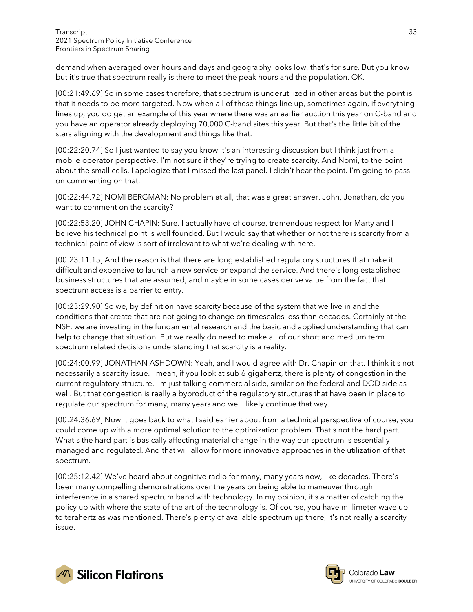demand when averaged over hours and days and geography looks low, that's for sure. But you know but it's true that spectrum really is there to meet the peak hours and the population. OK.

[00:21:49.69] So in some cases therefore, that spectrum is underutilized in other areas but the point is that it needs to be more targeted. Now when all of these things line up, sometimes again, if everything lines up, you do get an example of this year where there was an earlier auction this year on C-band and you have an operator already deploying 70,000 C-band sites this year. But that's the little bit of the stars aligning with the development and things like that.

[00:22:20.74] So I just wanted to say you know it's an interesting discussion but I think just from a mobile operator perspective, I'm not sure if they're trying to create scarcity. And Nomi, to the point about the small cells, I apologize that I missed the last panel. I didn't hear the point. I'm going to pass on commenting on that.

[00:22:44.72] NOMI BERGMAN: No problem at all, that was a great answer. John, Jonathan, do you want to comment on the scarcity?

[00:22:53.20] JOHN CHAPIN: Sure. I actually have of course, tremendous respect for Marty and I believe his technical point is well founded. But I would say that whether or not there is scarcity from a technical point of view is sort of irrelevant to what we're dealing with here.

[00:23:11.15] And the reason is that there are long established regulatory structures that make it difficult and expensive to launch a new service or expand the service. And there's long established business structures that are assumed, and maybe in some cases derive value from the fact that spectrum access is a barrier to entry.

[00:23:29.90] So we, by definition have scarcity because of the system that we live in and the conditions that create that are not going to change on timescales less than decades. Certainly at the NSF, we are investing in the fundamental research and the basic and applied understanding that can help to change that situation. But we really do need to make all of our short and medium term spectrum related decisions understanding that scarcity is a reality.

[00:24:00.99] JONATHAN ASHDOWN: Yeah, and I would agree with Dr. Chapin on that. I think it's not necessarily a scarcity issue. I mean, if you look at sub 6 gigahertz, there is plenty of congestion in the current regulatory structure. I'm just talking commercial side, similar on the federal and DOD side as well. But that congestion is really a byproduct of the regulatory structures that have been in place to regulate our spectrum for many, many years and we'll likely continue that way.

[00:24:36.69] Now it goes back to what I said earlier about from a technical perspective of course, you could come up with a more optimal solution to the optimization problem. That's not the hard part. What's the hard part is basically affecting material change in the way our spectrum is essentially managed and regulated. And that will allow for more innovative approaches in the utilization of that spectrum.

[00:25:12.42] We've heard about cognitive radio for many, many years now, like decades. There's been many compelling demonstrations over the years on being able to maneuver through interference in a shared spectrum band with technology. In my opinion, it's a matter of catching the policy up with where the state of the art of the technology is. Of course, you have millimeter wave up to terahertz as was mentioned. There's plenty of available spectrum up there, it's not really a scarcity issue.



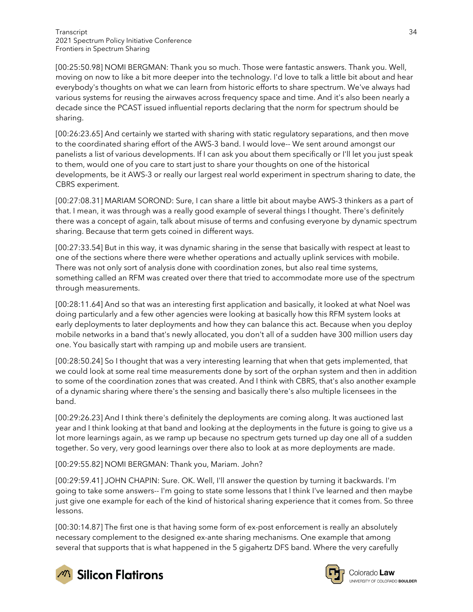[00:25:50.98] NOMI BERGMAN: Thank you so much. Those were fantastic answers. Thank you. Well, moving on now to like a bit more deeper into the technology. I'd love to talk a little bit about and hear everybody's thoughts on what we can learn from historic efforts to share spectrum. We've always had various systems for reusing the airwaves across frequency space and time. And it's also been nearly a decade since the PCAST issued influential reports declaring that the norm for spectrum should be sharing.

[00:26:23.65] And certainly we started with sharing with static regulatory separations, and then move to the coordinated sharing effort of the AWS-3 band. I would love-- We sent around amongst our panelists a list of various developments. If I can ask you about them specifically or I'll let you just speak to them, would one of you care to start just to share your thoughts on one of the historical developments, be it AWS-3 or really our largest real world experiment in spectrum sharing to date, the CBRS experiment.

[00:27:08.31] MARIAM SOROND: Sure, I can share a little bit about maybe AWS-3 thinkers as a part of that. I mean, it was through was a really good example of several things I thought. There's definitely there was a concept of again, talk about misuse of terms and confusing everyone by dynamic spectrum sharing. Because that term gets coined in different ways.

[00:27:33.54] But in this way, it was dynamic sharing in the sense that basically with respect at least to one of the sections where there were whether operations and actually uplink services with mobile. There was not only sort of analysis done with coordination zones, but also real time systems, something called an RFM was created over there that tried to accommodate more use of the spectrum through measurements.

[00:28:11.64] And so that was an interesting first application and basically, it looked at what Noel was doing particularly and a few other agencies were looking at basically how this RFM system looks at early deployments to later deployments and how they can balance this act. Because when you deploy mobile networks in a band that's newly allocated, you don't all of a sudden have 300 million users day one. You basically start with ramping up and mobile users are transient.

[00:28:50.24] So I thought that was a very interesting learning that when that gets implemented, that we could look at some real time measurements done by sort of the orphan system and then in addition to some of the coordination zones that was created. And I think with CBRS, that's also another example of a dynamic sharing where there's the sensing and basically there's also multiple licensees in the band.

[00:29:26.23] And I think there's definitely the deployments are coming along. It was auctioned last year and I think looking at that band and looking at the deployments in the future is going to give us a lot more learnings again, as we ramp up because no spectrum gets turned up day one all of a sudden together. So very, very good learnings over there also to look at as more deployments are made.

[00:29:55.82] NOMI BERGMAN: Thank you, Mariam. John?

[00:29:59.41] JOHN CHAPIN: Sure. OK. Well, I'll answer the question by turning it backwards. I'm going to take some answers-- I'm going to state some lessons that I think I've learned and then maybe just give one example for each of the kind of historical sharing experience that it comes from. So three lessons.

[00:30:14.87] The first one is that having some form of ex-post enforcement is really an absolutely necessary complement to the designed ex-ante sharing mechanisms. One example that among several that supports that is what happened in the 5 gigahertz DFS band. Where the very carefully



**Silicon Flatirons** 

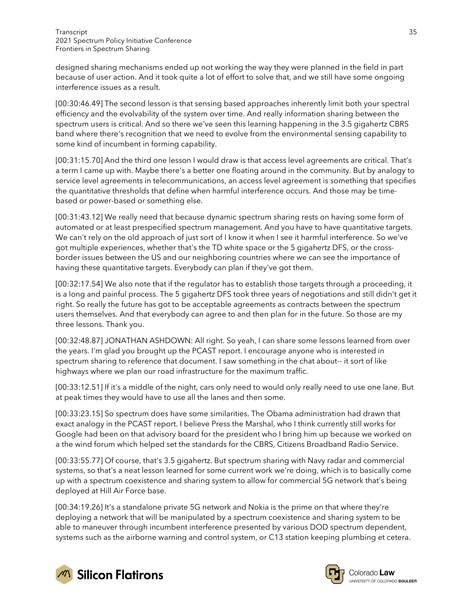designed sharing mechanisms ended up not working the way they were planned in the field in part because of user action. And it took quite a lot of effort to solve that, and we still have some ongoing interference issues as a result.

[00:30:46.49] The second lesson is that sensing based approaches inherently limit both your spectral efficiency and the evolvability of the system over time. And really information sharing between the spectrum users is critical. And so there we've seen this learning happening in the 3.5 gigahertz CBRS band where there's recognition that we need to evolve from the environmental sensing capability to some kind of incumbent in forming capability.

[00:31:15.70] And the third one lesson I would draw is that access level agreements are critical. That's a term I came up with. Maybe there's a better one floating around in the community. But by analogy to service level agreements in telecommunications, an access level agreement is something that specifies the quantitative thresholds that define when harmful interference occurs. And those may be timebased or power-based or something else.

[00:31:43.12] We really need that because dynamic spectrum sharing rests on having some form of automated or at least prespecified spectrum management. And you have to have quantitative targets. We can't rely on the old approach of just sort of I know it when I see it harmful interference. So we've got multiple experiences, whether that's the TD white space or the 5 gigahertz DFS, or the crossborder issues between the US and our neighboring countries where we can see the importance of having these quantitative targets. Everybody can plan if they've got them.

[00:32:17.54] We also note that if the regulator has to establish those targets through a proceeding, it is a long and painful process. The 5 gigahertz DFS took three years of negotiations and still didn't get it right. So really the future has got to be acceptable agreements as contracts between the spectrum users themselves. And that everybody can agree to and then plan for in the future. So those are my three lessons. Thank you.

[00:32:48.87] JONATHAN ASHDOWN: All right. So yeah, I can share some lessons learned from over the years. I'm glad you brought up the PCAST report. I encourage anyone who is interested in spectrum sharing to reference that document. I saw something in the chat about-- it sort of like highways where we plan our road infrastructure for the maximum traffic.

[00:33:12.51] If it's a middle of the night, cars only need to would only really need to use one lane. But at peak times they would have to use all the lanes and then some.

[00:33:23.15] So spectrum does have some similarities. The Obama administration had drawn that exact analogy in the PCAST report. I believe Press the Marshal, who I think currently still works for Google had been on that advisory board for the president who I bring him up because we worked on a the wind forum which helped set the standards for the CBRS, Citizens Broadband Radio Service.

[00:33:55.77] Of course, that's 3.5 gigahertz. But spectrum sharing with Navy radar and commercial systems, so that's a neat lesson learned for some current work we're doing, which is to basically come up with a spectrum coexistence and sharing system to allow for commercial 5G network that's being deployed at Hill Air Force base.

[00:34:19.26] It's a standalone private 5G network and Nokia is the prime on that where they're deploying a network that will be manipulated by a spectrum coexistence and sharing system to be able to maneuver through incumbent interference presented by various DOD spectrum dependent, systems such as the airborne warning and control system, or C13 station keeping plumbing et cetera.



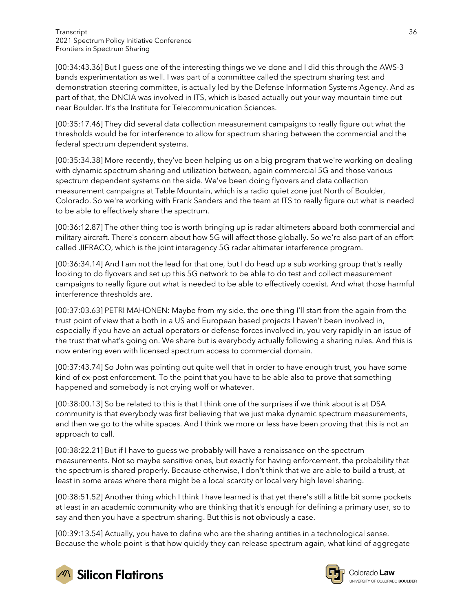[00:34:43.36] But I guess one of the interesting things we've done and I did this through the AWS-3 bands experimentation as well. I was part of a committee called the spectrum sharing test and demonstration steering committee, is actually led by the Defense Information Systems Agency. And as part of that, the DNCIA was involved in ITS, which is based actually out your way mountain time out near Boulder. It's the Institute for Telecommunication Sciences.

[00:35:17.46] They did several data collection measurement campaigns to really figure out what the thresholds would be for interference to allow for spectrum sharing between the commercial and the federal spectrum dependent systems.

[00:35:34.38] More recently, they've been helping us on a big program that we're working on dealing with dynamic spectrum sharing and utilization between, again commercial 5G and those various spectrum dependent systems on the side. We've been doing flyovers and data collection measurement campaigns at Table Mountain, which is a radio quiet zone just North of Boulder, Colorado. So we're working with Frank Sanders and the team at ITS to really figure out what is needed to be able to effectively share the spectrum.

[00:36:12.87] The other thing too is worth bringing up is radar altimeters aboard both commercial and military aircraft. There's concern about how 5G will affect those globally. So we're also part of an effort called JIFRACO, which is the joint interagency 5G radar altimeter interference program.

[00:36:34.14] And I am not the lead for that one, but I do head up a sub working group that's really looking to do flyovers and set up this 5G network to be able to do test and collect measurement campaigns to really figure out what is needed to be able to effectively coexist. And what those harmful interference thresholds are.

[00:37:03.63] PETRI MAHONEN: Maybe from my side, the one thing I'll start from the again from the trust point of view that a both in a US and European based projects I haven't been involved in, especially if you have an actual operators or defense forces involved in, you very rapidly in an issue of the trust that what's going on. We share but is everybody actually following a sharing rules. And this is now entering even with licensed spectrum access to commercial domain.

[00:37:43.74] So John was pointing out quite well that in order to have enough trust, you have some kind of ex-post enforcement. To the point that you have to be able also to prove that something happened and somebody is not crying wolf or whatever.

[00:38:00.13] So be related to this is that I think one of the surprises if we think about is at DSA community is that everybody was first believing that we just make dynamic spectrum measurements, and then we go to the white spaces. And I think we more or less have been proving that this is not an approach to call.

[00:38:22.21] But if I have to guess we probably will have a renaissance on the spectrum measurements. Not so maybe sensitive ones, but exactly for having enforcement, the probability that the spectrum is shared properly. Because otherwise, I don't think that we are able to build a trust, at least in some areas where there might be a local scarcity or local very high level sharing.

[00:38:51.52] Another thing which I think I have learned is that yet there's still a little bit some pockets at least in an academic community who are thinking that it's enough for defining a primary user, so to say and then you have a spectrum sharing. But this is not obviously a case.

[00:39:13.54] Actually, you have to define who are the sharing entities in a technological sense. Because the whole point is that how quickly they can release spectrum again, what kind of aggregate





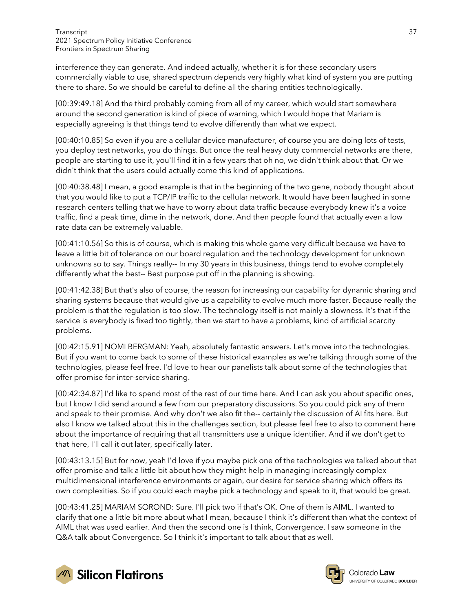interference they can generate. And indeed actually, whether it is for these secondary users commercially viable to use, shared spectrum depends very highly what kind of system you are putting there to share. So we should be careful to define all the sharing entities technologically.

[00:39:49.18] And the third probably coming from all of my career, which would start somewhere around the second generation is kind of piece of warning, which I would hope that Mariam is especially agreeing is that things tend to evolve differently than what we expect.

[00:40:10.85] So even if you are a cellular device manufacturer, of course you are doing lots of tests, you deploy test networks, you do things. But once the real heavy duty commercial networks are there, people are starting to use it, you'll find it in a few years that oh no, we didn't think about that. Or we didn't think that the users could actually come this kind of applications.

[00:40:38.48] I mean, a good example is that in the beginning of the two gene, nobody thought about that you would like to put a TCP/IP traffic to the cellular network. It would have been laughed in some research centers telling that we have to worry about data traffic because everybody knew it's a voice traffic, find a peak time, dime in the network, done. And then people found that actually even a low rate data can be extremely valuable.

[00:41:10.56] So this is of course, which is making this whole game very difficult because we have to leave a little bit of tolerance on our board regulation and the technology development for unknown unknowns so to say. Things really-- In my 30 years in this business, things tend to evolve completely differently what the best-- Best purpose put off in the planning is showing.

[00:41:42.38] But that's also of course, the reason for increasing our capability for dynamic sharing and sharing systems because that would give us a capability to evolve much more faster. Because really the problem is that the regulation is too slow. The technology itself is not mainly a slowness. It's that if the service is everybody is fixed too tightly, then we start to have a problems, kind of artificial scarcity problems.

[00:42:15.91] NOMI BERGMAN: Yeah, absolutely fantastic answers. Let's move into the technologies. But if you want to come back to some of these historical examples as we're talking through some of the technologies, please feel free. I'd love to hear our panelists talk about some of the technologies that offer promise for inter-service sharing.

[00:42:34.87] I'd like to spend most of the rest of our time here. And I can ask you about specific ones, but I know I did send around a few from our preparatory discussions. So you could pick any of them and speak to their promise. And why don't we also fit the-- certainly the discussion of AI fits here. But also I know we talked about this in the challenges section, but please feel free to also to comment here about the importance of requiring that all transmitters use a unique identifier. And if we don't get to that here, I'll call it out later, specifically later.

[00:43:13.15] But for now, yeah I'd love if you maybe pick one of the technologies we talked about that offer promise and talk a little bit about how they might help in managing increasingly complex multidimensional interference environments or again, our desire for service sharing which offers its own complexities. So if you could each maybe pick a technology and speak to it, that would be great.

[00:43:41.25] MARIAM SOROND: Sure. I'll pick two if that's OK. One of them is AIML. I wanted to clarify that one a little bit more about what I mean, because I think it's different than what the context of AIML that was used earlier. And then the second one is I think, Convergence. I saw someone in the Q&A talk about Convergence. So I think it's important to talk about that as well.





Colorado **Law** UNIVERSITY OF COLORADO BOULDER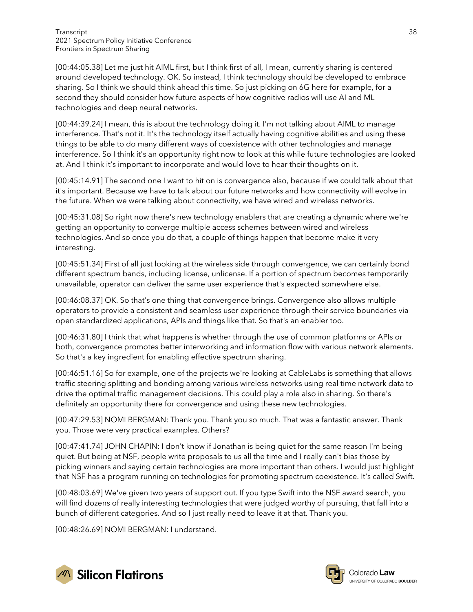[00:44:05.38] Let me just hit AIML first, but I think first of all, I mean, currently sharing is centered around developed technology. OK. So instead, I think technology should be developed to embrace sharing. So I think we should think ahead this time. So just picking on 6G here for example, for a second they should consider how future aspects of how cognitive radios will use AI and ML technologies and deep neural networks.

[00:44:39.24] I mean, this is about the technology doing it. I'm not talking about AIML to manage interference. That's not it. It's the technology itself actually having cognitive abilities and using these things to be able to do many different ways of coexistence with other technologies and manage interference. So I think it's an opportunity right now to look at this while future technologies are looked at. And I think it's important to incorporate and would love to hear their thoughts on it.

[00:45:14.91] The second one I want to hit on is convergence also, because if we could talk about that it's important. Because we have to talk about our future networks and how connectivity will evolve in the future. When we were talking about connectivity, we have wired and wireless networks.

[00:45:31.08] So right now there's new technology enablers that are creating a dynamic where we're getting an opportunity to converge multiple access schemes between wired and wireless technologies. And so once you do that, a couple of things happen that become make it very interesting.

[00:45:51.34] First of all just looking at the wireless side through convergence, we can certainly bond different spectrum bands, including license, unlicense. If a portion of spectrum becomes temporarily unavailable, operator can deliver the same user experience that's expected somewhere else.

[00:46:08.37] OK. So that's one thing that convergence brings. Convergence also allows multiple operators to provide a consistent and seamless user experience through their service boundaries via open standardized applications, APIs and things like that. So that's an enabler too.

[00:46:31.80] I think that what happens is whether through the use of common platforms or APIs or both, convergence promotes better interworking and information flow with various network elements. So that's a key ingredient for enabling effective spectrum sharing.

[00:46:51.16] So for example, one of the projects we're looking at CableLabs is something that allows traffic steering splitting and bonding among various wireless networks using real time network data to drive the optimal traffic management decisions. This could play a role also in sharing. So there's definitely an opportunity there for convergence and using these new technologies.

[00:47:29.53] NOMI BERGMAN: Thank you. Thank you so much. That was a fantastic answer. Thank you. Those were very practical examples. Others?

[00:47:41.74] JOHN CHAPIN: I don't know if Jonathan is being quiet for the same reason I'm being quiet. But being at NSF, people write proposals to us all the time and I really can't bias those by picking winners and saying certain technologies are more important than others. I would just highlight that NSF has a program running on technologies for promoting spectrum coexistence. It's called Swift.

[00:48:03.69] We've given two years of support out. If you type Swift into the NSF award search, you will find dozens of really interesting technologies that were judged worthy of pursuing, that fall into a bunch of different categories. And so I just really need to leave it at that. Thank you.

[00:48:26.69] NOMI BERGMAN: I understand.



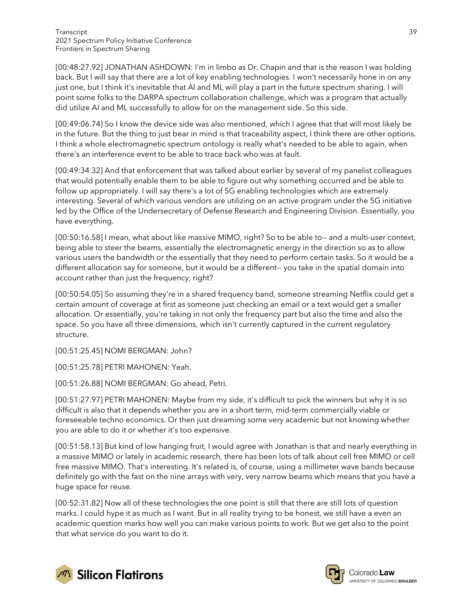[00:48:27.92] JONATHAN ASHDOWN: I'm in limbo as Dr. Chapin and that is the reason I was holding back. But I will say that there are a lot of key enabling technologies. I won't necessarily hone in on any just one, but I think it's inevitable that AI and ML will play a part in the future spectrum sharing. I will point some folks to the DARPA spectrum collaboration challenge, which was a program that actually did utilize AI and ML successfully to allow for on the management side. So this side.

[00:49:06.74] So I know the device side was also mentioned, which I agree that that will most likely be in the future. But the thing to just bear in mind is that traceability aspect, I think there are other options. I think a whole electromagnetic spectrum ontology is really what's needed to be able to again, when there's an interference event to be able to trace back who was at fault.

[00:49:34.32] And that enforcement that was talked about earlier by several of my panelist colleagues that would potentially enable them to be able to figure out why something occurred and be able to follow up appropriately. I will say there's a lot of 5G enabling technologies which are extremely interesting. Several of which various vendors are utilizing on an active program under the 5G initiative led by the Office of the Undersecretary of Defense Research and Engineering Division. Essentially, you have everything.

[00:50:16.58] I mean, what about like massive MIMO, right? So to be able to-- and a multi-user context, being able to steer the beams, essentially the electromagnetic energy in the direction so as to allow various users the bandwidth or the essentially that they need to perform certain tasks. So it would be a different allocation say for someone, but it would be a different-- you take in the spatial domain into account rather than just the frequency, right?

[00:50:54.05] So assuming they're in a shared frequency band, someone streaming Netflix could get a certain amount of coverage at first as someone just checking an email or a text would get a smaller allocation. Or essentially, you're taking in not only the frequency part but also the time and also the space. So you have all three dimensions, which isn't currently captured in the current regulatory structure.

[00:51:25.45] NOMI BERGMAN: John?

[00:51:25.78] PETRI MAHONEN: Yeah.

[00:51:26.88] NOMI BERGMAN: Go ahead, Petri.

[00:51:27.97] PETRI MAHONEN: Maybe from my side, it's difficult to pick the winners but why it is so difficult is also that it depends whether you are in a short term, mid-term commercially viable or foreseeable techno economics. Or then just dreaming some very academic but not knowing whether you are able to do it or whether it's too expensive.

[00:51:58.13] But kind of low hanging fruit, I would agree with Jonathan is that and nearly everything in a massive MIMO or lately in academic research, there has been lots of talk about cell free MIMO or cell free massive MIMO. That's interesting. It's related is, of course, using a millimeter wave bands because definitely go with the fast on the nine arrays with very, very narrow beams which means that you have a huge space for reuse.

[00:52:31.82] Now all of these technologies the one point is still that there are still lots of question marks. I could hype it as much as I want. But in all reality trying to be honest, we still have a even an academic question marks how well you can make various points to work. But we get also to the point that what service do you want to do it.



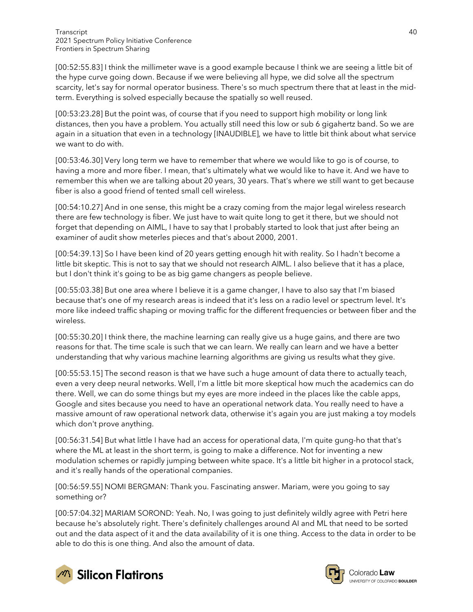[00:52:55.83] I think the millimeter wave is a good example because I think we are seeing a little bit of the hype curve going down. Because if we were believing all hype, we did solve all the spectrum scarcity, let's say for normal operator business. There's so much spectrum there that at least in the midterm. Everything is solved especially because the spatially so well reused.

[00:53:23.28] But the point was, of course that if you need to support high mobility or long link distances, then you have a problem. You actually still need this low or sub 6 gigahertz band. So we are again in a situation that even in a technology [INAUDIBLE], we have to little bit think about what service we want to do with.

[00:53:46.30] Very long term we have to remember that where we would like to go is of course, to having a more and more fiber. I mean, that's ultimately what we would like to have it. And we have to remember this when we are talking about 20 years, 30 years. That's where we still want to get because fiber is also a good friend of tented small cell wireless.

[00:54:10.27] And in one sense, this might be a crazy coming from the major legal wireless research there are few technology is fiber. We just have to wait quite long to get it there, but we should not forget that depending on AIML, I have to say that I probably started to look that just after being an examiner of audit show meterles pieces and that's about 2000, 2001.

[00:54:39.13] So I have been kind of 20 years getting enough hit with reality. So I hadn't become a little bit skeptic. This is not to say that we should not research AIML. I also believe that it has a place, but I don't think it's going to be as big game changers as people believe.

[00:55:03.38] But one area where I believe it is a game changer, I have to also say that I'm biased because that's one of my research areas is indeed that it's less on a radio level or spectrum level. It's more like indeed traffic shaping or moving traffic for the different frequencies or between fiber and the wireless.

[00:55:30.20] I think there, the machine learning can really give us a huge gains, and there are two reasons for that. The time scale is such that we can learn. We really can learn and we have a better understanding that why various machine learning algorithms are giving us results what they give.

[00:55:53.15] The second reason is that we have such a huge amount of data there to actually teach, even a very deep neural networks. Well, I'm a little bit more skeptical how much the academics can do there. Well, we can do some things but my eyes are more indeed in the places like the cable apps, Google and sites because you need to have an operational network data. You really need to have a massive amount of raw operational network data, otherwise it's again you are just making a toy models which don't prove anything.

[00:56:31.54] But what little I have had an access for operational data, I'm quite gung-ho that that's where the ML at least in the short term, is going to make a difference. Not for inventing a new modulation schemes or rapidly jumping between white space. It's a little bit higher in a protocol stack, and it's really hands of the operational companies.

[00:56:59.55] NOMI BERGMAN: Thank you. Fascinating answer. Mariam, were you going to say something or?

[00:57:04.32] MARIAM SOROND: Yeah. No, I was going to just definitely wildly agree with Petri here because he's absolutely right. There's definitely challenges around AI and ML that need to be sorted out and the data aspect of it and the data availability of it is one thing. Access to the data in order to be able to do this is one thing. And also the amount of data.



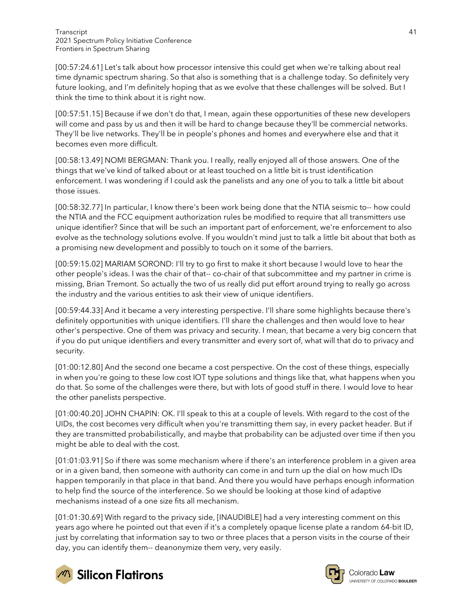[00:57:24.61] Let's talk about how processor intensive this could get when we're talking about real time dynamic spectrum sharing. So that also is something that is a challenge today. So definitely very future looking, and I'm definitely hoping that as we evolve that these challenges will be solved. But I think the time to think about it is right now.

[00:57:51.15] Because if we don't do that, I mean, again these opportunities of these new developers will come and pass by us and then it will be hard to change because they'll be commercial networks. They'll be live networks. They'll be in people's phones and homes and everywhere else and that it becomes even more difficult.

[00:58:13.49] NOMI BERGMAN: Thank you. I really, really enjoyed all of those answers. One of the things that we've kind of talked about or at least touched on a little bit is trust identification enforcement. I was wondering if I could ask the panelists and any one of you to talk a little bit about those issues.

[00:58:32.77] In particular, I know there's been work being done that the NTIA seismic to-- how could the NTIA and the FCC equipment authorization rules be modified to require that all transmitters use unique identifier? Since that will be such an important part of enforcement, we're enforcement to also evolve as the technology solutions evolve. If you wouldn't mind just to talk a little bit about that both as a promising new development and possibly to touch on it some of the barriers.

[00:59:15.02] MARIAM SOROND: I'll try to go first to make it short because I would love to hear the other people's ideas. I was the chair of that-- co-chair of that subcommittee and my partner in crime is missing, Brian Tremont. So actually the two of us really did put effort around trying to really go across the industry and the various entities to ask their view of unique identifiers.

[00:59:44.33] And it became a very interesting perspective. I'll share some highlights because there's definitely opportunities with unique identifiers. I'll share the challenges and then would love to hear other's perspective. One of them was privacy and security. I mean, that became a very big concern that if you do put unique identifiers and every transmitter and every sort of, what will that do to privacy and security.

[01:00:12.80] And the second one became a cost perspective. On the cost of these things, especially in when you're going to these low cost IOT type solutions and things like that, what happens when you do that. So some of the challenges were there, but with lots of good stuff in there. I would love to hear the other panelists perspective.

[01:00:40.20] JOHN CHAPIN: OK. I'll speak to this at a couple of levels. With regard to the cost of the UIDs, the cost becomes very difficult when you're transmitting them say, in every packet header. But if they are transmitted probabilistically, and maybe that probability can be adjusted over time if then you might be able to deal with the cost.

[01:01:03.91] So if there was some mechanism where if there's an interference problem in a given area or in a given band, then someone with authority can come in and turn up the dial on how much IDs happen temporarily in that place in that band. And there you would have perhaps enough information to help find the source of the interference. So we should be looking at those kind of adaptive mechanisms instead of a one size fits all mechanism.

[01:01:30.69] With regard to the privacy side, [INAUDIBLE] had a very interesting comment on this years ago where he pointed out that even if it's a completely opaque license plate a random 64-bit ID, just by correlating that information say to two or three places that a person visits in the course of their day, you can identify them-- deanonymize them very, very easily.





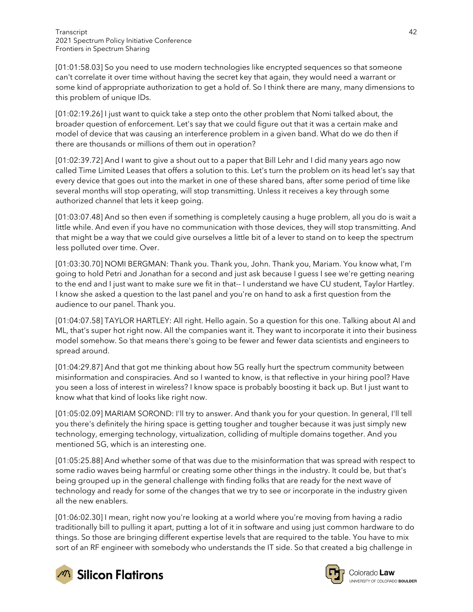[01:01:58.03] So you need to use modern technologies like encrypted sequences so that someone can't correlate it over time without having the secret key that again, they would need a warrant or some kind of appropriate authorization to get a hold of. So I think there are many, many dimensions to this problem of unique IDs.

[01:02:19.26] I just want to quick take a step onto the other problem that Nomi talked about, the broader question of enforcement. Let's say that we could figure out that it was a certain make and model of device that was causing an interference problem in a given band. What do we do then if there are thousands or millions of them out in operation?

[01:02:39.72] And I want to give a shout out to a paper that Bill Lehr and I did many years ago now called Time Limited Leases that offers a solution to this. Let's turn the problem on its head let's say that every device that goes out into the market in one of these shared bans, after some period of time like several months will stop operating, will stop transmitting. Unless it receives a key through some authorized channel that lets it keep going.

[01:03:07.48] And so then even if something is completely causing a huge problem, all you do is wait a little while. And even if you have no communication with those devices, they will stop transmitting. And that might be a way that we could give ourselves a little bit of a lever to stand on to keep the spectrum less polluted over time. Over.

[01:03:30.70] NOMI BERGMAN: Thank you. Thank you, John. Thank you, Mariam. You know what, I'm going to hold Petri and Jonathan for a second and just ask because I guess I see we're getting nearing to the end and I just want to make sure we fit in that-- I understand we have CU student, Taylor Hartley. I know she asked a question to the last panel and you're on hand to ask a first question from the audience to our panel. Thank you.

[01:04:07.58] TAYLOR HARTLEY: All right. Hello again. So a question for this one. Talking about AI and ML, that's super hot right now. All the companies want it. They want to incorporate it into their business model somehow. So that means there's going to be fewer and fewer data scientists and engineers to spread around.

[01:04:29.87] And that got me thinking about how 5G really hurt the spectrum community between misinformation and conspiracies. And so I wanted to know, is that reflective in your hiring pool? Have you seen a loss of interest in wireless? I know space is probably boosting it back up. But I just want to know what that kind of looks like right now.

[01:05:02.09] MARIAM SOROND: I'll try to answer. And thank you for your question. In general, I'll tell you there's definitely the hiring space is getting tougher and tougher because it was just simply new technology, emerging technology, virtualization, colliding of multiple domains together. And you mentioned 5G, which is an interesting one.

[01:05:25.88] And whether some of that was due to the misinformation that was spread with respect to some radio waves being harmful or creating some other things in the industry. It could be, but that's being grouped up in the general challenge with finding folks that are ready for the next wave of technology and ready for some of the changes that we try to see or incorporate in the industry given all the new enablers.

[01:06:02.30] I mean, right now you're looking at a world where you're moving from having a radio traditionally bill to pulling it apart, putting a lot of it in software and using just common hardware to do things. So those are bringing different expertise levels that are required to the table. You have to mix sort of an RF engineer with somebody who understands the IT side. So that created a big challenge in



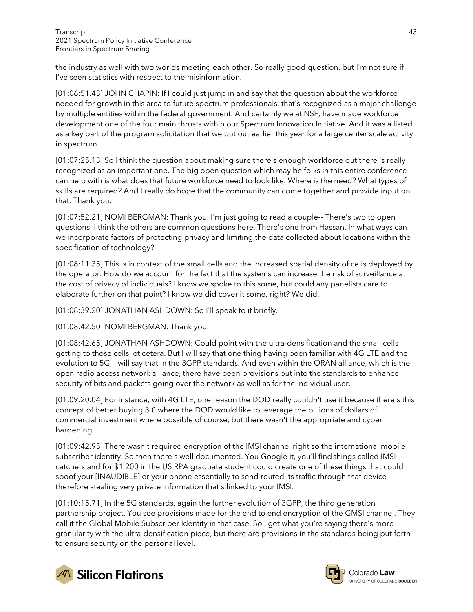the industry as well with two worlds meeting each other. So really good question, but I'm not sure if I've seen statistics with respect to the misinformation.

[01:06:51.43] JOHN CHAPIN: If I could just jump in and say that the question about the workforce needed for growth in this area to future spectrum professionals, that's recognized as a major challenge by multiple entities within the federal government. And certainly we at NSF, have made workforce development one of the four main thrusts within our Spectrum Innovation Initiative. And it was a listed as a key part of the program solicitation that we put out earlier this year for a large center scale activity in spectrum.

[01:07:25.13] So I think the question about making sure there's enough workforce out there is really recognized as an important one. The big open question which may be folks in this entire conference can help with is what does that future workforce need to look like. Where is the need? What types of skills are required? And I really do hope that the community can come together and provide input on that. Thank you.

[01:07:52.21] NOMI BERGMAN: Thank you. I'm just going to read a couple-- There's two to open questions. I think the others are common questions here. There's one from Hassan. In what ways can we incorporate factors of protecting privacy and limiting the data collected about locations within the specification of technology?

[01:08:11.35] This is in context of the small cells and the increased spatial density of cells deployed by the operator. How do we account for the fact that the systems can increase the risk of surveillance at the cost of privacy of individuals? I know we spoke to this some, but could any panelists care to elaborate further on that point? I know we did cover it some, right? We did.

[01:08:39.20] JONATHAN ASHDOWN: So I'll speak to it briefly.

[01:08:42.50] NOMI BERGMAN: Thank you.

[01:08:42.65] JONATHAN ASHDOWN: Could point with the ultra-densification and the small cells getting to those cells, et cetera. But I will say that one thing having been familiar with 4G LTE and the evolution to 5G, I will say that in the 3GPP standards. And even within the ORAN alliance, which is the open radio access network alliance, there have been provisions put into the standards to enhance security of bits and packets going over the network as well as for the individual user.

[01:09:20.04] For instance, with 4G LTE, one reason the DOD really couldn't use it because there's this concept of better buying 3.0 where the DOD would like to leverage the billions of dollars of commercial investment where possible of course, but there wasn't the appropriate and cyber hardening.

[01:09:42.95] There wasn't required encryption of the IMSI channel right so the international mobile subscriber identity. So then there's well documented. You Google it, you'll find things called IMSI catchers and for \$1,200 in the US RPA graduate student could create one of these things that could spoof your [INAUDIBLE] or your phone essentially to send routed its traffic through that device therefore stealing very private information that's linked to your IMSI.

[01:10:15.71] In the 5G standards, again the further evolution of 3GPP, the third generation partnership project. You see provisions made for the end to end encryption of the GMSI channel. They call it the Global Mobile Subscriber Identity in that case. So I get what you're saying there's more granularity with the ultra-densification piece, but there are provisions in the standards being put forth to ensure security on the personal level.





Colorado Law UNIVERSITY OF COLORADO BOULDER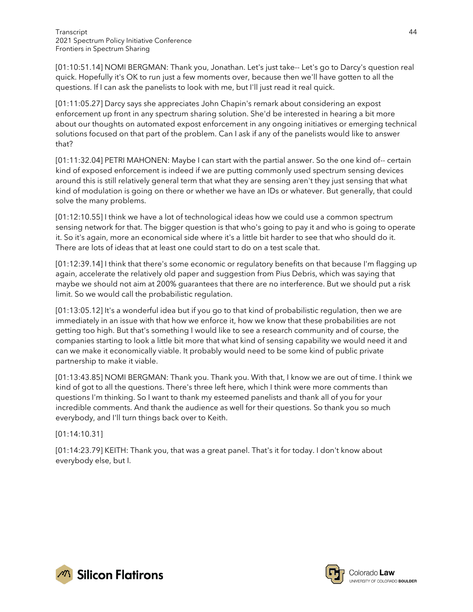[01:10:51.14] NOMI BERGMAN: Thank you, Jonathan. Let's just take-- Let's go to Darcy's question real quick. Hopefully it's OK to run just a few moments over, because then we'll have gotten to all the questions. If I can ask the panelists to look with me, but I'll just read it real quick.

[01:11:05.27] Darcy says she appreciates John Chapin's remark about considering an expost enforcement up front in any spectrum sharing solution. She'd be interested in hearing a bit more about our thoughts on automated expost enforcement in any ongoing initiatives or emerging technical solutions focused on that part of the problem. Can I ask if any of the panelists would like to answer that?

[01:11:32.04] PETRI MAHONEN: Maybe I can start with the partial answer. So the one kind of-- certain kind of exposed enforcement is indeed if we are putting commonly used spectrum sensing devices around this is still relatively general term that what they are sensing aren't they just sensing that what kind of modulation is going on there or whether we have an IDs or whatever. But generally, that could solve the many problems.

[01:12:10.55] I think we have a lot of technological ideas how we could use a common spectrum sensing network for that. The bigger question is that who's going to pay it and who is going to operate it. So it's again, more an economical side where it's a little bit harder to see that who should do it. There are lots of ideas that at least one could start to do on a test scale that.

[01:12:39.14] I think that there's some economic or regulatory benefits on that because I'm flagging up again, accelerate the relatively old paper and suggestion from Pius Debris, which was saying that maybe we should not aim at 200% guarantees that there are no interference. But we should put a risk limit. So we would call the probabilistic regulation.

[01:13:05.12] It's a wonderful idea but if you go to that kind of probabilistic regulation, then we are immediately in an issue with that how we enforce it, how we know that these probabilities are not getting too high. But that's something I would like to see a research community and of course, the companies starting to look a little bit more that what kind of sensing capability we would need it and can we make it economically viable. It probably would need to be some kind of public private partnership to make it viable.

[01:13:43.85] NOMI BERGMAN: Thank you. Thank you. With that, I know we are out of time. I think we kind of got to all the questions. There's three left here, which I think were more comments than questions I'm thinking. So I want to thank my esteemed panelists and thank all of you for your incredible comments. And thank the audience as well for their questions. So thank you so much everybody, and I'll turn things back over to Keith.

[01:14:10.31]

[01:14:23.79] KEITH: Thank you, that was a great panel. That's it for today. I don't know about everybody else, but I.



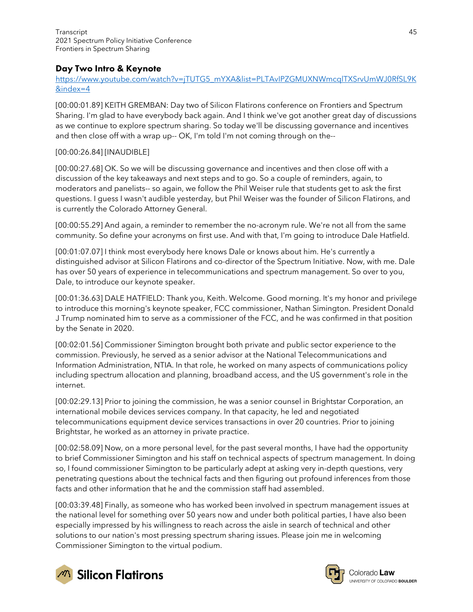# Day Two Intro & Keynote

## [https://www.youtube.com/watch?v=jTUTG5\\_mYXA&list=PLTAvIPZGMUXNWmcqlTXSrvUmWJ0RfSL9K](https://www.youtube.com/watch?v=jTUTG5_mYXA&list=PLTAvIPZGMUXNWmcqlTXSrvUmWJ0RfSL9K&index=4) [&index=4](https://www.youtube.com/watch?v=jTUTG5_mYXA&list=PLTAvIPZGMUXNWmcqlTXSrvUmWJ0RfSL9K&index=4)

[00:00:01.89] KEITH GREMBAN: Day two of Silicon Flatirons conference on Frontiers and Spectrum Sharing. I'm glad to have everybody back again. And I think we've got another great day of discussions as we continue to explore spectrum sharing. So today we'll be discussing governance and incentives and then close off with a wrap up-- OK, I'm told I'm not coming through on the--

## [00:00:26.84] [INAUDIBLE]

[00:00:27.68] OK. So we will be discussing governance and incentives and then close off with a discussion of the key takeaways and next steps and to go. So a couple of reminders, again, to moderators and panelists-- so again, we follow the Phil Weiser rule that students get to ask the first questions. I guess I wasn't audible yesterday, but Phil Weiser was the founder of Silicon Flatirons, and is currently the Colorado Attorney General.

[00:00:55.29] And again, a reminder to remember the no-acronym rule. We're not all from the same community. So define your acronyms on first use. And with that, I'm going to introduce Dale Hatfield.

[00:01:07.07] I think most everybody here knows Dale or knows about him. He's currently a distinguished advisor at Silicon Flatirons and co-director of the Spectrum Initiative. Now, with me. Dale has over 50 years of experience in telecommunications and spectrum management. So over to you, Dale, to introduce our keynote speaker.

[00:01:36.63] DALE HATFIELD: Thank you, Keith. Welcome. Good morning. It's my honor and privilege to introduce this morning's keynote speaker, FCC commissioner, Nathan Simington. President Donald J Trump nominated him to serve as a commissioner of the FCC, and he was confirmed in that position by the Senate in 2020.

[00:02:01.56] Commissioner Simington brought both private and public sector experience to the commission. Previously, he served as a senior advisor at the National Telecommunications and Information Administration, NTIA. In that role, he worked on many aspects of communications policy including spectrum allocation and planning, broadband access, and the US government's role in the internet.

[00:02:29.13] Prior to joining the commission, he was a senior counsel in Brightstar Corporation, an international mobile devices services company. In that capacity, he led and negotiated telecommunications equipment device services transactions in over 20 countries. Prior to joining Brightstar, he worked as an attorney in private practice.

[00:02:58.09] Now, on a more personal level, for the past several months, I have had the opportunity to brief Commissioner Simington and his staff on technical aspects of spectrum management. In doing so, I found commissioner Simington to be particularly adept at asking very in-depth questions, very penetrating questions about the technical facts and then figuring out profound inferences from those facts and other information that he and the commission staff had assembled.

[00:03:39.48] Finally, as someone who has worked been involved in spectrum management issues at the national level for something over 50 years now and under both political parties, I have also been especially impressed by his willingness to reach across the aisle in search of technical and other solutions to our nation's most pressing spectrum sharing issues. Please join me in welcoming Commissioner Simington to the virtual podium.



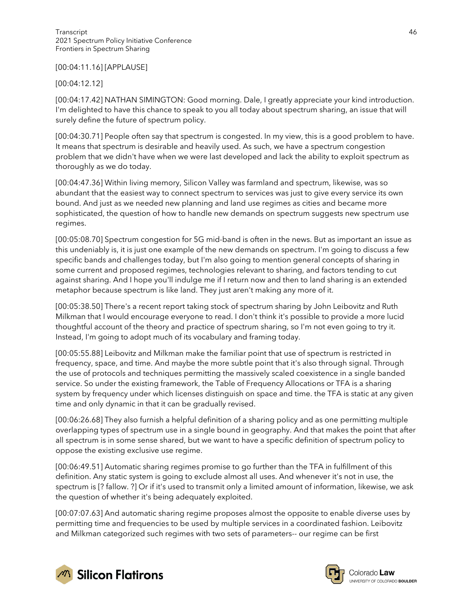#### [00:04:11.16] [APPLAUSE]

### [00:04:12.12]

[00:04:17.42] NATHAN SIMINGTON: Good morning. Dale, I greatly appreciate your kind introduction. I'm delighted to have this chance to speak to you all today about spectrum sharing, an issue that will surely define the future of spectrum policy.

[00:04:30.71] People often say that spectrum is congested. In my view, this is a good problem to have. It means that spectrum is desirable and heavily used. As such, we have a spectrum congestion problem that we didn't have when we were last developed and lack the ability to exploit spectrum as thoroughly as we do today.

[00:04:47.36] Within living memory, Silicon Valley was farmland and spectrum, likewise, was so abundant that the easiest way to connect spectrum to services was just to give every service its own bound. And just as we needed new planning and land use regimes as cities and became more sophisticated, the question of how to handle new demands on spectrum suggests new spectrum use regimes.

[00:05:08.70] Spectrum congestion for 5G mid-band is often in the news. But as important an issue as this undeniably is, it is just one example of the new demands on spectrum. I'm going to discuss a few specific bands and challenges today, but I'm also going to mention general concepts of sharing in some current and proposed regimes, technologies relevant to sharing, and factors tending to cut against sharing. And I hope you'll indulge me if I return now and then to land sharing is an extended metaphor because spectrum is like land. They just aren't making any more of it.

[00:05:38.50] There's a recent report taking stock of spectrum sharing by John Leibovitz and Ruth Milkman that I would encourage everyone to read. I don't think it's possible to provide a more lucid thoughtful account of the theory and practice of spectrum sharing, so I'm not even going to try it. Instead, I'm going to adopt much of its vocabulary and framing today.

[00:05:55.88] Leibovitz and Milkman make the familiar point that use of spectrum is restricted in frequency, space, and time. And maybe the more subtle point that it's also through signal. Through the use of protocols and techniques permitting the massively scaled coexistence in a single banded service. So under the existing framework, the Table of Frequency Allocations or TFA is a sharing system by frequency under which licenses distinguish on space and time. the TFA is static at any given time and only dynamic in that it can be gradually revised.

[00:06:26.68] They also furnish a helpful definition of a sharing policy and as one permitting multiple overlapping types of spectrum use in a single bound in geography. And that makes the point that after all spectrum is in some sense shared, but we want to have a specific definition of spectrum policy to oppose the existing exclusive use regime.

[00:06:49.51] Automatic sharing regimes promise to go further than the TFA in fulfillment of this definition. Any static system is going to exclude almost all uses. And whenever it's not in use, the spectrum is [? fallow. ?] Or if it's used to transmit only a limited amount of information, likewise, we ask the question of whether it's being adequately exploited.

[00:07:07.63] And automatic sharing regime proposes almost the opposite to enable diverse uses by permitting time and frequencies to be used by multiple services in a coordinated fashion. Leibovitz and Milkman categorized such regimes with two sets of parameters-- our regime can be first



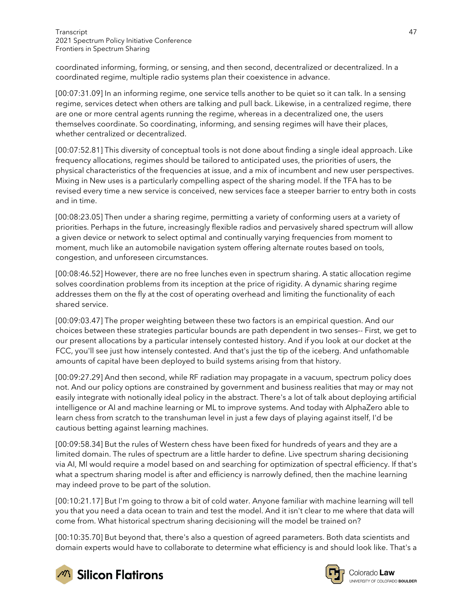coordinated informing, forming, or sensing, and then second, decentralized or decentralized. In a coordinated regime, multiple radio systems plan their coexistence in advance.

[00:07:31.09] In an informing regime, one service tells another to be quiet so it can talk. In a sensing regime, services detect when others are talking and pull back. Likewise, in a centralized regime, there are one or more central agents running the regime, whereas in a decentralized one, the users themselves coordinate. So coordinating, informing, and sensing regimes will have their places, whether centralized or decentralized.

[00:07:52.81] This diversity of conceptual tools is not done about finding a single ideal approach. Like frequency allocations, regimes should be tailored to anticipated uses, the priorities of users, the physical characteristics of the frequencies at issue, and a mix of incumbent and new user perspectives. Mixing in New uses is a particularly compelling aspect of the sharing model. If the TFA has to be revised every time a new service is conceived, new services face a steeper barrier to entry both in costs and in time.

[00:08:23.05] Then under a sharing regime, permitting a variety of conforming users at a variety of priorities. Perhaps in the future, increasingly flexible radios and pervasively shared spectrum will allow a given device or network to select optimal and continually varying frequencies from moment to moment, much like an automobile navigation system offering alternate routes based on tools, congestion, and unforeseen circumstances.

[00:08:46.52] However, there are no free lunches even in spectrum sharing. A static allocation regime solves coordination problems from its inception at the price of rigidity. A dynamic sharing regime addresses them on the fly at the cost of operating overhead and limiting the functionality of each shared service.

[00:09:03.47] The proper weighting between these two factors is an empirical question. And our choices between these strategies particular bounds are path dependent in two senses-- First, we get to our present allocations by a particular intensely contested history. And if you look at our docket at the FCC, you'll see just how intensely contested. And that's just the tip of the iceberg. And unfathomable amounts of capital have been deployed to build systems arising from that history.

[00:09:27.29] And then second, while RF radiation may propagate in a vacuum, spectrum policy does not. And our policy options are constrained by government and business realities that may or may not easily integrate with notionally ideal policy in the abstract. There's a lot of talk about deploying artificial intelligence or AI and machine learning or ML to improve systems. And today with AlphaZero able to learn chess from scratch to the transhuman level in just a few days of playing against itself, I'd be cautious betting against learning machines.

[00:09:58.34] But the rules of Western chess have been fixed for hundreds of years and they are a limited domain. The rules of spectrum are a little harder to define. Live spectrum sharing decisioning via AI, Ml would require a model based on and searching for optimization of spectral efficiency. If that's what a spectrum sharing model is after and efficiency is narrowly defined, then the machine learning may indeed prove to be part of the solution.

[00:10:21.17] But I'm going to throw a bit of cold water. Anyone familiar with machine learning will tell you that you need a data ocean to train and test the model. And it isn't clear to me where that data will come from. What historical spectrum sharing decisioning will the model be trained on?

[00:10:35.70] But beyond that, there's also a question of agreed parameters. Both data scientists and domain experts would have to collaborate to determine what efficiency is and should look like. That's a



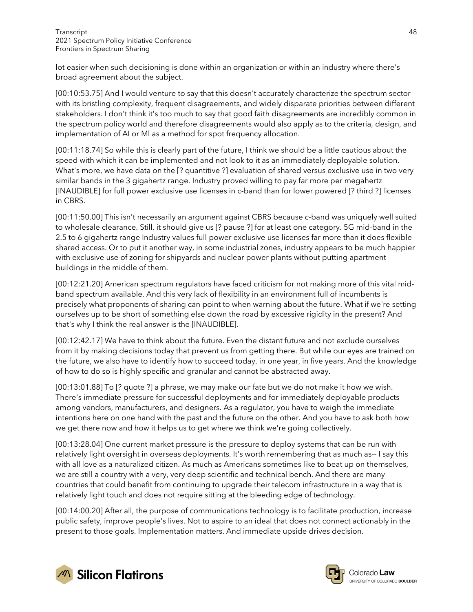lot easier when such decisioning is done within an organization or within an industry where there's broad agreement about the subject.

[00:10:53.75] And I would venture to say that this doesn't accurately characterize the spectrum sector with its bristling complexity, frequent disagreements, and widely disparate priorities between different stakeholders. I don't think it's too much to say that good faith disagreements are incredibly common in the spectrum policy world and therefore disagreements would also apply as to the criteria, design, and implementation of AI or Ml as a method for spot frequency allocation.

[00:11:18.74] So while this is clearly part of the future, I think we should be a little cautious about the speed with which it can be implemented and not look to it as an immediately deployable solution. What's more, we have data on the [? quantitive ?] evaluation of shared versus exclusive use in two very similar bands in the 3 gigahertz range. Industry proved willing to pay far more per megahertz [INAUDIBLE] for full power exclusive use licenses in c-band than for lower powered [? third ?] licenses in CBRS.

[00:11:50.00] This isn't necessarily an argument against CBRS because c-band was uniquely well suited to wholesale clearance. Still, it should give us [? pause ?] for at least one category. 5G mid-band in the 2.5 to 6 gigahertz range Industry values full power exclusive use licenses far more than it does flexible shared access. Or to put it another way, in some industrial zones, industry appears to be much happier with exclusive use of zoning for shipyards and nuclear power plants without putting apartment buildings in the middle of them.

[00:12:21.20] American spectrum regulators have faced criticism for not making more of this vital midband spectrum available. And this very lack of flexibility in an environment full of incumbents is precisely what proponents of sharing can point to when warning about the future. What if we're setting ourselves up to be short of something else down the road by excessive rigidity in the present? And that's why I think the real answer is the [INAUDIBLE].

[00:12:42.17] We have to think about the future. Even the distant future and not exclude ourselves from it by making decisions today that prevent us from getting there. But while our eyes are trained on the future, we also have to identify how to succeed today, in one year, in five years. And the knowledge of how to do so is highly specific and granular and cannot be abstracted away.

[00:13:01.88] To [? quote ?] a phrase, we may make our fate but we do not make it how we wish. There's immediate pressure for successful deployments and for immediately deployable products among vendors, manufacturers, and designers. As a regulator, you have to weigh the immediate intentions here on one hand with the past and the future on the other. And you have to ask both how we get there now and how it helps us to get where we think we're going collectively.

[00:13:28.04] One current market pressure is the pressure to deploy systems that can be run with relatively light oversight in overseas deployments. It's worth remembering that as much as-- I say this with all love as a naturalized citizen. As much as Americans sometimes like to beat up on themselves, we are still a country with a very, very deep scientific and technical bench. And there are many countries that could benefit from continuing to upgrade their telecom infrastructure in a way that is relatively light touch and does not require sitting at the bleeding edge of technology.

[00:14:00.20] After all, the purpose of communications technology is to facilitate production, increase public safety, improve people's lives. Not to aspire to an ideal that does not connect actionably in the present to those goals. Implementation matters. And immediate upside drives decision.



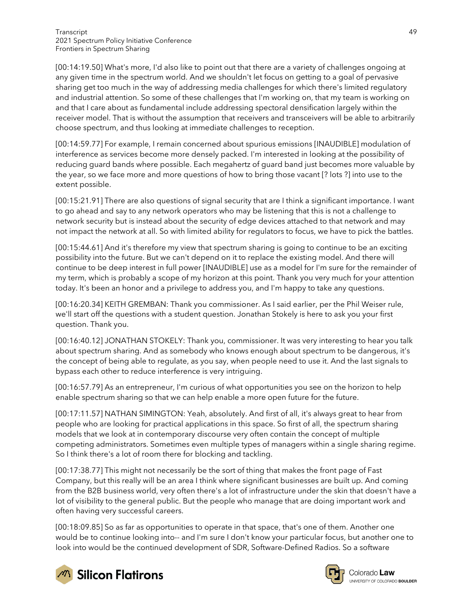[00:14:19.50] What's more, I'd also like to point out that there are a variety of challenges ongoing at any given time in the spectrum world. And we shouldn't let focus on getting to a goal of pervasive sharing get too much in the way of addressing media challenges for which there's limited regulatory and industrial attention. So some of these challenges that I'm working on, that my team is working on and that I care about as fundamental include addressing spectoral densification largely within the receiver model. That is without the assumption that receivers and transceivers will be able to arbitrarily choose spectrum, and thus looking at immediate challenges to reception.

[00:14:59.77] For example, I remain concerned about spurious emissions [INAUDIBLE] modulation of interference as services become more densely packed. I'm interested in looking at the possibility of reducing guard bands where possible. Each megahertz of guard band just becomes more valuable by the year, so we face more and more questions of how to bring those vacant [? lots ?] into use to the extent possible.

[00:15:21.91] There are also questions of signal security that are I think a significant importance. I want to go ahead and say to any network operators who may be listening that this is not a challenge to network security but is instead about the security of edge devices attached to that network and may not impact the network at all. So with limited ability for regulators to focus, we have to pick the battles.

[00:15:44.61] And it's therefore my view that spectrum sharing is going to continue to be an exciting possibility into the future. But we can't depend on it to replace the existing model. And there will continue to be deep interest in full power [INAUDIBLE] use as a model for I'm sure for the remainder of my term, which is probably a scope of my horizon at this point. Thank you very much for your attention today. It's been an honor and a privilege to address you, and I'm happy to take any questions.

[00:16:20.34] KEITH GREMBAN: Thank you commissioner. As I said earlier, per the Phil Weiser rule, we'll start off the questions with a student question. Jonathan Stokely is here to ask you your first question. Thank you.

[00:16:40.12] JONATHAN STOKELY: Thank you, commissioner. It was very interesting to hear you talk about spectrum sharing. And as somebody who knows enough about spectrum to be dangerous, it's the concept of being able to regulate, as you say, when people need to use it. And the last signals to bypass each other to reduce interference is very intriguing.

[00:16:57.79] As an entrepreneur, I'm curious of what opportunities you see on the horizon to help enable spectrum sharing so that we can help enable a more open future for the future.

[00:17:11.57] NATHAN SIMINGTON: Yeah, absolutely. And first of all, it's always great to hear from people who are looking for practical applications in this space. So first of all, the spectrum sharing models that we look at in contemporary discourse very often contain the concept of multiple competing administrators. Sometimes even multiple types of managers within a single sharing regime. So I think there's a lot of room there for blocking and tackling.

[00:17:38.77] This might not necessarily be the sort of thing that makes the front page of Fast Company, but this really will be an area I think where significant businesses are built up. And coming from the B2B business world, very often there's a lot of infrastructure under the skin that doesn't have a lot of visibility to the general public. But the people who manage that are doing important work and often having very successful careers.

[00:18:09.85] So as far as opportunities to operate in that space, that's one of them. Another one would be to continue looking into-- and I'm sure I don't know your particular focus, but another one to look into would be the continued development of SDR, Software-Defined Radios. So a software



**M** Silicon Flatirons

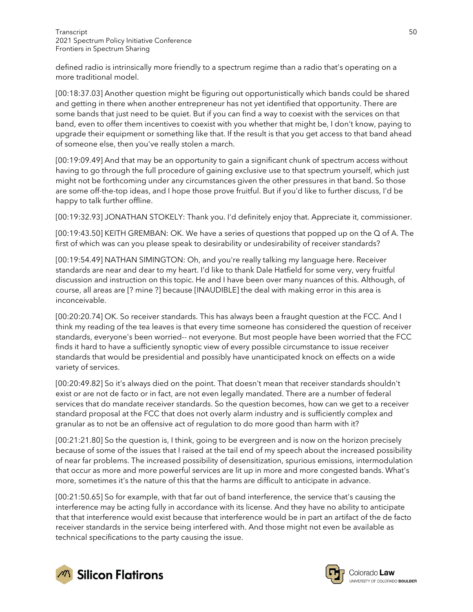defined radio is intrinsically more friendly to a spectrum regime than a radio that's operating on a more traditional model.

[00:18:37.03] Another question might be figuring out opportunistically which bands could be shared and getting in there when another entrepreneur has not yet identified that opportunity. There are some bands that just need to be quiet. But if you can find a way to coexist with the services on that band, even to offer them incentives to coexist with you whether that might be, I don't know, paying to upgrade their equipment or something like that. If the result is that you get access to that band ahead of someone else, then you've really stolen a march.

[00:19:09.49] And that may be an opportunity to gain a significant chunk of spectrum access without having to go through the full procedure of gaining exclusive use to that spectrum yourself, which just might not be forthcoming under any circumstances given the other pressures in that band. So those are some off-the-top ideas, and I hope those prove fruitful. But if you'd like to further discuss, I'd be happy to talk further offline.

[00:19:32.93] JONATHAN STOKELY: Thank you. I'd definitely enjoy that. Appreciate it, commissioner.

[00:19:43.50] KEITH GREMBAN: OK. We have a series of questions that popped up on the Q of A. The first of which was can you please speak to desirability or undesirability of receiver standards?

[00:19:54.49] NATHAN SIMINGTON: Oh, and you're really talking my language here. Receiver standards are near and dear to my heart. I'd like to thank Dale Hatfield for some very, very fruitful discussion and instruction on this topic. He and I have been over many nuances of this. Although, of course, all areas are [? mine ?] because [INAUDIBLE] the deal with making error in this area is inconceivable.

[00:20:20.74] OK. So receiver standards. This has always been a fraught question at the FCC. And I think my reading of the tea leaves is that every time someone has considered the question of receiver standards, everyone's been worried-- not everyone. But most people have been worried that the FCC finds it hard to have a sufficiently synoptic view of every possible circumstance to issue receiver standards that would be presidential and possibly have unanticipated knock on effects on a wide variety of services.

[00:20:49.82] So it's always died on the point. That doesn't mean that receiver standards shouldn't exist or are not de facto or in fact, are not even legally mandated. There are a number of federal services that do mandate receiver standards. So the question becomes, how can we get to a receiver standard proposal at the FCC that does not overly alarm industry and is sufficiently complex and granular as to not be an offensive act of regulation to do more good than harm with it?

[00:21:21.80] So the question is, I think, going to be evergreen and is now on the horizon precisely because of some of the issues that I raised at the tail end of my speech about the increased possibility of near far problems. The increased possibility of desensitization, spurious emissions, intermodulation that occur as more and more powerful services are lit up in more and more congested bands. What's more, sometimes it's the nature of this that the harms are difficult to anticipate in advance.

[00:21:50.65] So for example, with that far out of band interference, the service that's causing the interference may be acting fully in accordance with its license. And they have no ability to anticipate that that interference would exist because that interference would be in part an artifact of the de facto receiver standards in the service being interfered with. And those might not even be available as technical specifications to the party causing the issue.



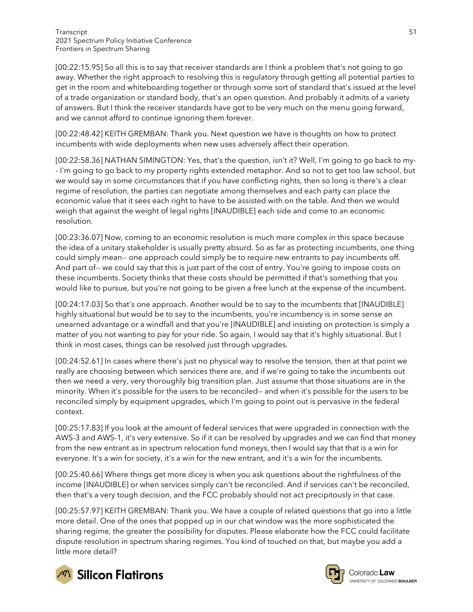[00:22:15.95] So all this is to say that receiver standards are I think a problem that's not going to go away. Whether the right approach to resolving this is regulatory through getting all potential parties to get in the room and whiteboarding together or through some sort of standard that's issued at the level of a trade organization or standard body, that's an open question. And probably it admits of a variety of answers. But I think the receiver standards have got to be very much on the menu going forward, and we cannot afford to continue ignoring them forever.

[00:22:48.42] KEITH GREMBAN: Thank you. Next question we have is thoughts on how to protect incumbents with wide deployments when new uses adversely affect their operation.

[00:22:58.36] NATHAN SIMINGTON: Yes, that's the question, isn't it? Well, I'm going to go back to my- - I'm going to go back to my property rights extended metaphor. And so not to get too law school, but we would say in some circumstances that if you have conflicting rights, then so long is there's a clear regime of resolution, the parties can negotiate among themselves and each party can place the economic value that it sees each right to have to be assisted with on the table. And then we would weigh that against the weight of legal rights [INAUDIBLE] each side and come to an economic resolution.

[00:23:36.07] Now, coming to an economic resolution is much more complex in this space because the idea of a unitary stakeholder is usually pretty absurd. So as far as protecting incumbents, one thing could simply mean-- one approach could simply be to require new entrants to pay incumbents off. And part of-- we could say that this is just part of the cost of entry. You're going to impose costs on these incumbents. Society thinks that these costs should be permitted if that's something that you would like to pursue, but you're not going to be given a free lunch at the expense of the incumbent.

[00:24:17.03] So that's one approach. Another would be to say to the incumbents that [INAUDIBLE] highly situational but would be to say to the incumbents, you're incumbency is in some sense an unearned advantage or a windfall and that you're [INAUDIBLE] and insisting on protection is simply a matter of you not wanting to pay for your ride. So again, I would say that it's highly situational. But I think in most cases, things can be resolved just through upgrades.

[00:24:52.61] In cases where there's just no physical way to resolve the tension, then at that point we really are choosing between which services there are, and if we're going to take the incumbents out then we need a very, very thoroughly big transition plan. Just assume that those situations are in the minority. When it's possible for the users to be reconciled-- and when it's possible for the users to be reconciled simply by equipment upgrades, which I'm going to point out is pervasive in the federal context.

[00:25:17.83] If you look at the amount of federal services that were upgraded in connection with the AWS-3 and AWS-1, it's very extensive. So if it can be resolved by upgrades and we can find that money from the new entrant as in spectrum relocation fund moneys, then I would say that that is a win for everyone. It's a win for society, it's a win for the new entrant, and it's a win for the incumbents.

[00:25:40.66] Where things get more dicey is when you ask questions about the rightfulness of the income [INAUDIBLE] or when services simply can't be reconciled. And if services can't be reconciled, then that's a very tough decision, and the FCC probably should not act precipitously in that case.

[00:25:57.97] KEITH GREMBAN: Thank you. We have a couple of related questions that go into a little more detail. One of the ones that popped up in our chat window was the more sophisticated the sharing regime, the greater the possibility for disputes. Please elaborate how the FCC could facilitate dispute resolution in spectrum sharing regimes. You kind of touched on that, but maybe you add a little more detail?



**M** Silicon Flatirons



Colorado Law UNIVERSITY OF COLORADO BOULDER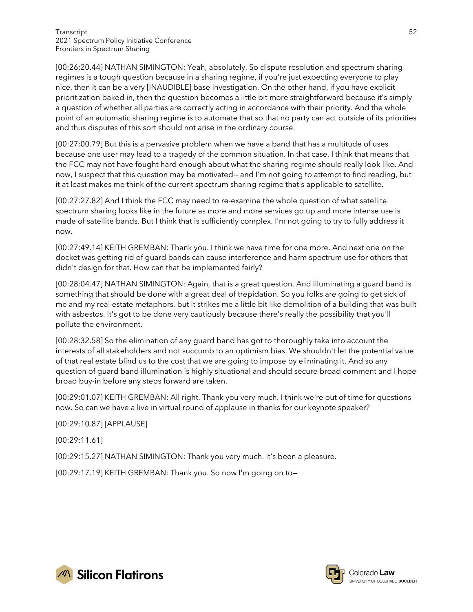[00:26:20.44] NATHAN SIMINGTON: Yeah, absolutely. So dispute resolution and spectrum sharing regimes is a tough question because in a sharing regime, if you're just expecting everyone to play nice, then it can be a very [INAUDIBLE] base investigation. On the other hand, if you have explicit prioritization baked in, then the question becomes a little bit more straightforward because it's simply a question of whether all parties are correctly acting in accordance with their priority. And the whole point of an automatic sharing regime is to automate that so that no party can act outside of its priorities and thus disputes of this sort should not arise in the ordinary course.

[00:27:00.79] But this is a pervasive problem when we have a band that has a multitude of uses because one user may lead to a tragedy of the common situation. In that case, I think that means that the FCC may not have fought hard enough about what the sharing regime should really look like. And now, I suspect that this question may be motivated-- and I'm not going to attempt to find reading, but it at least makes me think of the current spectrum sharing regime that's applicable to satellite.

[00:27:27.82] And I think the FCC may need to re-examine the whole question of what satellite spectrum sharing looks like in the future as more and more services go up and more intense use is made of satellite bands. But I think that is sufficiently complex. I'm not going to try to fully address it now.

[00:27:49.14] KEITH GREMBAN: Thank you. I think we have time for one more. And next one on the docket was getting rid of guard bands can cause interference and harm spectrum use for others that didn't design for that. How can that be implemented fairly?

[00:28:04.47] NATHAN SIMINGTON: Again, that is a great question. And illuminating a guard band is something that should be done with a great deal of trepidation. So you folks are going to get sick of me and my real estate metaphors, but it strikes me a little bit like demolition of a building that was built with asbestos. It's got to be done very cautiously because there's really the possibility that you'll pollute the environment.

[00:28:32.58] So the elimination of any guard band has got to thoroughly take into account the interests of all stakeholders and not succumb to an optimism bias. We shouldn't let the potential value of that real estate blind us to the cost that we are going to impose by eliminating it. And so any question of guard band illumination is highly situational and should secure broad comment and I hope broad buy-in before any steps forward are taken.

[00:29:01.07] KEITH GREMBAN: All right. Thank you very much. I think we're out of time for questions now. So can we have a live in virtual round of applause in thanks for our keynote speaker?

[00:29:10.87] [APPLAUSE]

[00:29:11.61]

[00:29:15.27] NATHAN SIMINGTON: Thank you very much. It's been a pleasure.

[00:29:17.19] KEITH GREMBAN: Thank you. So now I'm going on to—



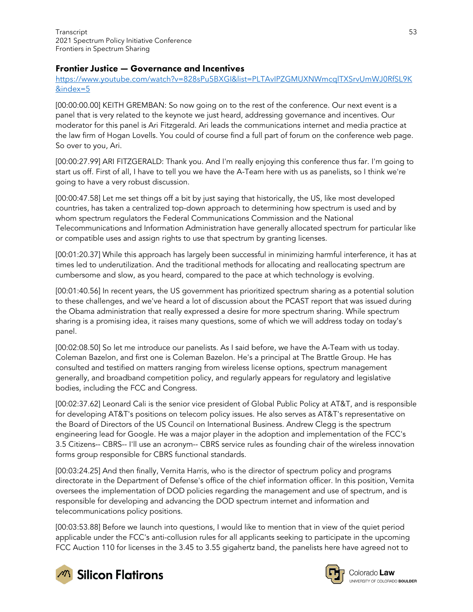## Frontier Justice — Governance and Incentives

[https://www.youtube.com/watch?v=828sPu5BXGI&list=PLTAvIPZGMUXNWmcqlTXSrvUmWJ0RfSL9K](https://www.youtube.com/watch?v=828sPu5BXGI&list=PLTAvIPZGMUXNWmcqlTXSrvUmWJ0RfSL9K&index=5) [&index=5](https://www.youtube.com/watch?v=828sPu5BXGI&list=PLTAvIPZGMUXNWmcqlTXSrvUmWJ0RfSL9K&index=5)

[00:00:00.00] KEITH GREMBAN: So now going on to the rest of the conference. Our next event is a panel that is very related to the keynote we just heard, addressing governance and incentives. Our moderator for this panel is Ari Fitzgerald. Ari leads the communications internet and media practice at the law firm of Hogan Lovells. You could of course find a full part of forum on the conference web page. So over to you, Ari.

[00:00:27.99] ARI FITZGERALD: Thank you. And I'm really enjoying this conference thus far. I'm going to start us off. First of all, I have to tell you we have the A-Team here with us as panelists, so I think we're going to have a very robust discussion.

[00:00:47.58] Let me set things off a bit by just saying that historically, the US, like most developed countries, has taken a centralized top-down approach to determining how spectrum is used and by whom spectrum regulators the Federal Communications Commission and the National Telecommunications and Information Administration have generally allocated spectrum for particular like or compatible uses and assign rights to use that spectrum by granting licenses.

[00:01:20.37] While this approach has largely been successful in minimizing harmful interference, it has at times led to underutilization. And the traditional methods for allocating and reallocating spectrum are cumbersome and slow, as you heard, compared to the pace at which technology is evolving.

[00:01:40.56] In recent years, the US government has prioritized spectrum sharing as a potential solution to these challenges, and we've heard a lot of discussion about the PCAST report that was issued during the Obama administration that really expressed a desire for more spectrum sharing. While spectrum sharing is a promising idea, it raises many questions, some of which we will address today on today's panel.

[00:02:08.50] So let me introduce our panelists. As I said before, we have the A-Team with us today. Coleman Bazelon, and first one is Coleman Bazelon. He's a principal at The Brattle Group. He has consulted and testified on matters ranging from wireless license options, spectrum management generally, and broadband competition policy, and regularly appears for regulatory and legislative bodies, including the FCC and Congress.

[00:02:37.62] Leonard Cali is the senior vice president of Global Public Policy at AT&T, and is responsible for developing AT&T's positions on telecom policy issues. He also serves as AT&T's representative on the Board of Directors of the US Council on International Business. Andrew Clegg is the spectrum engineering lead for Google. He was a major player in the adoption and implementation of the FCC's 3.5 Citizens-- CBRS-- I'll use an acronym-- CBRS service rules as founding chair of the wireless innovation forms group responsible for CBRS functional standards.

[00:03:24.25] And then finally, Vernita Harris, who is the director of spectrum policy and programs directorate in the Department of Defense's office of the chief information officer. In this position, Vernita oversees the implementation of DOD policies regarding the management and use of spectrum, and is responsible for developing and advancing the DOD spectrum internet and information and telecommunications policy positions.

[00:03:53.88] Before we launch into questions, I would like to mention that in view of the quiet period applicable under the FCC's anti-collusion rules for all applicants seeking to participate in the upcoming FCC Auction 110 for licenses in the 3.45 to 3.55 gigahertz band, the panelists here have agreed not to



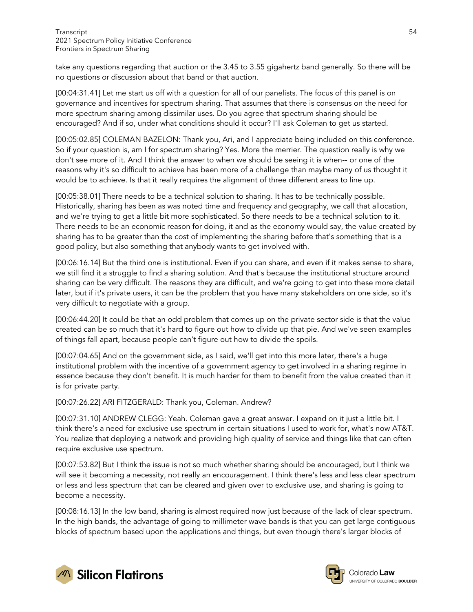take any questions regarding that auction or the 3.45 to 3.55 gigahertz band generally. So there will be no questions or discussion about that band or that auction.

[00:04:31.41] Let me start us off with a question for all of our panelists. The focus of this panel is on governance and incentives for spectrum sharing. That assumes that there is consensus on the need for more spectrum sharing among dissimilar uses. Do you agree that spectrum sharing should be encouraged? And if so, under what conditions should it occur? I'll ask Coleman to get us started.

[00:05:02.85] COLEMAN BAZELON: Thank you, Ari, and I appreciate being included on this conference. So if your question is, am I for spectrum sharing? Yes. More the merrier. The question really is why we don't see more of it. And I think the answer to when we should be seeing it is when-- or one of the reasons why it's so difficult to achieve has been more of a challenge than maybe many of us thought it would be to achieve. Is that it really requires the alignment of three different areas to line up.

[00:05:38.01] There needs to be a technical solution to sharing. It has to be technically possible. Historically, sharing has been as was noted time and frequency and geography, we call that allocation, and we're trying to get a little bit more sophisticated. So there needs to be a technical solution to it. There needs to be an economic reason for doing, it and as the economy would say, the value created by sharing has to be greater than the cost of implementing the sharing before that's something that is a good policy, but also something that anybody wants to get involved with.

[00:06:16.14] But the third one is institutional. Even if you can share, and even if it makes sense to share, we still find it a struggle to find a sharing solution. And that's because the institutional structure around sharing can be very difficult. The reasons they are difficult, and we're going to get into these more detail later, but if it's private users, it can be the problem that you have many stakeholders on one side, so it's very difficult to negotiate with a group.

[00:06:44.20] It could be that an odd problem that comes up on the private sector side is that the value created can be so much that it's hard to figure out how to divide up that pie. And we've seen examples of things fall apart, because people can't figure out how to divide the spoils.

[00:07:04.65] And on the government side, as I said, we'll get into this more later, there's a huge institutional problem with the incentive of a government agency to get involved in a sharing regime in essence because they don't benefit. It is much harder for them to benefit from the value created than it is for private party.

[00:07:26.22] ARI FITZGERALD: Thank you, Coleman. Andrew?

[00:07:31.10] ANDREW CLEGG: Yeah. Coleman gave a great answer. I expand on it just a little bit. I think there's a need for exclusive use spectrum in certain situations I used to work for, what's now AT&T. You realize that deploying a network and providing high quality of service and things like that can often require exclusive use spectrum.

[00:07:53.82] But I think the issue is not so much whether sharing should be encouraged, but I think we will see it becoming a necessity, not really an encouragement. I think there's less and less clear spectrum or less and less spectrum that can be cleared and given over to exclusive use, and sharing is going to become a necessity.

[00:08:16.13] In the low band, sharing is almost required now just because of the lack of clear spectrum. In the high bands, the advantage of going to millimeter wave bands is that you can get large contiguous blocks of spectrum based upon the applications and things, but even though there's larger blocks of



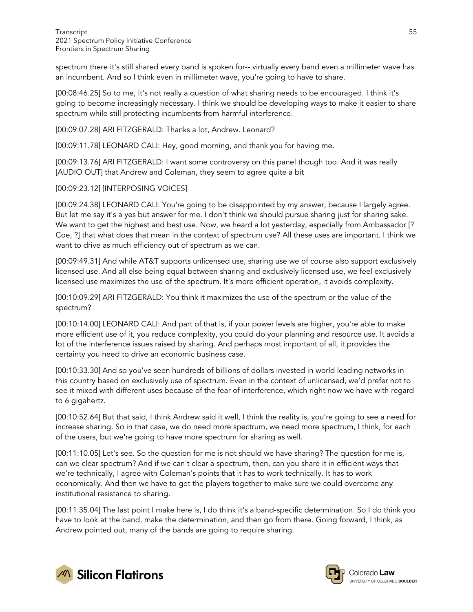spectrum there it's still shared every band is spoken for-- virtually every band even a millimeter wave has an incumbent. And so I think even in millimeter wave, you're going to have to share.

[00:08:46.25] So to me, it's not really a question of what sharing needs to be encouraged. I think it's going to become increasingly necessary. I think we should be developing ways to make it easier to share spectrum while still protecting incumbents from harmful interference.

[00:09:07.28] ARI FITZGERALD: Thanks a lot, Andrew. Leonard?

[00:09:11.78] LEONARD CALI: Hey, good morning, and thank you for having me.

[00:09:13.76] ARI FITZGERALD: I want some controversy on this panel though too. And it was really [AUDIO OUT] that Andrew and Coleman, they seem to agree quite a bit

## [00:09:23.12] [INTERPOSING VOICES]

[00:09:24.38] LEONARD CALI: You're going to be disappointed by my answer, because I largely agree. But let me say it's a yes but answer for me. I don't think we should pursue sharing just for sharing sake. We want to get the highest and best use. Now, we heard a lot yesterday, especially from Ambassador [? Coe, ?] that what does that mean in the context of spectrum use? All these uses are important. I think we want to drive as much efficiency out of spectrum as we can.

[00:09:49.31] And while AT&T supports unlicensed use, sharing use we of course also support exclusively licensed use. And all else being equal between sharing and exclusively licensed use, we feel exclusively licensed use maximizes the use of the spectrum. It's more efficient operation, it avoids complexity.

[00:10:09.29] ARI FITZGERALD: You think it maximizes the use of the spectrum or the value of the spectrum?

[00:10:14.00] LEONARD CALI: And part of that is, if your power levels are higher, you're able to make more efficient use of it, you reduce complexity, you could do your planning and resource use. It avoids a lot of the interference issues raised by sharing. And perhaps most important of all, it provides the certainty you need to drive an economic business case.

[00:10:33.30] And so you've seen hundreds of billions of dollars invested in world leading networks in this country based on exclusively use of spectrum. Even in the context of unlicensed, we'd prefer not to see it mixed with different uses because of the fear of interference, which right now we have with regard to 6 gigahertz.

[00:10:52.64] But that said, I think Andrew said it well, I think the reality is, you're going to see a need for increase sharing. So in that case, we do need more spectrum, we need more spectrum, I think, for each of the users, but we're going to have more spectrum for sharing as well.

[00:11:10.05] Let's see. So the question for me is not should we have sharing? The question for me is, can we clear spectrum? And if we can't clear a spectrum, then, can you share it in efficient ways that we're technically, I agree with Coleman's points that it has to work technically. It has to work economically. And then we have to get the players together to make sure we could overcome any institutional resistance to sharing.

[00:11:35.04] The last point I make here is, I do think it's a band-specific determination. So I do think you have to look at the band, make the determination, and then go from there. Going forward, I think, as Andrew pointed out, many of the bands are going to require sharing.



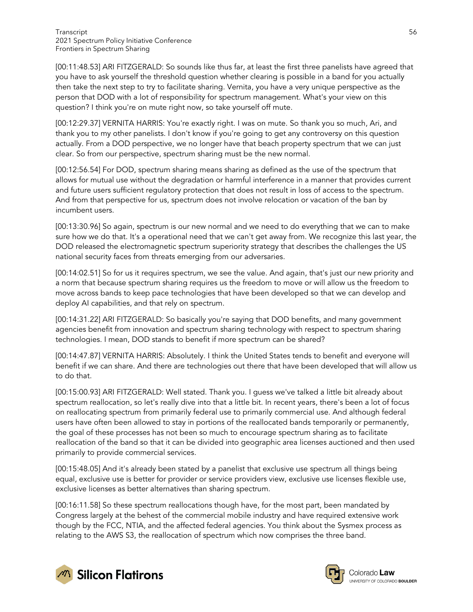[00:11:48.53] ARI FITZGERALD: So sounds like thus far, at least the first three panelists have agreed that you have to ask yourself the threshold question whether clearing is possible in a band for you actually then take the next step to try to facilitate sharing. Vernita, you have a very unique perspective as the person that DOD with a lot of responsibility for spectrum management. What's your view on this question? I think you're on mute right now, so take yourself off mute.

[00:12:29.37] VERNITA HARRIS: You're exactly right. I was on mute. So thank you so much, Ari, and thank you to my other panelists. I don't know if you're going to get any controversy on this question actually. From a DOD perspective, we no longer have that beach property spectrum that we can just clear. So from our perspective, spectrum sharing must be the new normal.

[00:12:56.54] For DOD, spectrum sharing means sharing as defined as the use of the spectrum that allows for mutual use without the degradation or harmful interference in a manner that provides current and future users sufficient regulatory protection that does not result in loss of access to the spectrum. And from that perspective for us, spectrum does not involve relocation or vacation of the ban by incumbent users.

[00:13:30.96] So again, spectrum is our new normal and we need to do everything that we can to make sure how we do that. It's a operational need that we can't get away from. We recognize this last year, the DOD released the electromagnetic spectrum superiority strategy that describes the challenges the US national security faces from threats emerging from our adversaries.

[00:14:02.51] So for us it requires spectrum, we see the value. And again, that's just our new priority and a norm that because spectrum sharing requires us the freedom to move or will allow us the freedom to move across bands to keep pace technologies that have been developed so that we can develop and deploy AI capabilities, and that rely on spectrum.

[00:14:31.22] ARI FITZGERALD: So basically you're saying that DOD benefits, and many government agencies benefit from innovation and spectrum sharing technology with respect to spectrum sharing technologies. I mean, DOD stands to benefit if more spectrum can be shared?

[00:14:47.87] VERNITA HARRIS: Absolutely. I think the United States tends to benefit and everyone will benefit if we can share. And there are technologies out there that have been developed that will allow us to do that.

[00:15:00.93] ARI FITZGERALD: Well stated. Thank you. I guess we've talked a little bit already about spectrum reallocation, so let's really dive into that a little bit. In recent years, there's been a lot of focus on reallocating spectrum from primarily federal use to primarily commercial use. And although federal users have often been allowed to stay in portions of the reallocated bands temporarily or permanently, the goal of these processes has not been so much to encourage spectrum sharing as to facilitate reallocation of the band so that it can be divided into geographic area licenses auctioned and then used primarily to provide commercial services.

[00:15:48.05] And it's already been stated by a panelist that exclusive use spectrum all things being equal, exclusive use is better for provider or service providers view, exclusive use licenses flexible use, exclusive licenses as better alternatives than sharing spectrum.

[00:16:11.58] So these spectrum reallocations though have, for the most part, been mandated by Congress largely at the behest of the commercial mobile industry and have required extensive work though by the FCC, NTIA, and the affected federal agencies. You think about the Sysmex process as relating to the AWS S3, the reallocation of spectrum which now comprises the three band.



Colorado Law UNIVERSITY OF COLORADO BOULDER

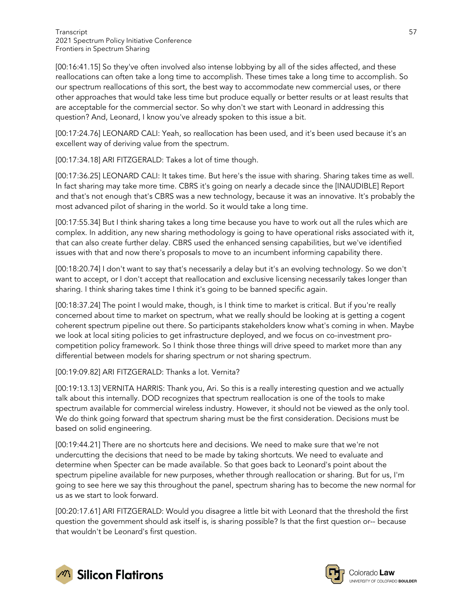[00:16:41.15] So they've often involved also intense lobbying by all of the sides affected, and these reallocations can often take a long time to accomplish. These times take a long time to accomplish. So our spectrum reallocations of this sort, the best way to accommodate new commercial uses, or there other approaches that would take less time but produce equally or better results or at least results that are acceptable for the commercial sector. So why don't we start with Leonard in addressing this question? And, Leonard, I know you've already spoken to this issue a bit.

[00:17:24.76] LEONARD CALI: Yeah, so reallocation has been used, and it's been used because it's an excellent way of deriving value from the spectrum.

[00:17:34.18] ARI FITZGERALD: Takes a lot of time though.

[00:17:36.25] LEONARD CALI: It takes time. But here's the issue with sharing. Sharing takes time as well. In fact sharing may take more time. CBRS it's going on nearly a decade since the [INAUDIBLE] Report and that's not enough that's CBRS was a new technology, because it was an innovative. It's probably the most advanced pilot of sharing in the world. So it would take a long time.

[00:17:55.34] But I think sharing takes a long time because you have to work out all the rules which are complex. In addition, any new sharing methodology is going to have operational risks associated with it, that can also create further delay. CBRS used the enhanced sensing capabilities, but we've identified issues with that and now there's proposals to move to an incumbent informing capability there.

[00:18:20.74] I don't want to say that's necessarily a delay but it's an evolving technology. So we don't want to accept, or I don't accept that reallocation and exclusive licensing necessarily takes longer than sharing. I think sharing takes time I think it's going to be banned specific again.

[00:18:37.24] The point I would make, though, is I think time to market is critical. But if you're really concerned about time to market on spectrum, what we really should be looking at is getting a cogent coherent spectrum pipeline out there. So participants stakeholders know what's coming in when. Maybe we look at local siting policies to get infrastructure deployed, and we focus on co-investment procompetition policy framework. So I think those three things will drive speed to market more than any differential between models for sharing spectrum or not sharing spectrum.

[00:19:09.82] ARI FITZGERALD: Thanks a lot. Vernita?

[00:19:13.13] VERNITA HARRIS: Thank you, Ari. So this is a really interesting question and we actually talk about this internally. DOD recognizes that spectrum reallocation is one of the tools to make spectrum available for commercial wireless industry. However, it should not be viewed as the only tool. We do think going forward that spectrum sharing must be the first consideration. Decisions must be based on solid engineering.

[00:19:44.21] There are no shortcuts here and decisions. We need to make sure that we're not undercutting the decisions that need to be made by taking shortcuts. We need to evaluate and determine when Specter can be made available. So that goes back to Leonard's point about the spectrum pipeline available for new purposes, whether through reallocation or sharing. But for us, I'm going to see here we say this throughout the panel, spectrum sharing has to become the new normal for us as we start to look forward.

[00:20:17.61] ARI FITZGERALD: Would you disagree a little bit with Leonard that the threshold the first question the government should ask itself is, is sharing possible? Is that the first question or-- because that wouldn't be Leonard's first question.



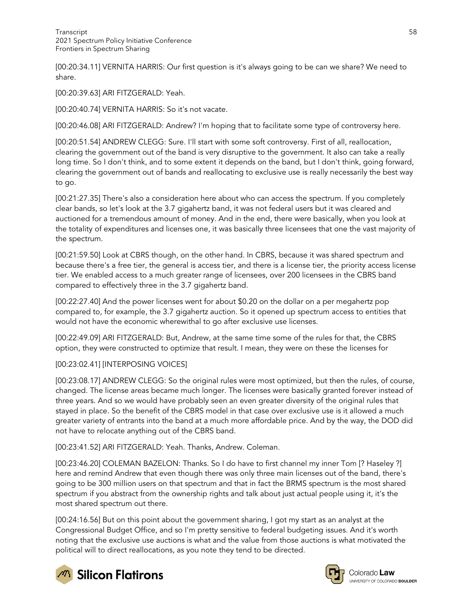[00:20:34.11] VERNITA HARRIS: Our first question is it's always going to be can we share? We need to share.

[00:20:39.63] ARI FITZGERALD: Yeah.

[00:20:40.74] VERNITA HARRIS: So it's not vacate.

[00:20:46.08] ARI FITZGERALD: Andrew? I'm hoping that to facilitate some type of controversy here.

[00:20:51.54] ANDREW CLEGG: Sure. I'll start with some soft controversy. First of all, reallocation, clearing the government out of the band is very disruptive to the government. It also can take a really long time. So I don't think, and to some extent it depends on the band, but I don't think, going forward, clearing the government out of bands and reallocating to exclusive use is really necessarily the best way to go.

[00:21:27.35] There's also a consideration here about who can access the spectrum. If you completely clear bands, so let's look at the 3.7 gigahertz band, it was not federal users but it was cleared and auctioned for a tremendous amount of money. And in the end, there were basically, when you look at the totality of expenditures and licenses one, it was basically three licensees that one the vast majority of the spectrum.

[00:21:59.50] Look at CBRS though, on the other hand. In CBRS, because it was shared spectrum and because there's a free tier, the general is access tier, and there is a license tier, the priority access license tier. We enabled access to a much greater range of licensees, over 200 licensees in the CBRS band compared to effectively three in the 3.7 gigahertz band.

[00:22:27.40] And the power licenses went for about \$0.20 on the dollar on a per megahertz pop compared to, for example, the 3.7 gigahertz auction. So it opened up spectrum access to entities that would not have the economic wherewithal to go after exclusive use licenses.

[00:22:49.09] ARI FITZGERALD: But, Andrew, at the same time some of the rules for that, the CBRS option, they were constructed to optimize that result. I mean, they were on these the licenses for

#### [00:23:02.41] [INTERPOSING VOICES]

[00:23:08.17] ANDREW CLEGG: So the original rules were most optimized, but then the rules, of course, changed. The license areas became much longer. The licenses were basically granted forever instead of three years. And so we would have probably seen an even greater diversity of the original rules that stayed in place. So the benefit of the CBRS model in that case over exclusive use is it allowed a much greater variety of entrants into the band at a much more affordable price. And by the way, the DOD did not have to relocate anything out of the CBRS band.

[00:23:41.52] ARI FITZGERALD: Yeah. Thanks, Andrew. Coleman.

[00:23:46.20] COLEMAN BAZELON: Thanks. So I do have to first channel my inner Tom [? Haseley ?] here and remind Andrew that even though there was only three main licenses out of the band, there's going to be 300 million users on that spectrum and that in fact the BRMS spectrum is the most shared spectrum if you abstract from the ownership rights and talk about just actual people using it, it's the most shared spectrum out there.

[00:24:16.56] But on this point about the government sharing, I got my start as an analyst at the Congressional Budget Office, and so I'm pretty sensitive to federal budgeting issues. And it's worth noting that the exclusive use auctions is what and the value from those auctions is what motivated the political will to direct reallocations, as you note they tend to be directed.



**M** Silicon Flatirons

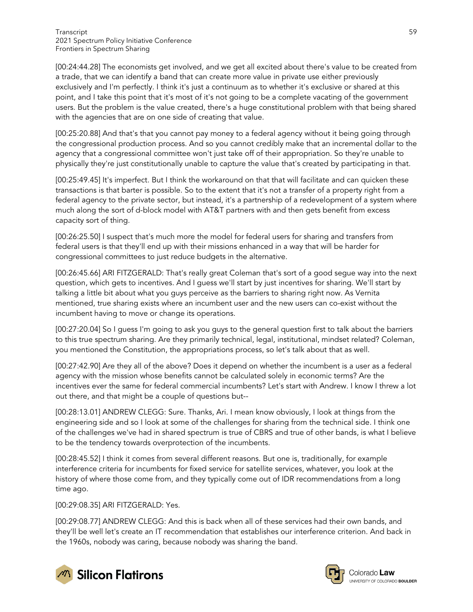[00:24:44.28] The economists get involved, and we get all excited about there's value to be created from a trade, that we can identify a band that can create more value in private use either previously exclusively and I'm perfectly. I think it's just a continuum as to whether it's exclusive or shared at this point, and I take this point that it's most of it's not going to be a complete vacating of the government users. But the problem is the value created, there's a huge constitutional problem with that being shared with the agencies that are on one side of creating that value.

[00:25:20.88] And that's that you cannot pay money to a federal agency without it being going through the congressional production process. And so you cannot credibly make that an incremental dollar to the agency that a congressional committee won't just take off of their appropriation. So they're unable to physically they're just constitutionally unable to capture the value that's created by participating in that.

[00:25:49.45] It's imperfect. But I think the workaround on that that will facilitate and can quicken these transactions is that barter is possible. So to the extent that it's not a transfer of a property right from a federal agency to the private sector, but instead, it's a partnership of a redevelopment of a system where much along the sort of d-block model with AT&T partners with and then gets benefit from excess capacity sort of thing.

[00:26:25.50] I suspect that's much more the model for federal users for sharing and transfers from federal users is that they'll end up with their missions enhanced in a way that will be harder for congressional committees to just reduce budgets in the alternative.

[00:26:45.66] ARI FITZGERALD: That's really great Coleman that's sort of a good segue way into the next question, which gets to incentives. And I guess we'll start by just incentives for sharing. We'll start by talking a little bit about what you guys perceive as the barriers to sharing right now. As Vernita mentioned, true sharing exists where an incumbent user and the new users can co-exist without the incumbent having to move or change its operations.

[00:27:20.04] So I guess I'm going to ask you guys to the general question first to talk about the barriers to this true spectrum sharing. Are they primarily technical, legal, institutional, mindset related? Coleman, you mentioned the Constitution, the appropriations process, so let's talk about that as well.

[00:27:42.90] Are they all of the above? Does it depend on whether the incumbent is a user as a federal agency with the mission whose benefits cannot be calculated solely in economic terms? Are the incentives ever the same for federal commercial incumbents? Let's start with Andrew. I know I threw a lot out there, and that might be a couple of questions but--

[00:28:13.01] ANDREW CLEGG: Sure. Thanks, Ari. I mean know obviously, I look at things from the engineering side and so I look at some of the challenges for sharing from the technical side. I think one of the challenges we've had in shared spectrum is true of CBRS and true of other bands, is what I believe to be the tendency towards overprotection of the incumbents.

[00:28:45.52] I think it comes from several different reasons. But one is, traditionally, for example interference criteria for incumbents for fixed service for satellite services, whatever, you look at the history of where those come from, and they typically come out of IDR recommendations from a long time ago.

[00:29:08.35] ARI FITZGERALD: Yes.

[00:29:08.77] ANDREW CLEGG: And this is back when all of these services had their own bands, and they'll be well let's create an IT recommendation that establishes our interference criterion. And back in the 1960s, nobody was caring, because nobody was sharing the band.



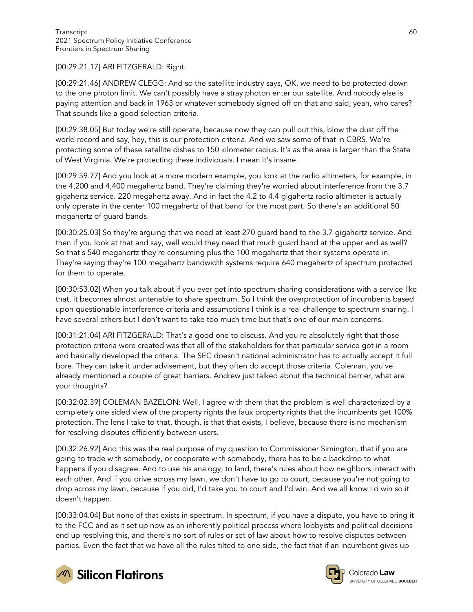[00:29:21.17] ARI FITZGERALD: Right.

[00:29:21.46] ANDREW CLEGG: And so the satellite industry says, OK, we need to be protected down to the one photon limit. We can't possibly have a stray photon enter our satellite. And nobody else is paying attention and back in 1963 or whatever somebody signed off on that and said, yeah, who cares? That sounds like a good selection criteria.

[00:29:38.05] But today we're still operate, because now they can pull out this, blow the dust off the world record and say, hey, this is our protection criteria. And we saw some of that in CBRS. We're protecting some of these satellite dishes to 150 kilometer radius. It's as the area is larger than the State of West Virginia. We're protecting these individuals. I mean it's insane.

[00:29:59.77] And you look at a more modern example, you look at the radio altimeters, for example, in the 4,200 and 4,400 megahertz band. They're claiming they're worried about interference from the 3.7 gigahertz service. 220 megahertz away. And in fact the 4.2 to 4.4 gigahertz radio altimeter is actually only operate in the center 100 megahertz of that band for the most part. So there's an additional 50 megahertz of guard bands.

[00:30:25.03] So they're arguing that we need at least 270 guard band to the 3.7 gigahertz service. And then if you look at that and say, well would they need that much guard band at the upper end as well? So that's 540 megahertz they're consuming plus the 100 megahertz that their systems operate in. They're saying they're 100 megahertz bandwidth systems require 640 megahertz of spectrum protected for them to operate.

[00:30:53.02] When you talk about if you ever get into spectrum sharing considerations with a service like that, it becomes almost untenable to share spectrum. So I think the overprotection of incumbents based upon questionable interference criteria and assumptions I think is a real challenge to spectrum sharing. I have several others but I don't want to take too much time but that's one of our main concerns.

[00:31:21.04] ARI FITZGERALD: That's a good one to discuss. And you're absolutely right that those protection criteria were created was that all of the stakeholders for that particular service got in a room and basically developed the criteria. The SEC doesn't national administrator has to actually accept it full bore. They can take it under advisement, but they often do accept those criteria. Coleman, you've already mentioned a couple of great barriers. Andrew just talked about the technical barrier, what are your thoughts?

[00:32:02.39] COLEMAN BAZELON: Well, I agree with them that the problem is well characterized by a completely one sided view of the property rights the faux property rights that the incumbents get 100% protection. The lens I take to that, though, is that that exists, I believe, because there is no mechanism for resolving disputes efficiently between users.

[00:32:26.92] And this was the real purpose of my question to Commissioner Simington, that if you are going to trade with somebody, or cooperate with somebody, there has to be a backdrop to what happens if you disagree. And to use his analogy, to land, there's rules about how neighbors interact with each other. And if you drive across my lawn, we don't have to go to court, because you're not going to drop across my lawn, because if you did, I'd take you to court and I'd win. And we all know I'd win so it doesn't happen.

[00:33:04.04] But none of that exists in spectrum. In spectrum, if you have a dispute, you have to bring it to the FCC and as it set up now as an inherently political process where lobbyists and political decisions end up resolving this, and there's no sort of rules or set of law about how to resolve disputes between parties. Even the fact that we have all the rules tilted to one side, the fact that if an incumbent gives up





Colorado Law UNIVERSITY OF COLORADO BOULDER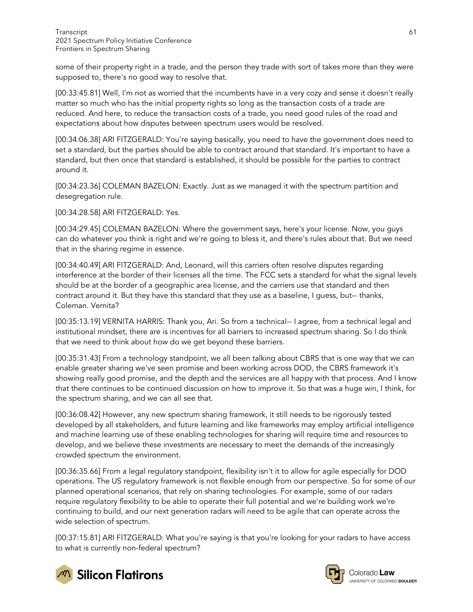some of their property right in a trade, and the person they trade with sort of takes more than they were supposed to, there's no good way to resolve that.

[00:33:45.81] Well, I'm not as worried that the incumbents have in a very cozy and sense it doesn't really matter so much who has the initial property rights so long as the transaction costs of a trade are reduced. And here, to reduce the transaction costs of a trade, you need good rules of the road and expectations about how disputes between spectrum users would be resolved.

[00:34:06.38] ARI FITZGERALD: You're saying basically, you need to have the government does need to set a standard, but the parties should be able to contract around that standard. It's important to have a standard, but then once that standard is established, it should be possible for the parties to contract around it.

[00:34:23.36] COLEMAN BAZELON: Exactly. Just as we managed it with the spectrum partition and desegregation rule.

[00:34:28.58] ARI FITZGERALD: Yes.

[00:34:29.45] COLEMAN BAZELON: Where the government says, here's your license. Now, you guys can do whatever you think is right and we're going to bless it, and there's rules about that. But we need that in the sharing regime in essence.

[00:34:40.49] ARI FITZGERALD: And, Leonard, will this carriers often resolve disputes regarding interference at the border of their licenses all the time. The FCC sets a standard for what the signal levels should be at the border of a geographic area license, and the carriers use that standard and then contract around it. But they have this standard that they use as a baseline, I guess, but-- thanks, Coleman. Vernita?

[00:35:13.19] VERNITA HARRIS: Thank you, Ari. So from a technical-- I agree, from a technical legal and institutional mindset, there are is incentives for all barriers to increased spectrum sharing. So I do think that we need to think about how do we get beyond these barriers.

[00:35:31.43] From a technology standpoint, we all been talking about CBRS that is one way that we can enable greater sharing we've seen promise and been working across DOD, the CBRS framework it's showing really good promise, and the depth and the services are all happy with that process. And I know that there continues to be continued discussion on how to improve it. So that was a huge win, I think, for the spectrum sharing, and we can all see that.

[00:36:08.42] However, any new spectrum sharing framework, it still needs to be rigorously tested developed by all stakeholders, and future learning and like frameworks may employ artificial intelligence and machine learning use of these enabling technologies for sharing will require time and resources to develop, and we believe these investments are necessary to meet the demands of the increasingly crowded spectrum the environment.

[00:36:35.66] From a legal regulatory standpoint, flexibility isn't it to allow for agile especially for DOD operations. The US regulatory framework is not flexible enough from our perspective. So for some of our planned operational scenarios, that rely on sharing technologies. For example, some of our radars require regulatory flexibility to be able to operate their full potential and we're building work we're continuing to build, and our next generation radars will need to be agile that can operate across the wide selection of spectrum.

[00:37:15.81] ARI FITZGERALD: What you're saying is that you're looking for your radars to have access to what is currently non-federal spectrum?



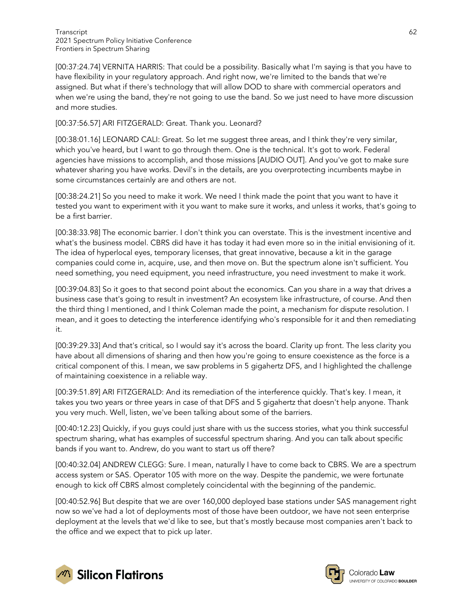[00:37:24.74] VERNITA HARRIS: That could be a possibility. Basically what I'm saying is that you have to have flexibility in your regulatory approach. And right now, we're limited to the bands that we're assigned. But what if there's technology that will allow DOD to share with commercial operators and when we're using the band, they're not going to use the band. So we just need to have more discussion and more studies.

## [00:37:56.57] ARI FITZGERALD: Great. Thank you. Leonard?

[00:38:01.16] LEONARD CALI: Great. So let me suggest three areas, and I think they're very similar, which you've heard, but I want to go through them. One is the technical. It's got to work. Federal agencies have missions to accomplish, and those missions [AUDIO OUT]. And you've got to make sure whatever sharing you have works. Devil's in the details, are you overprotecting incumbents maybe in some circumstances certainly are and others are not.

[00:38:24.21] So you need to make it work. We need I think made the point that you want to have it tested you want to experiment with it you want to make sure it works, and unless it works, that's going to be a first barrier.

[00:38:33.98] The economic barrier. I don't think you can overstate. This is the investment incentive and what's the business model. CBRS did have it has today it had even more so in the initial envisioning of it. The idea of hyperlocal eyes, temporary licenses, that great innovative, because a kit in the garage companies could come in, acquire, use, and then move on. But the spectrum alone isn't sufficient. You need something, you need equipment, you need infrastructure, you need investment to make it work.

[00:39:04.83] So it goes to that second point about the economics. Can you share in a way that drives a business case that's going to result in investment? An ecosystem like infrastructure, of course. And then the third thing I mentioned, and I think Coleman made the point, a mechanism for dispute resolution. I mean, and it goes to detecting the interference identifying who's responsible for it and then remediating it.

[00:39:29.33] And that's critical, so I would say it's across the board. Clarity up front. The less clarity you have about all dimensions of sharing and then how you're going to ensure coexistence as the force is a critical component of this. I mean, we saw problems in 5 gigahertz DFS, and I highlighted the challenge of maintaining coexistence in a reliable way.

[00:39:51.89] ARI FITZGERALD: And its remediation of the interference quickly. That's key. I mean, it takes you two years or three years in case of that DFS and 5 gigahertz that doesn't help anyone. Thank you very much. Well, listen, we've been talking about some of the barriers.

[00:40:12.23] Quickly, if you guys could just share with us the success stories, what you think successful spectrum sharing, what has examples of successful spectrum sharing. And you can talk about specific bands if you want to. Andrew, do you want to start us off there?

[00:40:32.04] ANDREW CLEGG: Sure. I mean, naturally I have to come back to CBRS. We are a spectrum access system or SAS. Operator 105 with more on the way. Despite the pandemic, we were fortunate enough to kick off CBRS almost completely coincidental with the beginning of the pandemic.

[00:40:52.96] But despite that we are over 160,000 deployed base stations under SAS management right now so we've had a lot of deployments most of those have been outdoor, we have not seen enterprise deployment at the levels that we'd like to see, but that's mostly because most companies aren't back to the office and we expect that to pick up later.



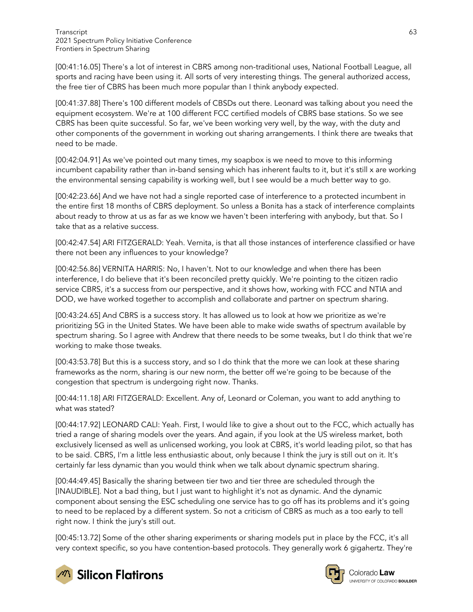[00:41:16.05] There's a lot of interest in CBRS among non-traditional uses, National Football League, all sports and racing have been using it. All sorts of very interesting things. The general authorized access, the free tier of CBRS has been much more popular than I think anybody expected.

[00:41:37.88] There's 100 different models of CBSDs out there. Leonard was talking about you need the equipment ecosystem. We're at 100 different FCC certified models of CBRS base stations. So we see CBRS has been quite successful. So far, we've been working very well, by the way, with the duty and other components of the government in working out sharing arrangements. I think there are tweaks that need to be made.

[00:42:04.91] As we've pointed out many times, my soapbox is we need to move to this informing incumbent capability rather than in-band sensing which has inherent faults to it, but it's still x are working the environmental sensing capability is working well, but I see would be a much better way to go.

[00:42:23.66] And we have not had a single reported case of interference to a protected incumbent in the entire first 18 months of CBRS deployment. So unless a Bonita has a stack of interference complaints about ready to throw at us as far as we know we haven't been interfering with anybody, but that. So I take that as a relative success.

[00:42:47.54] ARI FITZGERALD: Yeah. Vernita, is that all those instances of interference classified or have there not been any influences to your knowledge?

[00:42:56.86] VERNITA HARRIS: No, I haven't. Not to our knowledge and when there has been interference, I do believe that it's been reconciled pretty quickly. We're pointing to the citizen radio service CBRS, it's a success from our perspective, and it shows how, working with FCC and NTIA and DOD, we have worked together to accomplish and collaborate and partner on spectrum sharing.

[00:43:24.65] And CBRS is a success story. It has allowed us to look at how we prioritize as we're prioritizing 5G in the United States. We have been able to make wide swaths of spectrum available by spectrum sharing. So I agree with Andrew that there needs to be some tweaks, but I do think that we're working to make those tweaks.

[00:43:53.78] But this is a success story, and so I do think that the more we can look at these sharing frameworks as the norm, sharing is our new norm, the better off we're going to be because of the congestion that spectrum is undergoing right now. Thanks.

[00:44:11.18] ARI FITZGERALD: Excellent. Any of, Leonard or Coleman, you want to add anything to what was stated?

[00:44:17.92] LEONARD CALI: Yeah. First, I would like to give a shout out to the FCC, which actually has tried a range of sharing models over the years. And again, if you look at the US wireless market, both exclusively licensed as well as unlicensed working, you look at CBRS, it's world leading pilot, so that has to be said. CBRS, I'm a little less enthusiastic about, only because I think the jury is still out on it. It's certainly far less dynamic than you would think when we talk about dynamic spectrum sharing.

[00:44:49.45] Basically the sharing between tier two and tier three are scheduled through the [INAUDIBLE]. Not a bad thing, but I just want to highlight it's not as dynamic. And the dynamic component about sensing the ESC scheduling one service has to go off has its problems and it's going to need to be replaced by a different system. So not a criticism of CBRS as much as a too early to tell right now. I think the jury's still out.

[00:45:13.72] Some of the other sharing experiments or sharing models put in place by the FCC, it's all very context specific, so you have contention-based protocols. They generally work 6 gigahertz. They're





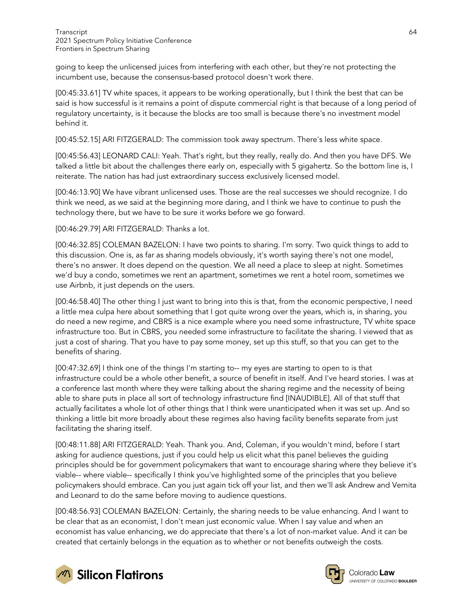going to keep the unlicensed juices from interfering with each other, but they're not protecting the incumbent use, because the consensus-based protocol doesn't work there.

[00:45:33.61] TV white spaces, it appears to be working operationally, but I think the best that can be said is how successful is it remains a point of dispute commercial right is that because of a long period of regulatory uncertainty, is it because the blocks are too small is because there's no investment model behind it.

[00:45:52.15] ARI FITZGERALD: The commission took away spectrum. There's less white space.

[00:45:56.43] LEONARD CALI: Yeah. That's right, but they really, really do. And then you have DFS. We talked a little bit about the challenges there early on, especially with 5 gigahertz. So the bottom line is, I reiterate. The nation has had just extraordinary success exclusively licensed model.

[00:46:13.90] We have vibrant unlicensed uses. Those are the real successes we should recognize. I do think we need, as we said at the beginning more daring, and I think we have to continue to push the technology there, but we have to be sure it works before we go forward.

[00:46:29.79] ARI FITZGERALD: Thanks a lot.

[00:46:32.85] COLEMAN BAZELON: I have two points to sharing. I'm sorry. Two quick things to add to this discussion. One is, as far as sharing models obviously, it's worth saying there's not one model, there's no answer. It does depend on the question. We all need a place to sleep at night. Sometimes we'd buy a condo, sometimes we rent an apartment, sometimes we rent a hotel room, sometimes we use Airbnb, it just depends on the users.

[00:46:58.40] The other thing I just want to bring into this is that, from the economic perspective, I need a little mea culpa here about something that I got quite wrong over the years, which is, in sharing, you do need a new regime, and CBRS is a nice example where you need some infrastructure, TV white space infrastructure too. But in CBRS, you needed some infrastructure to facilitate the sharing. I viewed that as just a cost of sharing. That you have to pay some money, set up this stuff, so that you can get to the benefits of sharing.

[00:47:32.69] I think one of the things I'm starting to-- my eyes are starting to open to is that infrastructure could be a whole other benefit, a source of benefit in itself. And I've heard stories. I was at a conference last month where they were talking about the sharing regime and the necessity of being able to share puts in place all sort of technology infrastructure find [INAUDIBLE]. All of that stuff that actually facilitates a whole lot of other things that I think were unanticipated when it was set up. And so thinking a little bit more broadly about these regimes also having facility benefits separate from just facilitating the sharing itself.

[00:48:11.88] ARI FITZGERALD: Yeah. Thank you. And, Coleman, if you wouldn't mind, before I start asking for audience questions, just if you could help us elicit what this panel believes the guiding principles should be for government policymakers that want to encourage sharing where they believe it's viable-- where viable-- specifically I think you've highlighted some of the principles that you believe policymakers should embrace. Can you just again tick off your list, and then we'll ask Andrew and Vernita and Leonard to do the same before moving to audience questions.

[00:48:56.93] COLEMAN BAZELON: Certainly, the sharing needs to be value enhancing. And I want to be clear that as an economist, I don't mean just economic value. When I say value and when an economist has value enhancing, we do appreciate that there's a lot of non-market value. And it can be created that certainly belongs in the equation as to whether or not benefits outweigh the costs.





Colorado Law **UNIVERSITY OF COLOBADO BOULDER**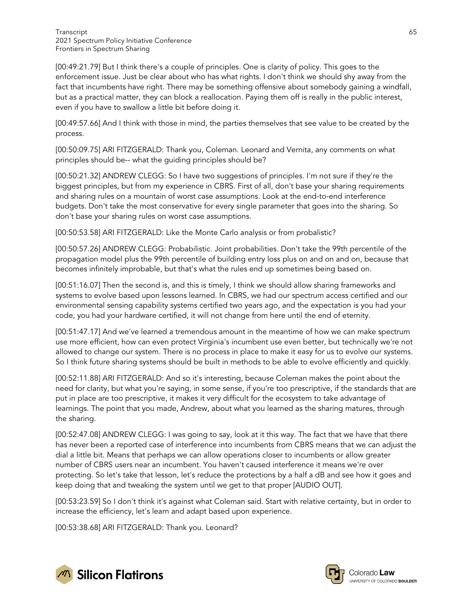[00:49:21.79] But I think there's a couple of principles. One is clarity of policy. This goes to the enforcement issue. Just be clear about who has what rights. I don't think we should shy away from the fact that incumbents have right. There may be something offensive about somebody gaining a windfall, but as a practical matter, they can block a reallocation. Paying them off is really in the public interest, even if you have to swallow a little bit before doing it.

[00:49:57.66] And I think with those in mind, the parties themselves that see value to be created by the process.

[00:50:09.75] ARI FITZGERALD: Thank you, Coleman. Leonard and Vernita, any comments on what principles should be-- what the guiding principles should be?

[00:50:21.32] ANDREW CLEGG: So I have two suggestions of principles. I'm not sure if they're the biggest principles, but from my experience in CBRS. First of all, don't base your sharing requirements and sharing rules on a mountain of worst case assumptions. Look at the end-to-end interference budgets. Don't take the most conservative for every single parameter that goes into the sharing. So don't base your sharing rules on worst case assumptions.

[00:50:53.58] ARI FITZGERALD: Like the Monte Carlo analysis or from probalistic?

[00:50:57.26] ANDREW CLEGG: Probabilistic. Joint probabilities. Don't take the 99th percentile of the propagation model plus the 99th percentile of building entry loss plus on and on and on, because that becomes infinitely improbable, but that's what the rules end up sometimes being based on.

[00:51:16.07] Then the second is, and this is timely, I think we should allow sharing frameworks and systems to evolve based upon lessons learned. In CBRS, we had our spectrum access certified and our environmental sensing capability systems certified two years ago, and the expectation is you had your code, you had your hardware certified, it will not change from here until the end of eternity.

[00:51:47.17] And we've learned a tremendous amount in the meantime of how we can make spectrum use more efficient, how can even protect Virginia's incumbent use even better, but technically we're not allowed to change our system. There is no process in place to make it easy for us to evolve our systems. So I think future sharing systems should be built in methods to be able to evolve efficiently and quickly.

[00:52:11.88] ARI FITZGERALD: And so it's interesting, because Coleman makes the point about the need for clarity, but what you're saying, in some sense, if you're too prescriptive, if the standards that are put in place are too prescriptive, it makes it very difficult for the ecosystem to take advantage of learnings. The point that you made, Andrew, about what you learned as the sharing matures, through the sharing.

[00:52:47.08] ANDREW CLEGG: I was going to say, look at it this way. The fact that we have that there has never been a reported case of interference into incumbents from CBRS means that we can adjust the dial a little bit. Means that perhaps we can allow operations closer to incumbents or allow greater number of CBRS users near an incumbent. You haven't caused interference it means we're over protecting. So let's take that lesson, let's reduce the protections by a half a dB and see how it goes and keep doing that and tweaking the system until we get to that proper [AUDIO OUT].

[00:53:23.59] So I don't think it's against what Coleman said. Start with relative certainty, but in order to increase the efficiency, let's learn and adapt based upon experience.

[00:53:38.68] ARI FITZGERALD: Thank you. Leonard?



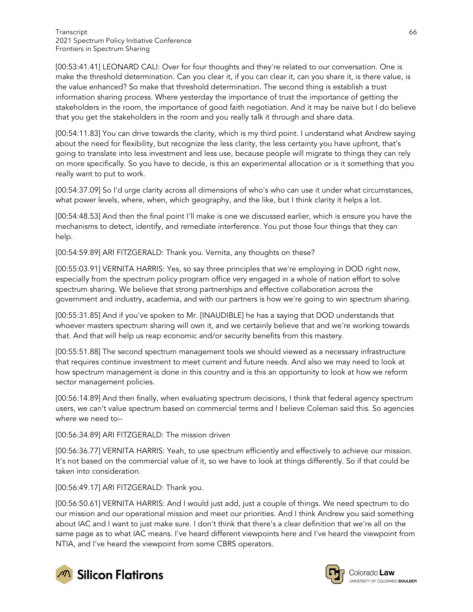[00:53:41.41] LEONARD CALI: Over for four thoughts and they're related to our conversation. One is make the threshold determination. Can you clear it, if you can clear it, can you share it, is there value, is the value enhanced? So make that threshold determination. The second thing is establish a trust information sharing process. Where yesterday the importance of trust the importance of getting the stakeholders in the room, the importance of good faith negotiation. And it may be naive but I do believe that you get the stakeholders in the room and you really talk it through and share data.

[00:54:11.83] You can drive towards the clarity, which is my third point. I understand what Andrew saying about the need for flexibility, but recognize the less clarity, the less certainty you have upfront, that's going to translate into less investment and less use, because people will migrate to things they can rely on more specifically. So you have to decide, is this an experimental allocation or is it something that you really want to put to work.

[00:54:37.09] So I'd urge clarity across all dimensions of who's who can use it under what circumstances, what power levels, where, when, which geography, and the like, but I think clarity it helps a lot.

[00:54:48.53] And then the final point I'll make is one we discussed earlier, which is ensure you have the mechanisms to detect, identify, and remediate interference. You put those four things that they can help.

[00:54:59.89] ARI FITZGERALD: Thank you. Vernita, any thoughts on these?

[00:55:03.91] VERNITA HARRIS: Yes, so say three principles that we're employing in DOD right now, especially from the spectrum policy program office very engaged in a whole of nation effort to solve spectrum sharing. We believe that strong partnerships and effective collaboration across the government and industry, academia, and with our partners is how we're going to win spectrum sharing.

[00:55:31.85] And if you've spoken to Mr. [INAUDIBLE] he has a saying that DOD understands that whoever masters spectrum sharing will own it, and we certainly believe that and we're working towards that. And that will help us reap economic and/or security benefits from this mastery.

[00:55:51.88] The second spectrum management tools we should viewed as a necessary infrastructure that requires continue investment to meet current and future needs. And also we may need to look at how spectrum management is done in this country and is this an opportunity to look at how we reform sector management policies.

[00:56:14.89] And then finally, when evaluating spectrum decisions, I think that federal agency spectrum users, we can't value spectrum based on commercial terms and I believe Coleman said this. So agencies where we need to--

[00:56:34.89] ARI FITZGERALD: The mission driven

[00:56:36.77] VERNITA HARRIS: Yeah, to use spectrum efficiently and effectively to achieve our mission. It's not based on the commercial value of it, so we have to look at things differently. So if that could be taken into consideration.

[00:56:49.17] ARI FITZGERALD: Thank you.

[00:56:50.61] VERNITA HARRIS: And I would just add, just a couple of things. We need spectrum to do our mission and our operational mission and meet our priorities. And I think Andrew you said something about IAC and I want to just make sure. I don't think that there's a clear definition that we're all on the same page as to what IAC means. I've heard different viewpoints here and I've heard the viewpoint from NTIA, and I've heard the viewpoint from some CBRS operators.



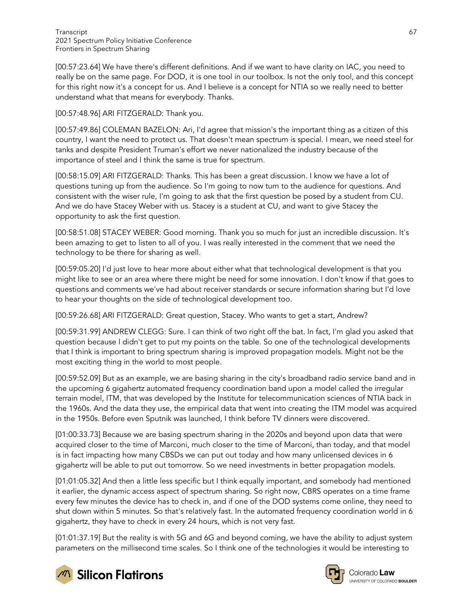[00:57:23.64] We have there's different definitions. And if we want to have clarity on IAC, you need to really be on the same page. For DOD, it is one tool in our toolbox. Is not the only tool, and this concept for this right now it's a concept for us. And I believe is a concept for NTIA so we really need to better understand what that means for everybody. Thanks.

[00:57:48.96] ARI FITZGERALD: Thank you.

[00:57:49.86] COLEMAN BAZELON: Ari, I'd agree that mission's the important thing as a citizen of this country, I want the need to protect us. That doesn't mean spectrum is special. I mean, we need steel for tanks and despite President Truman's effort we never nationalized the industry because of the importance of steel and I think the same is true for spectrum.

[00:58:15.09] ARI FITZGERALD: Thanks. This has been a great discussion. I know we have a lot of questions tuning up from the audience. So I'm going to now turn to the audience for questions. And consistent with the wiser rule, I'm going to ask that the first question be posed by a student from CU. And we do have Stacey Weber with us. Stacey is a student at CU, and want to give Stacey the opportunity to ask the first question.

[00:58:51.08] STACEY WEBER: Good morning. Thank you so much for just an incredible discussion. It's been amazing to get to listen to all of you. I was really interested in the comment that we need the technology to be there for sharing as well.

[00:59:05.20] I'd just love to hear more about either what that technological development is that you might like to see or an area where there might be need for some innovation. I don't know if that goes to questions and comments we've had about receiver standards or secure information sharing but I'd love to hear your thoughts on the side of technological development too.

[00:59:26.68] ARI FITZGERALD: Great question, Stacey. Who wants to get a start, Andrew?

[00:59:31.99] ANDREW CLEGG: Sure. I can think of two right off the bat. In fact, I'm glad you asked that question because I didn't get to put my points on the table. So one of the technological developments that I think is important to bring spectrum sharing is improved propagation models. Might not be the most exciting thing in the world to most people.

[00:59:52.09] But as an example, we are basing sharing in the city's broadband radio service band and in the upcoming 6 gigahertz automated frequency coordination band upon a model called the irregular terrain model, ITM, that was developed by the Institute for telecommunication sciences of NTIA back in the 1960s. And the data they use, the empirical data that went into creating the ITM model was acquired in the 1950s. Before even Sputnik was launched, I think before TV dinners were discovered.

[01:00:33.73] Because we are basing spectrum sharing in the 2020s and beyond upon data that were acquired closer to the time of Marconi, much closer to the time of Marconi, than today, and that model is in fact impacting how many CBSDs we can put out today and how many unlicensed devices in 6 gigahertz will be able to put out tomorrow. So we need investments in better propagation models.

[01:01:05.32] And then a little less specific but I think equally important, and somebody had mentioned it earlier, the dynamic access aspect of spectrum sharing. So right now, CBRS operates on a time frame every few minutes the device has to check in, and if one of the DOD systems come online, they need to shut down within 5 minutes. So that's relatively fast. In the automated frequency coordination world in 6 gigahertz, they have to check in every 24 hours, which is not very fast.

[01:01:37.19] But the reality is with 5G and 6G and beyond coming, we have the ability to adjust system parameters on the millisecond time scales. So I think one of the technologies it would be interesting to



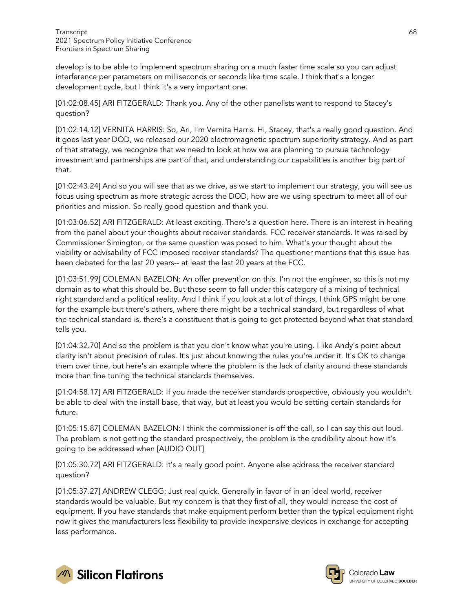develop is to be able to implement spectrum sharing on a much faster time scale so you can adjust interference per parameters on milliseconds or seconds like time scale. I think that's a longer development cycle, but I think it's a very important one.

[01:02:08.45] ARI FITZGERALD: Thank you. Any of the other panelists want to respond to Stacey's question?

[01:02:14.12] VERNITA HARRIS: So, Ari, I'm Vernita Harris. Hi, Stacey, that's a really good question. And it goes last year DOD, we released our 2020 electromagnetic spectrum superiority strategy. And as part of that strategy, we recognize that we need to look at how we are planning to pursue technology investment and partnerships are part of that, and understanding our capabilities is another big part of that.

[01:02:43.24] And so you will see that as we drive, as we start to implement our strategy, you will see us focus using spectrum as more strategic across the DOD, how are we using spectrum to meet all of our priorities and mission. So really good question and thank you.

[01:03:06.52] ARI FITZGERALD: At least exciting. There's a question here. There is an interest in hearing from the panel about your thoughts about receiver standards. FCC receiver standards. It was raised by Commissioner Simington, or the same question was posed to him. What's your thought about the viability or advisability of FCC imposed receiver standards? The questioner mentions that this issue has been debated for the last 20 years-- at least the last 20 years at the FCC.

[01:03:51.99] COLEMAN BAZELON: An offer prevention on this. I'm not the engineer, so this is not my domain as to what this should be. But these seem to fall under this category of a mixing of technical right standard and a political reality. And I think if you look at a lot of things, I think GPS might be one for the example but there's others, where there might be a technical standard, but regardless of what the technical standard is, there's a constituent that is going to get protected beyond what that standard tells you.

[01:04:32.70] And so the problem is that you don't know what you're using. I like Andy's point about clarity isn't about precision of rules. It's just about knowing the rules you're under it. It's OK to change them over time, but here's an example where the problem is the lack of clarity around these standards more than fine tuning the technical standards themselves.

[01:04:58.17] ARI FITZGERALD: If you made the receiver standards prospective, obviously you wouldn't be able to deal with the install base, that way, but at least you would be setting certain standards for future.

[01:05:15.87] COLEMAN BAZELON: I think the commissioner is off the call, so I can say this out loud. The problem is not getting the standard prospectively, the problem is the credibility about how it's going to be addressed when [AUDIO OUT]

[01:05:30.72] ARI FITZGERALD: It's a really good point. Anyone else address the receiver standard question?

[01:05:37.27] ANDREW CLEGG: Just real quick. Generally in favor of in an ideal world, receiver standards would be valuable. But my concern is that they first of all, they would increase the cost of equipment. If you have standards that make equipment perform better than the typical equipment right now it gives the manufacturers less flexibility to provide inexpensive devices in exchange for accepting less performance.



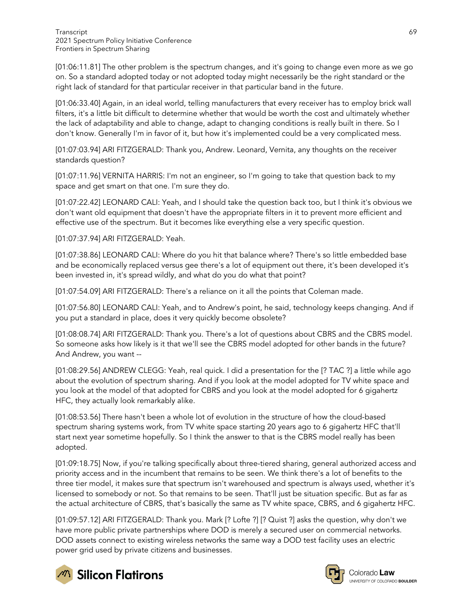[01:06:11.81] The other problem is the spectrum changes, and it's going to change even more as we go on. So a standard adopted today or not adopted today might necessarily be the right standard or the right lack of standard for that particular receiver in that particular band in the future.

[01:06:33.40] Again, in an ideal world, telling manufacturers that every receiver has to employ brick wall filters, it's a little bit difficult to determine whether that would be worth the cost and ultimately whether the lack of adaptability and able to change, adapt to changing conditions is really built in there. So I don't know. Generally I'm in favor of it, but how it's implemented could be a very complicated mess.

[01:07:03.94] ARI FITZGERALD: Thank you, Andrew. Leonard, Vernita, any thoughts on the receiver standards question?

[01:07:11.96] VERNITA HARRIS: I'm not an engineer, so I'm going to take that question back to my space and get smart on that one. I'm sure they do.

[01:07:22.42] LEONARD CALI: Yeah, and I should take the question back too, but I think it's obvious we don't want old equipment that doesn't have the appropriate filters in it to prevent more efficient and effective use of the spectrum. But it becomes like everything else a very specific question.

[01:07:37.94] ARI FITZGERALD: Yeah.

[01:07:38.86] LEONARD CALI: Where do you hit that balance where? There's so little embedded base and be economically replaced versus gee there's a lot of equipment out there, it's been developed it's been invested in, it's spread wildly, and what do you do what that point?

[01:07:54.09] ARI FITZGERALD: There's a reliance on it all the points that Coleman made.

[01:07:56.80] LEONARD CALI: Yeah, and to Andrew's point, he said, technology keeps changing. And if you put a standard in place, does it very quickly become obsolete?

[01:08:08.74] ARI FITZGERALD: Thank you. There's a lot of questions about CBRS and the CBRS model. So someone asks how likely is it that we'll see the CBRS model adopted for other bands in the future? And Andrew, you want --

[01:08:29.56] ANDREW CLEGG: Yeah, real quick. I did a presentation for the [? TAC ?] a little while ago about the evolution of spectrum sharing. And if you look at the model adopted for TV white space and you look at the model of that adopted for CBRS and you look at the model adopted for 6 gigahertz HFC, they actually look remarkably alike.

[01:08:53.56] There hasn't been a whole lot of evolution in the structure of how the cloud-based spectrum sharing systems work, from TV white space starting 20 years ago to 6 gigahertz HFC that'll start next year sometime hopefully. So I think the answer to that is the CBRS model really has been adopted.

[01:09:18.75] Now, if you're talking specifically about three-tiered sharing, general authorized access and priority access and in the incumbent that remains to be seen. We think there's a lot of benefits to the three tier model, it makes sure that spectrum isn't warehoused and spectrum is always used, whether it's licensed to somebody or not. So that remains to be seen. That'll just be situation specific. But as far as the actual architecture of CBRS, that's basically the same as TV white space, CBRS, and 6 gigahertz HFC.

[01:09:57.12] ARI FITZGERALD: Thank you. Mark [? Lofte ?] [? Quist ?] asks the question, why don't we have more public private partnerships where DOD is merely a secured user on commercial networks. DOD assets connect to existing wireless networks the same way a DOD test facility uses an electric power grid used by private citizens and businesses.



**M** Silicon Flatirons

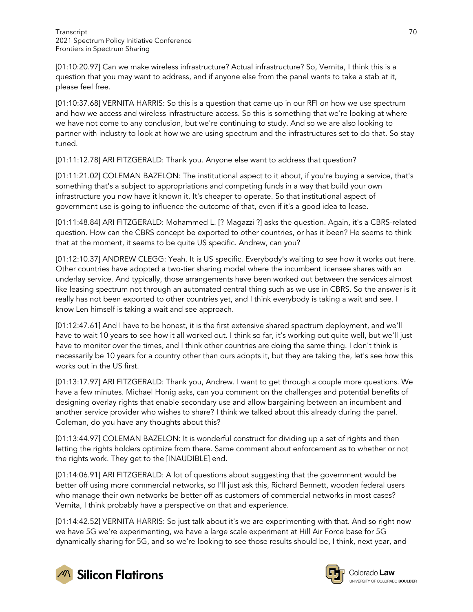[01:10:20.97] Can we make wireless infrastructure? Actual infrastructure? So, Vernita, I think this is a question that you may want to address, and if anyone else from the panel wants to take a stab at it, please feel free.

[01:10:37.68] VERNITA HARRIS: So this is a question that came up in our RFI on how we use spectrum and how we access and wireless infrastructure access. So this is something that we're looking at where we have not come to any conclusion, but we're continuing to study. And so we are also looking to partner with industry to look at how we are using spectrum and the infrastructures set to do that. So stay tuned.

[01:11:12.78] ARI FITZGERALD: Thank you. Anyone else want to address that question?

[01:11:21.02] COLEMAN BAZELON: The institutional aspect to it about, if you're buying a service, that's something that's a subject to appropriations and competing funds in a way that build your own infrastructure you now have it known it. It's cheaper to operate. So that institutional aspect of government use is going to influence the outcome of that, even if it's a good idea to lease.

[01:11:48.84] ARI FITZGERALD: Mohammed L. [? Magazzi ?] asks the question. Again, it's a CBRS-related question. How can the CBRS concept be exported to other countries, or has it been? He seems to think that at the moment, it seems to be quite US specific. Andrew, can you?

[01:12:10.37] ANDREW CLEGG: Yeah. It is US specific. Everybody's waiting to see how it works out here. Other countries have adopted a two-tier sharing model where the incumbent licensee shares with an underlay service. And typically, those arrangements have been worked out between the services almost like leasing spectrum not through an automated central thing such as we use in CBRS. So the answer is it really has not been exported to other countries yet, and I think everybody is taking a wait and see. I know Len himself is taking a wait and see approach.

[01:12:47.61] And I have to be honest, it is the first extensive shared spectrum deployment, and we'll have to wait 10 years to see how it all worked out. I think so far, it's working out quite well, but we'll just have to monitor over the times, and I think other countries are doing the same thing. I don't think is necessarily be 10 years for a country other than ours adopts it, but they are taking the, let's see how this works out in the US first.

[01:13:17.97] ARI FITZGERALD: Thank you, Andrew. I want to get through a couple more questions. We have a few minutes. Michael Honig asks, can you comment on the challenges and potential benefits of designing overlay rights that enable secondary use and allow bargaining between an incumbent and another service provider who wishes to share? I think we talked about this already during the panel. Coleman, do you have any thoughts about this?

[01:13:44.97] COLEMAN BAZELON: It is wonderful construct for dividing up a set of rights and then letting the rights holders optimize from there. Same comment about enforcement as to whether or not the rights work. They get to the [INAUDIBLE] end.

[01:14:06.91] ARI FITZGERALD: A lot of questions about suggesting that the government would be better off using more commercial networks, so I'll just ask this, Richard Bennett, wooden federal users who manage their own networks be better off as customers of commercial networks in most cases? Vernita, I think probably have a perspective on that and experience.

[01:14:42.52] VERNITA HARRIS: So just talk about it's we are experimenting with that. And so right now we have 5G we're experimenting, we have a large scale experiment at Hill Air Force base for 5G dynamically sharing for 5G, and so we're looking to see those results should be, I think, next year, and



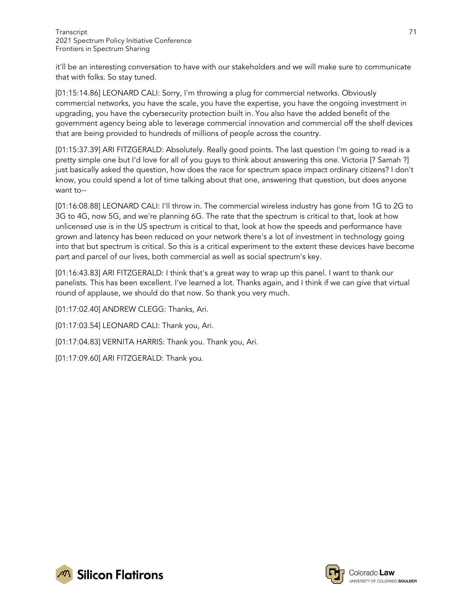it'll be an interesting conversation to have with our stakeholders and we will make sure to communicate that with folks. So stay tuned.

[01:15:14.86] LEONARD CALI: Sorry, I'm throwing a plug for commercial networks. Obviously commercial networks, you have the scale, you have the expertise, you have the ongoing investment in upgrading, you have the cybersecurity protection built in. You also have the added benefit of the government agency being able to leverage commercial innovation and commercial off the shelf devices that are being provided to hundreds of millions of people across the country.

[01:15:37.39] ARI FITZGERALD: Absolutely. Really good points. The last question I'm going to read is a pretty simple one but I'd love for all of you guys to think about answering this one. Victoria [? Samah ?] just basically asked the question, how does the race for spectrum space impact ordinary citizens? I don't know, you could spend a lot of time talking about that one, answering that question, but does anyone want to--

[01:16:08.88] LEONARD CALI: I'll throw in. The commercial wireless industry has gone from 1G to 2G to 3G to 4G, now 5G, and we're planning 6G. The rate that the spectrum is critical to that, look at how unlicensed use is in the US spectrum is critical to that, look at how the speeds and performance have grown and latency has been reduced on your network there's a lot of investment in technology going into that but spectrum is critical. So this is a critical experiment to the extent these devices have become part and parcel of our lives, both commercial as well as social spectrum's key.

[01:16:43.83] ARI FITZGERALD: I think that's a great way to wrap up this panel. I want to thank our panelists. This has been excellent. I've learned a lot. Thanks again, and I think if we can give that virtual round of applause, we should do that now. So thank you very much.

[01:17:02.40] ANDREW CLEGG: Thanks, Ari.

[01:17:03.54] LEONARD CALI: Thank you, Ari.

[01:17:04.83] VERNITA HARRIS: Thank you. Thank you, Ari.

[01:17:09.60] ARI FITZGERALD: Thank you.

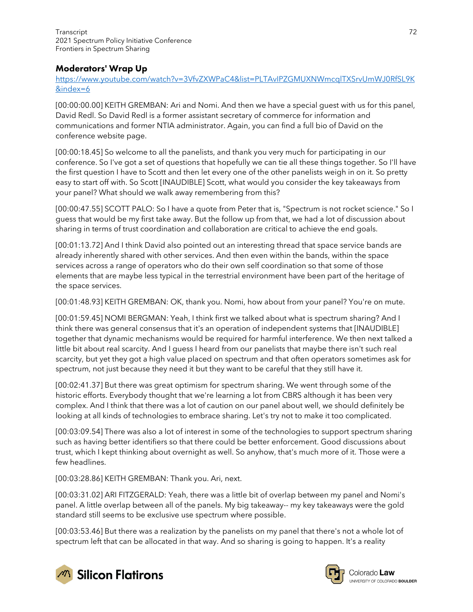# Moderators' Wrap Up

[https://www.youtube.com/watch?v=3VfvZXWPaC4&list=PLTAvIPZGMUXNWmcqlTXSrvUmWJ0RfSL9K](https://www.youtube.com/watch?v=3VfvZXWPaC4&list=PLTAvIPZGMUXNWmcqlTXSrvUmWJ0RfSL9K&index=6) [&index=6](https://www.youtube.com/watch?v=3VfvZXWPaC4&list=PLTAvIPZGMUXNWmcqlTXSrvUmWJ0RfSL9K&index=6)

[00:00:00.00] KEITH GREMBAN: Ari and Nomi. And then we have a special guest with us for this panel, David Redl. So David Redl is a former assistant secretary of commerce for information and communications and former NTIA administrator. Again, you can find a full bio of David on the conference website page.

[00:00:18.45] So welcome to all the panelists, and thank you very much for participating in our conference. So I've got a set of questions that hopefully we can tie all these things together. So I'll have the first question I have to Scott and then let every one of the other panelists weigh in on it. So pretty easy to start off with. So Scott [INAUDIBLE] Scott, what would you consider the key takeaways from your panel? What should we walk away remembering from this?

[00:00:47.55] SCOTT PALO: So I have a quote from Peter that is, "Spectrum is not rocket science." So I guess that would be my first take away. But the follow up from that, we had a lot of discussion about sharing in terms of trust coordination and collaboration are critical to achieve the end goals.

[00:01:13.72] And I think David also pointed out an interesting thread that space service bands are already inherently shared with other services. And then even within the bands, within the space services across a range of operators who do their own self coordination so that some of those elements that are maybe less typical in the terrestrial environment have been part of the heritage of the space services.

[00:01:48.93] KEITH GREMBAN: OK, thank you. Nomi, how about from your panel? You're on mute.

[00:01:59.45] NOMI BERGMAN: Yeah, I think first we talked about what is spectrum sharing? And I think there was general consensus that it's an operation of independent systems that [INAUDIBLE] together that dynamic mechanisms would be required for harmful interference. We then next talked a little bit about real scarcity. And I guess I heard from our panelists that maybe there isn't such real scarcity, but yet they got a high value placed on spectrum and that often operators sometimes ask for spectrum, not just because they need it but they want to be careful that they still have it.

[00:02:41.37] But there was great optimism for spectrum sharing. We went through some of the historic efforts. Everybody thought that we're learning a lot from CBRS although it has been very complex. And I think that there was a lot of caution on our panel about well, we should definitely be looking at all kinds of technologies to embrace sharing. Let's try not to make it too complicated.

[00:03:09.54] There was also a lot of interest in some of the technologies to support spectrum sharing such as having better identifiers so that there could be better enforcement. Good discussions about trust, which I kept thinking about overnight as well. So anyhow, that's much more of it. Those were a few headlines.

[00:03:28.86] KEITH GREMBAN: Thank you. Ari, next.

[00:03:31.02] ARI FITZGERALD: Yeah, there was a little bit of overlap between my panel and Nomi's panel. A little overlap between all of the panels. My big takeaway-- my key takeaways were the gold standard still seems to be exclusive use spectrum where possible.

[00:03:53.46] But there was a realization by the panelists on my panel that there's not a whole lot of spectrum left that can be allocated in that way. And so sharing is going to happen. It's a reality



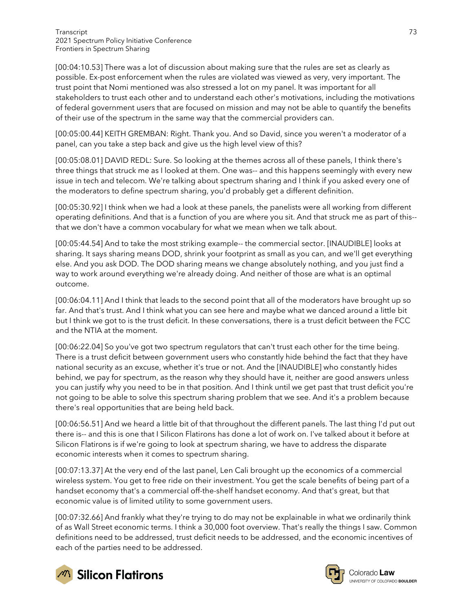[00:04:10.53] There was a lot of discussion about making sure that the rules are set as clearly as possible. Ex-post enforcement when the rules are violated was viewed as very, very important. The trust point that Nomi mentioned was also stressed a lot on my panel. It was important for all stakeholders to trust each other and to understand each other's motivations, including the motivations of federal government users that are focused on mission and may not be able to quantify the benefits of their use of the spectrum in the same way that the commercial providers can.

[00:05:00.44] KEITH GREMBAN: Right. Thank you. And so David, since you weren't a moderator of a panel, can you take a step back and give us the high level view of this?

[00:05:08.01] DAVID REDL: Sure. So looking at the themes across all of these panels, I think there's three things that struck me as I looked at them. One was-- and this happens seemingly with every new issue in tech and telecom. We're talking about spectrum sharing and I think if you asked every one of the moderators to define spectrum sharing, you'd probably get a different definition.

[00:05:30.92] I think when we had a look at these panels, the panelists were all working from different operating definitions. And that is a function of you are where you sit. And that struck me as part of this- that we don't have a common vocabulary for what we mean when we talk about.

[00:05:44.54] And to take the most striking example-- the commercial sector. [INAUDIBLE] looks at sharing. It says sharing means DOD, shrink your footprint as small as you can, and we'll get everything else. And you ask DOD. The DOD sharing means we change absolutely nothing, and you just find a way to work around everything we're already doing. And neither of those are what is an optimal outcome.

[00:06:04.11] And I think that leads to the second point that all of the moderators have brought up so far. And that's trust. And I think what you can see here and maybe what we danced around a little bit but I think we got to is the trust deficit. In these conversations, there is a trust deficit between the FCC and the NTIA at the moment.

[00:06:22.04] So you've got two spectrum regulators that can't trust each other for the time being. There is a trust deficit between government users who constantly hide behind the fact that they have national security as an excuse, whether it's true or not. And the [INAUDIBLE] who constantly hides behind, we pay for spectrum, as the reason why they should have it, neither are good answers unless you can justify why you need to be in that position. And I think until we get past that trust deficit you're not going to be able to solve this spectrum sharing problem that we see. And it's a problem because there's real opportunities that are being held back.

[00:06:56.51] And we heard a little bit of that throughout the different panels. The last thing I'd put out there is-- and this is one that I Silicon Flatirons has done a lot of work on. I've talked about it before at Silicon Flatirons is if we're going to look at spectrum sharing, we have to address the disparate economic interests when it comes to spectrum sharing.

[00:07:13.37] At the very end of the last panel, Len Cali brought up the economics of a commercial wireless system. You get to free ride on their investment. You get the scale benefits of being part of a handset economy that's a commercial off-the-shelf handset economy. And that's great, but that economic value is of limited utility to some government users.

[00:07:32.66] And frankly what they're trying to do may not be explainable in what we ordinarily think of as Wall Street economic terms. I think a 30,000 foot overview. That's really the things I saw. Common definitions need to be addressed, trust deficit needs to be addressed, and the economic incentives of each of the parties need to be addressed.



**M** Silicon Flatirons

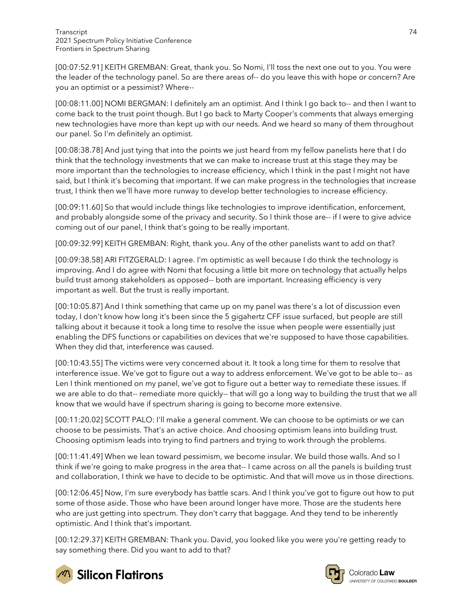[00:07:52.91] KEITH GREMBAN: Great, thank you. So Nomi, I'll toss the next one out to you. You were the leader of the technology panel. So are there areas of-- do you leave this with hope or concern? Are you an optimist or a pessimist? Where--

[00:08:11.00] NOMI BERGMAN: I definitely am an optimist. And I think I go back to-- and then I want to come back to the trust point though. But I go back to Marty Cooper's comments that always emerging new technologies have more than kept up with our needs. And we heard so many of them throughout our panel. So I'm definitely an optimist.

[00:08:38.78] And just tying that into the points we just heard from my fellow panelists here that I do think that the technology investments that we can make to increase trust at this stage they may be more important than the technologies to increase efficiency, which I think in the past I might not have said, but I think it's becoming that important. If we can make progress in the technologies that increase trust, I think then we'll have more runway to develop better technologies to increase efficiency.

[00:09:11.60] So that would include things like technologies to improve identification, enforcement, and probably alongside some of the privacy and security. So I think those are-- if I were to give advice coming out of our panel, I think that's going to be really important.

[00:09:32.99] KEITH GREMBAN: Right, thank you. Any of the other panelists want to add on that?

[00:09:38.58] ARI FITZGERALD: I agree. I'm optimistic as well because I do think the technology is improving. And I do agree with Nomi that focusing a little bit more on technology that actually helps build trust among stakeholders as opposed-- both are important. Increasing efficiency is very important as well. But the trust is really important.

[00:10:05.87] And I think something that came up on my panel was there's a lot of discussion even today, I don't know how long it's been since the 5 gigahertz CFF issue surfaced, but people are still talking about it because it took a long time to resolve the issue when people were essentially just enabling the DFS functions or capabilities on devices that we're supposed to have those capabilities. When they did that, interference was caused.

[00:10:43.55] The victims were very concerned about it. It took a long time for them to resolve that interference issue. We've got to figure out a way to address enforcement. We've got to be able to-- as Len I think mentioned on my panel, we've got to figure out a better way to remediate these issues. If we are able to do that-- remediate more quickly-- that will go a long way to building the trust that we all know that we would have if spectrum sharing is going to become more extensive.

[00:11:20.02] SCOTT PALO: I'll make a general comment. We can choose to be optimists or we can choose to be pessimists. That's an active choice. And choosing optimism leans into building trust. Choosing optimism leads into trying to find partners and trying to work through the problems.

[00:11:41.49] When we lean toward pessimism, we become insular. We build those walls. And so I think if we're going to make progress in the area that-- I came across on all the panels is building trust and collaboration, I think we have to decide to be optimistic. And that will move us in those directions.

[00:12:06.45] Now, I'm sure everybody has battle scars. And I think you've got to figure out how to put some of those aside. Those who have been around longer have more. Those are the students here who are just getting into spectrum. They don't carry that baggage. And they tend to be inherently optimistic. And I think that's important.

[00:12:29.37] KEITH GREMBAN: Thank you. David, you looked like you were you're getting ready to say something there. Did you want to add to that?



**M** Silicon Flatirons



Colorado Law UNIVERSITY OF COLORADO BOULDER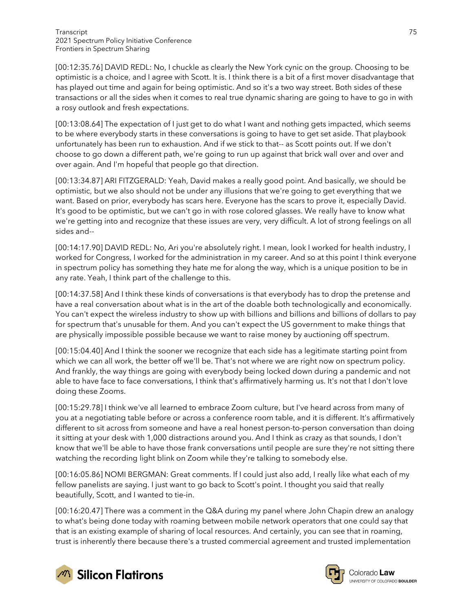[00:12:35.76] DAVID REDL: No, I chuckle as clearly the New York cynic on the group. Choosing to be optimistic is a choice, and I agree with Scott. It is. I think there is a bit of a first mover disadvantage that has played out time and again for being optimistic. And so it's a two way street. Both sides of these transactions or all the sides when it comes to real true dynamic sharing are going to have to go in with a rosy outlook and fresh expectations.

[00:13:08.64] The expectation of I just get to do what I want and nothing gets impacted, which seems to be where everybody starts in these conversations is going to have to get set aside. That playbook unfortunately has been run to exhaustion. And if we stick to that-- as Scott points out. If we don't choose to go down a different path, we're going to run up against that brick wall over and over and over again. And I'm hopeful that people go that direction.

[00:13:34.87] ARI FITZGERALD: Yeah, David makes a really good point. And basically, we should be optimistic, but we also should not be under any illusions that we're going to get everything that we want. Based on prior, everybody has scars here. Everyone has the scars to prove it, especially David. It's good to be optimistic, but we can't go in with rose colored glasses. We really have to know what we're getting into and recognize that these issues are very, very difficult. A lot of strong feelings on all sides and--

[00:14:17.90] DAVID REDL: No, Ari you're absolutely right. I mean, look I worked for health industry, I worked for Congress, I worked for the administration in my career. And so at this point I think everyone in spectrum policy has something they hate me for along the way, which is a unique position to be in any rate. Yeah, I think part of the challenge to this.

[00:14:37.58] And I think these kinds of conversations is that everybody has to drop the pretense and have a real conversation about what is in the art of the doable both technologically and economically. You can't expect the wireless industry to show up with billions and billions and billions of dollars to pay for spectrum that's unusable for them. And you can't expect the US government to make things that are physically impossible possible because we want to raise money by auctioning off spectrum.

[00:15:04.40] And I think the sooner we recognize that each side has a legitimate starting point from which we can all work, the better off we'll be. That's not where we are right now on spectrum policy. And frankly, the way things are going with everybody being locked down during a pandemic and not able to have face to face conversations, I think that's affirmatively harming us. It's not that I don't love doing these Zooms.

[00:15:29.78] I think we've all learned to embrace Zoom culture, but I've heard across from many of you at a negotiating table before or across a conference room table, and it is different. It's affirmatively different to sit across from someone and have a real honest person-to-person conversation than doing it sitting at your desk with 1,000 distractions around you. And I think as crazy as that sounds, I don't know that we'll be able to have those frank conversations until people are sure they're not sitting there watching the recording light blink on Zoom while they're talking to somebody else.

[00:16:05.86] NOMI BERGMAN: Great comments. If I could just also add, I really like what each of my fellow panelists are saying. I just want to go back to Scott's point. I thought you said that really beautifully, Scott, and I wanted to tie-in.

[00:16:20.47] There was a comment in the Q&A during my panel where John Chapin drew an analogy to what's being done today with roaming between mobile network operators that one could say that that is an existing example of sharing of local resources. And certainly, you can see that in roaming, trust is inherently there because there's a trusted commercial agreement and trusted implementation



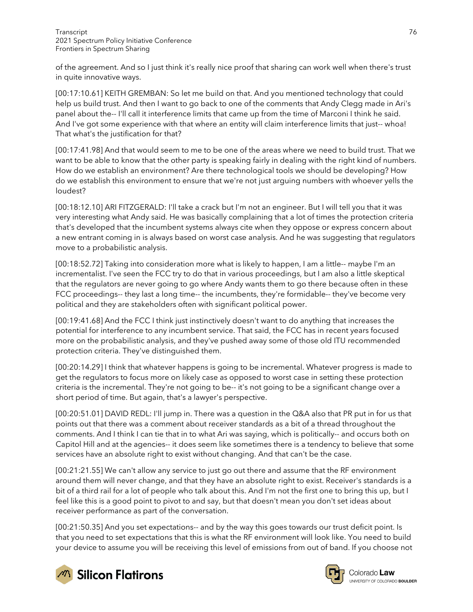of the agreement. And so I just think it's really nice proof that sharing can work well when there's trust in quite innovative ways.

[00:17:10.61] KEITH GREMBAN: So let me build on that. And you mentioned technology that could help us build trust. And then I want to go back to one of the comments that Andy Clegg made in Ari's panel about the-- I'll call it interference limits that came up from the time of Marconi I think he said. And I've got some experience with that where an entity will claim interference limits that just-- whoa! That what's the justification for that?

[00:17:41.98] And that would seem to me to be one of the areas where we need to build trust. That we want to be able to know that the other party is speaking fairly in dealing with the right kind of numbers. How do we establish an environment? Are there technological tools we should be developing? How do we establish this environment to ensure that we're not just arguing numbers with whoever yells the loudest?

[00:18:12.10] ARI FITZGERALD: I'll take a crack but I'm not an engineer. But I will tell you that it was very interesting what Andy said. He was basically complaining that a lot of times the protection criteria that's developed that the incumbent systems always cite when they oppose or express concern about a new entrant coming in is always based on worst case analysis. And he was suggesting that regulators move to a probabilistic analysis.

[00:18:52.72] Taking into consideration more what is likely to happen, I am a little-- maybe I'm an incrementalist. I've seen the FCC try to do that in various proceedings, but I am also a little skeptical that the regulators are never going to go where Andy wants them to go there because often in these FCC proceedings-- they last a long time-- the incumbents, they're formidable-- they've become very political and they are stakeholders often with significant political power.

[00:19:41.68] And the FCC I think just instinctively doesn't want to do anything that increases the potential for interference to any incumbent service. That said, the FCC has in recent years focused more on the probabilistic analysis, and they've pushed away some of those old ITU recommended protection criteria. They've distinguished them.

[00:20:14.29] I think that whatever happens is going to be incremental. Whatever progress is made to get the regulators to focus more on likely case as opposed to worst case in setting these protection criteria is the incremental. They're not going to be-- it's not going to be a significant change over a short period of time. But again, that's a lawyer's perspective.

[00:20:51.01] DAVID REDL: I'll jump in. There was a question in the Q&A also that PR put in for us that points out that there was a comment about receiver standards as a bit of a thread throughout the comments. And I think I can tie that in to what Ari was saying, which is politically-- and occurs both on Capitol Hill and at the agencies-- it does seem like sometimes there is a tendency to believe that some services have an absolute right to exist without changing. And that can't be the case.

[00:21:21.55] We can't allow any service to just go out there and assume that the RF environment around them will never change, and that they have an absolute right to exist. Receiver's standards is a bit of a third rail for a lot of people who talk about this. And I'm not the first one to bring this up, but I feel like this is a good point to pivot to and say, but that doesn't mean you don't set ideas about receiver performance as part of the conversation.

[00:21:50.35] And you set expectations-- and by the way this goes towards our trust deficit point. Is that you need to set expectations that this is what the RF environment will look like. You need to build your device to assume you will be receiving this level of emissions from out of band. If you choose not



**Silicon Flatirons** 



Colorado Law **UNIVERSITY OF COLOBADO BOULDER**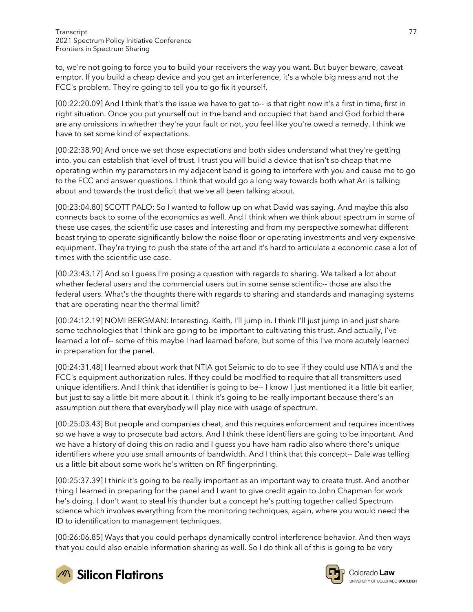to, we're not going to force you to build your receivers the way you want. But buyer beware, caveat emptor. If you build a cheap device and you get an interference, it's a whole big mess and not the FCC's problem. They're going to tell you to go fix it yourself.

[00:22:20.09] And I think that's the issue we have to get to-- is that right now it's a first in time, first in right situation. Once you put yourself out in the band and occupied that band and God forbid there are any omissions in whether they're your fault or not, you feel like you're owed a remedy. I think we have to set some kind of expectations.

[00:22:38.90] And once we set those expectations and both sides understand what they're getting into, you can establish that level of trust. I trust you will build a device that isn't so cheap that me operating within my parameters in my adjacent band is going to interfere with you and cause me to go to the FCC and answer questions. I think that would go a long way towards both what Ari is talking about and towards the trust deficit that we've all been talking about.

[00:23:04.80] SCOTT PALO: So I wanted to follow up on what David was saying. And maybe this also connects back to some of the economics as well. And I think when we think about spectrum in some of these use cases, the scientific use cases and interesting and from my perspective somewhat different beast trying to operate significantly below the noise floor or operating investments and very expensive equipment. They're trying to push the state of the art and it's hard to articulate a economic case a lot of times with the scientific use case.

[00:23:43.17] And so I guess I'm posing a question with regards to sharing. We talked a lot about whether federal users and the commercial users but in some sense scientific-- those are also the federal users. What's the thoughts there with regards to sharing and standards and managing systems that are operating near the thermal limit?

[00:24:12.19] NOMI BERGMAN: Interesting. Keith, I'll jump in. I think I'll just jump in and just share some technologies that I think are going to be important to cultivating this trust. And actually, I've learned a lot of-- some of this maybe I had learned before, but some of this I've more acutely learned in preparation for the panel.

[00:24:31.48] I learned about work that NTIA got Seismic to do to see if they could use NTIA's and the FCC's equipment authorization rules. If they could be modified to require that all transmitters used unique identifiers. And I think that identifier is going to be-- I know I just mentioned it a little bit earlier, but just to say a little bit more about it. I think it's going to be really important because there's an assumption out there that everybody will play nice with usage of spectrum.

[00:25:03.43] But people and companies cheat, and this requires enforcement and requires incentives so we have a way to prosecute bad actors. And I think these identifiers are going to be important. And we have a history of doing this on radio and I guess you have ham radio also where there's unique identifiers where you use small amounts of bandwidth. And I think that this concept-- Dale was telling us a little bit about some work he's written on RF fingerprinting.

[00:25:37.39] I think it's going to be really important as an important way to create trust. And another thing I learned in preparing for the panel and I want to give credit again to John Chapman for work he's doing. I don't want to steal his thunder but a concept he's putting together called Spectrum science which involves everything from the monitoring techniques, again, where you would need the ID to identification to management techniques.

[00:26:06.85] Ways that you could perhaps dynamically control interference behavior. And then ways that you could also enable information sharing as well. So I do think all of this is going to be very



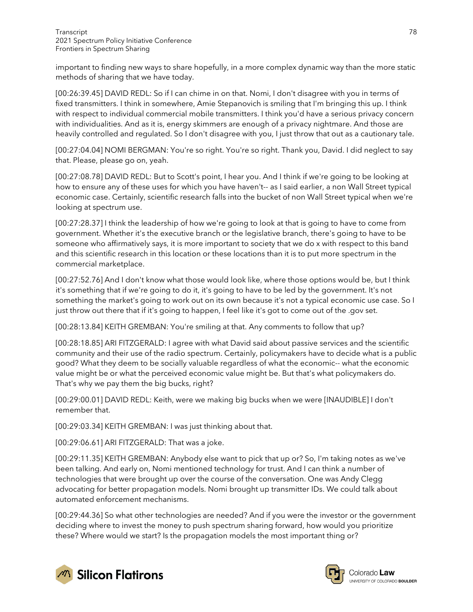important to finding new ways to share hopefully, in a more complex dynamic way than the more static methods of sharing that we have today.

[00:26:39.45] DAVID REDL: So if I can chime in on that. Nomi, I don't disagree with you in terms of fixed transmitters. I think in somewhere, Amie Stepanovich is smiling that I'm bringing this up. I think with respect to individual commercial mobile transmitters. I think you'd have a serious privacy concern with individualities. And as it is, energy skimmers are enough of a privacy nightmare. And those are heavily controlled and regulated. So I don't disagree with you, I just throw that out as a cautionary tale.

[00:27:04.04] NOMI BERGMAN: You're so right. You're so right. Thank you, David. I did neglect to say that. Please, please go on, yeah.

[00:27:08.78] DAVID REDL: But to Scott's point, I hear you. And I think if we're going to be looking at how to ensure any of these uses for which you have haven't-- as I said earlier, a non Wall Street typical economic case. Certainly, scientific research falls into the bucket of non Wall Street typical when we're looking at spectrum use.

[00:27:28.37] I think the leadership of how we're going to look at that is going to have to come from government. Whether it's the executive branch or the legislative branch, there's going to have to be someone who affirmatively says, it is more important to society that we do x with respect to this band and this scientific research in this location or these locations than it is to put more spectrum in the commercial marketplace.

[00:27:52.76] And I don't know what those would look like, where those options would be, but I think it's something that if we're going to do it, it's going to have to be led by the government. It's not something the market's going to work out on its own because it's not a typical economic use case. So I just throw out there that if it's going to happen, I feel like it's got to come out of the .gov set.

[00:28:13.84] KEITH GREMBAN: You're smiling at that. Any comments to follow that up?

[00:28:18.85] ARI FITZGERALD: I agree with what David said about passive services and the scientific community and their use of the radio spectrum. Certainly, policymakers have to decide what is a public good? What they deem to be socially valuable regardless of what the economic-- what the economic value might be or what the perceived economic value might be. But that's what policymakers do. That's why we pay them the big bucks, right?

[00:29:00.01] DAVID REDL: Keith, were we making big bucks when we were [INAUDIBLE] I don't remember that.

[00:29:03.34] KEITH GREMBAN: I was just thinking about that.

[00:29:06.61] ARI FITZGERALD: That was a joke.

[00:29:11.35] KEITH GREMBAN: Anybody else want to pick that up or? So, I'm taking notes as we've been talking. And early on, Nomi mentioned technology for trust. And I can think a number of technologies that were brought up over the course of the conversation. One was Andy Clegg advocating for better propagation models. Nomi brought up transmitter IDs. We could talk about automated enforcement mechanisms.

[00:29:44.36] So what other technologies are needed? And if you were the investor or the government deciding where to invest the money to push spectrum sharing forward, how would you prioritize these? Where would we start? Is the propagation models the most important thing or?



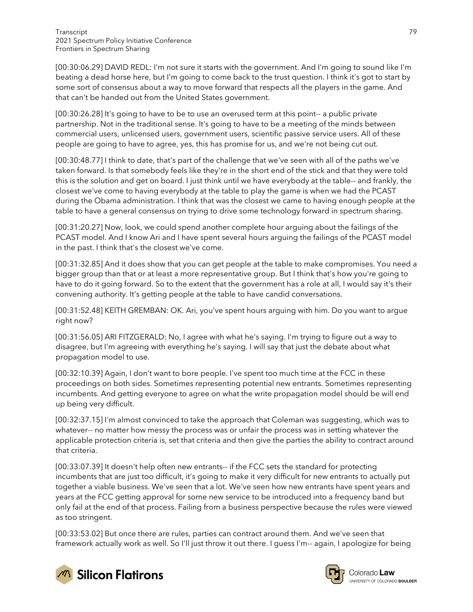[00:30:06.29] DAVID REDL: I'm not sure it starts with the government. And I'm going to sound like I'm beating a dead horse here, but I'm going to come back to the trust question. I think it's got to start by some sort of consensus about a way to move forward that respects all the players in the game. And that can't be handed out from the United States government.

[00:30:26.28] It's going to have to be to use an overused term at this point-- a public private partnership. Not in the traditional sense. It's going to have to be a meeting of the minds between commercial users, unlicensed users, government users, scientific passive service users. All of these people are going to have to agree, yes, this has promise for us, and we're not being cut out.

[00:30:48.77] I think to date, that's part of the challenge that we've seen with all of the paths we've taken forward. Is that somebody feels like they're in the short end of the stick and that they were told this is the solution and get on board. I just think until we have everybody at the table-- and frankly, the closest we've come to having everybody at the table to play the game is when we had the PCAST during the Obama administration. I think that was the closest we came to having enough people at the table to have a general consensus on trying to drive some technology forward in spectrum sharing.

[00:31:20.27] Now, look, we could spend another complete hour arguing about the failings of the PCAST model. And I know Ari and I have spent several hours arguing the failings of the PCAST model in the past. I think that's the closest we've come.

[00:31:32.85] And it does show that you can get people at the table to make compromises. You need a bigger group than that or at least a more representative group. But I think that's how you're going to have to do it going forward. So to the extent that the government has a role at all, I would say it's their convening authority. It's getting people at the table to have candid conversations.

[00:31:52.48] KEITH GREMBAN: OK. Ari, you've spent hours arguing with him. Do you want to argue right now?

[00:31:56.05] ARI FITZGERALD: No, I agree with what he's saying. I'm trying to figure out a way to disagree, but I'm agreeing with everything he's saying. I will say that just the debate about what propagation model to use.

[00:32:10.39] Again, I don't want to bore people. I've spent too much time at the FCC in these proceedings on both sides. Sometimes representing potential new entrants. Sometimes representing incumbents. And getting everyone to agree on what the write propagation model should be will end up being very difficult.

[00:32:37.15] I'm almost convinced to take the approach that Coleman was suggesting, which was to whatever-- no matter how messy the process was or unfair the process was in setting whatever the applicable protection criteria is, set that criteria and then give the parties the ability to contract around that criteria.

[00:33:07.39] It doesn't help often new entrants-- if the FCC sets the standard for protecting incumbents that are just too difficult, it's going to make it very difficult for new entrants to actually put together a viable business. We've seen that a lot. We've seen how new entrants have spent years and years at the FCC getting approval for some new service to be introduced into a frequency band but only fail at the end of that process. Failing from a business perspective because the rules were viewed as too stringent.

[00:33:53.02] But once there are rules, parties can contract around them. And we've seen that framework actually work as well. So I'll just throw it out there. I guess I'm-- again, I apologize for being



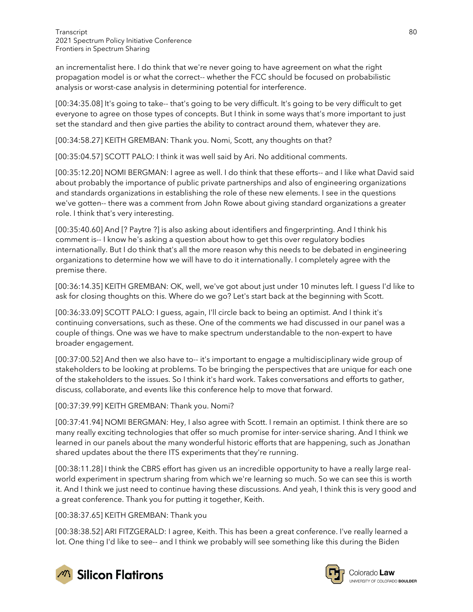an incrementalist here. I do think that we're never going to have agreement on what the right propagation model is or what the correct-- whether the FCC should be focused on probabilistic analysis or worst-case analysis in determining potential for interference.

[00:34:35.08] It's going to take-- that's going to be very difficult. It's going to be very difficult to get everyone to agree on those types of concepts. But I think in some ways that's more important to just set the standard and then give parties the ability to contract around them, whatever they are.

[00:34:58.27] KEITH GREMBAN: Thank you. Nomi, Scott, any thoughts on that?

[00:35:04.57] SCOTT PALO: I think it was well said by Ari. No additional comments.

[00:35:12.20] NOMI BERGMAN: I agree as well. I do think that these efforts-- and I like what David said about probably the importance of public private partnerships and also of engineering organizations and standards organizations in establishing the role of these new elements. I see in the questions we've gotten-- there was a comment from John Rowe about giving standard organizations a greater role. I think that's very interesting.

[00:35:40.60] And [? Paytre ?] is also asking about identifiers and fingerprinting. And I think his comment is-- I know he's asking a question about how to get this over regulatory bodies internationally. But I do think that's all the more reason why this needs to be debated in engineering organizations to determine how we will have to do it internationally. I completely agree with the premise there.

[00:36:14.35] KEITH GREMBAN: OK, well, we've got about just under 10 minutes left. I guess I'd like to ask for closing thoughts on this. Where do we go? Let's start back at the beginning with Scott.

[00:36:33.09] SCOTT PALO: I guess, again, I'll circle back to being an optimist. And I think it's continuing conversations, such as these. One of the comments we had discussed in our panel was a couple of things. One was we have to make spectrum understandable to the non-expert to have broader engagement.

[00:37:00.52] And then we also have to-- it's important to engage a multidisciplinary wide group of stakeholders to be looking at problems. To be bringing the perspectives that are unique for each one of the stakeholders to the issues. So I think it's hard work. Takes conversations and efforts to gather, discuss, collaborate, and events like this conference help to move that forward.

[00:37:39.99] KEITH GREMBAN: Thank you. Nomi?

[00:37:41.94] NOMI BERGMAN: Hey, I also agree with Scott. I remain an optimist. I think there are so many really exciting technologies that offer so much promise for inter-service sharing. And I think we learned in our panels about the many wonderful historic efforts that are happening, such as Jonathan shared updates about the there ITS experiments that they're running.

[00:38:11.28] I think the CBRS effort has given us an incredible opportunity to have a really large realworld experiment in spectrum sharing from which we're learning so much. So we can see this is worth it. And I think we just need to continue having these discussions. And yeah, I think this is very good and a great conference. Thank you for putting it together, Keith.

[00:38:37.65] KEITH GREMBAN: Thank you

[00:38:38.52] ARI FITZGERALD: I agree, Keith. This has been a great conference. I've really learned a lot. One thing I'd like to see-- and I think we probably will see something like this during the Biden



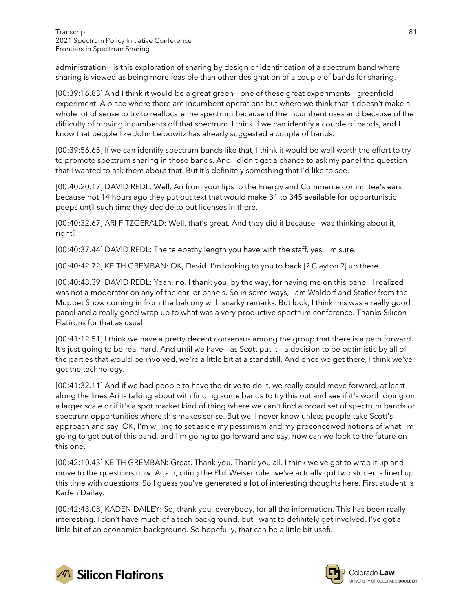administration-- is this exploration of sharing by design or identification of a spectrum band where sharing is viewed as being more feasible than other designation of a couple of bands for sharing.

[00:39:16.83] And I think it would be a great green-- one of these great experiments-- greenfield experiment. A place where there are incumbent operations but where we think that it doesn't make a whole lot of sense to try to reallocate the spectrum because of the incumbent uses and because of the difficulty of moving incumbents off that spectrum. I think if we can identify a couple of bands, and I know that people like John Leibowitz has already suggested a couple of bands.

[00:39:56.65] If we can identify spectrum bands like that, I think it would be well worth the effort to try to promote spectrum sharing in those bands. And I didn't get a chance to ask my panel the question that I wanted to ask them about that. But it's definitely something that I'd like to see.

[00:40:20.17] DAVID REDL: Well, Ari from your lips to the Energy and Commerce committee's ears because not 14 hours ago they put out text that would make 31 to 345 available for opportunistic peeps until such time they decide to put licenses in there.

[00:40:32.67] ARI FITZGERALD: Well, that's great. And they did it because I was thinking about it, right?

[00:40:37.44] DAVID REDL: The telepathy length you have with the staff, yes. I'm sure.

[00:40:42.72] KEITH GREMBAN: OK, David. I'm looking to you to back [? Clayton ?] up there.

[00:40:48.39] DAVID REDL: Yeah, no. I thank you, by the way, for having me on this panel. I realized I was not a moderator on any of the earlier panels. So in some ways, I am Waldorf and Statler from the Muppet Show coming in from the balcony with snarky remarks. But look, I think this was a really good panel and a really good wrap up to what was a very productive spectrum conference. Thanks Silicon Flatirons for that as usual.

[00:41:12.51] I think we have a pretty decent consensus among the group that there is a path forward. It's just going to be real hard. And until we have-- as Scott put it-- a decision to be optimistic by all of the parties that would be involved, we're a little bit at a standstill. And once we get there, I think we've got the technology.

[00:41:32.11] And if we had people to have the drive to do it, we really could move forward, at least along the lines Ari is talking about with finding some bands to try this out and see if it's worth doing on a larger scale or if it's a spot market kind of thing where we can't find a broad set of spectrum bands or spectrum opportunities where this makes sense. But we'll never know unless people take Scott's approach and say, OK, I'm willing to set aside my pessimism and my preconceived notions of what I'm going to get out of this band, and I'm going to go forward and say, how can we look to the future on this one.

[00:42:10.43] KEITH GREMBAN: Great. Thank you. Thank you all. I think we've got to wrap it up and move to the questions now. Again, citing the Phil Weiser rule, we've actually got two students lined up this time with questions. So I guess you've generated a lot of interesting thoughts here. First student is Kaden Dailey.

[00:42:43.08] KADEN DAILEY: So, thank you, everybody, for all the information. This has been really interesting. I don't have much of a tech background, but I want to definitely get involved. I've got a little bit of an economics background. So hopefully, that can be a little bit useful.



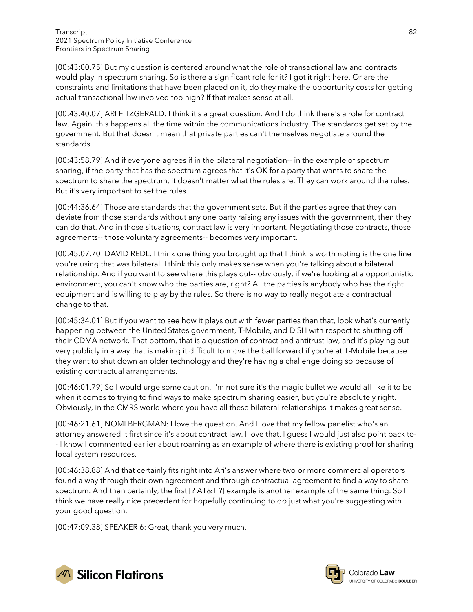[00:43:00.75] But my question is centered around what the role of transactional law and contracts would play in spectrum sharing. So is there a significant role for it? I got it right here. Or are the constraints and limitations that have been placed on it, do they make the opportunity costs for getting actual transactional law involved too high? If that makes sense at all.

[00:43:40.07] ARI FITZGERALD: I think it's a great question. And I do think there's a role for contract law. Again, this happens all the time within the communications industry. The standards get set by the government. But that doesn't mean that private parties can't themselves negotiate around the standards.

[00:43:58.79] And if everyone agrees if in the bilateral negotiation-- in the example of spectrum sharing, if the party that has the spectrum agrees that it's OK for a party that wants to share the spectrum to share the spectrum, it doesn't matter what the rules are. They can work around the rules. But it's very important to set the rules.

[00:44:36.64] Those are standards that the government sets. But if the parties agree that they can deviate from those standards without any one party raising any issues with the government, then they can do that. And in those situations, contract law is very important. Negotiating those contracts, those agreements-- those voluntary agreements-- becomes very important.

[00:45:07.70] DAVID REDL: I think one thing you brought up that I think is worth noting is the one line you're using that was bilateral. I think this only makes sense when you're talking about a bilateral relationship. And if you want to see where this plays out-- obviously, if we're looking at a opportunistic environment, you can't know who the parties are, right? All the parties is anybody who has the right equipment and is willing to play by the rules. So there is no way to really negotiate a contractual change to that.

[00:45:34.01] But if you want to see how it plays out with fewer parties than that, look what's currently happening between the United States government, T-Mobile, and DISH with respect to shutting off their CDMA network. That bottom, that is a question of contract and antitrust law, and it's playing out very publicly in a way that is making it difficult to move the ball forward if you're at T-Mobile because they want to shut down an older technology and they're having a challenge doing so because of existing contractual arrangements.

[00:46:01.79] So I would urge some caution. I'm not sure it's the magic bullet we would all like it to be when it comes to trying to find ways to make spectrum sharing easier, but you're absolutely right. Obviously, in the CMRS world where you have all these bilateral relationships it makes great sense.

[00:46:21.61] NOMI BERGMAN: I love the question. And I love that my fellow panelist who's an attorney answered it first since it's about contract law. I love that. I guess I would just also point back to- - I know I commented earlier about roaming as an example of where there is existing proof for sharing local system resources.

[00:46:38.88] And that certainly fits right into Ari's answer where two or more commercial operators found a way through their own agreement and through contractual agreement to find a way to share spectrum. And then certainly, the first [? AT&T ?] example is another example of the same thing. So I think we have really nice precedent for hopefully continuing to do just what you're suggesting with your good question.

[00:47:09.38] SPEAKER 6: Great, thank you very much.



Colorado **Law** UNIVERSITY OF COLORADO BOULDER

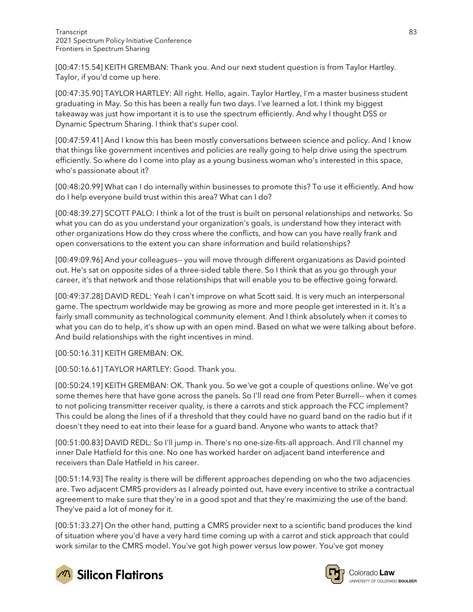[00:47:15.54] KEITH GREMBAN: Thank you. And our next student question is from Taylor Hartley. Taylor, if you'd come up here.

[00:47:35.90] TAYLOR HARTLEY: All right. Hello, again. Taylor Hartley, I'm a master business student graduating in May. So this has been a really fun two days. I've learned a lot. I think my biggest takeaway was just how important it is to use the spectrum efficiently. And why I thought DSS or Dynamic Spectrum Sharing. I think that's super cool.

[00:47:59.41] And I know this has been mostly conversations between science and policy. And I know that things like government incentives and policies are really going to help drive using the spectrum efficiently. So where do I come into play as a young business woman who's interested in this space, who's passionate about it?

[00:48:20.99] What can I do internally within businesses to promote this? To use it efficiently. And how do I help everyone build trust within this area? What can I do?

[00:48:39.27] SCOTT PALO: I think a lot of the trust is built on personal relationships and networks. So what you can do as you understand your organization's goals, is understand how they interact with other organizations How do they cross where the conflicts, and how can you have really frank and open conversations to the extent you can share information and build relationships?

[00:49:09.96] And your colleagues-- you will move through different organizations as David pointed out. He's sat on opposite sides of a three-sided table there. So I think that as you go through your career, it's that network and those relationships that will enable you to be effective going forward.

[00:49:37.28] DAVID REDL: Yeah I can't improve on what Scott said. It is very much an interpersonal game. The spectrum worldwide may be growing as more and more people get interested in it. It's a fairly small community as technological community element. And I think absolutely when it comes to what you can do to help, it's show up with an open mind. Based on what we were talking about before. And build relationships with the right incentives in mind.

[00:50:16.31] KEITH GREMBAN: OK.

[00:50:16.61] TAYLOR HARTLEY: Good. Thank you.

[00:50:24.19] KEITH GREMBAN: OK. Thank you. So we've got a couple of questions online. We've got some themes here that have gone across the panels. So I'll read one from Peter Burrell-- when it comes to not policing transmitter receiver quality, is there a carrots and stick approach the FCC implement? This could be along the lines of if a threshold that they could have no guard band on the radio but if it doesn't they need to eat into their lease for a guard band. Anyone who wants to attack that?

[00:51:00.83] DAVID REDL: So I'll jump in. There's no one-size-fits-all approach. And I'll channel my inner Dale Hatfield for this one. No one has worked harder on adjacent band interference and receivers than Dale Hatfield in his career.

[00:51:14.93] The reality is there will be different approaches depending on who the two adjacencies are. Two adjacent CMRS providers as I already pointed out, have every incentive to strike a contractual agreement to make sure that they're in a good spot and that they're maximizing the use of the band. They've paid a lot of money for it.

[00:51:33.27] On the other hand, putting a CMRS provider next to a scientific band produces the kind of situation where you'd have a very hard time coming up with a carrot and stick approach that could work similar to the CMRS model. You've got high power versus low power. You've got money





Colorado Law **UNIVERSITY OF COLOBADO BOULDER**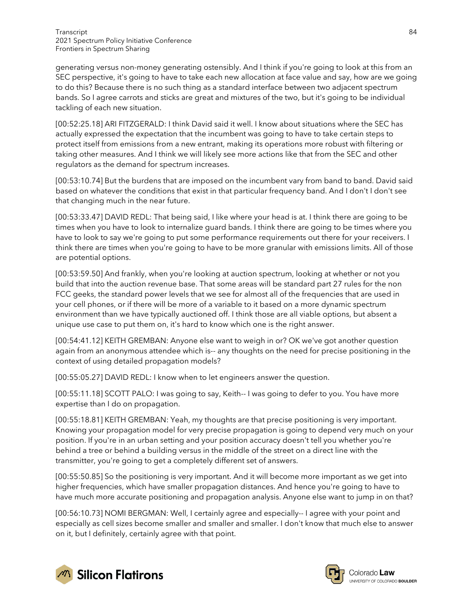generating versus non-money generating ostensibly. And I think if you're going to look at this from an SEC perspective, it's going to have to take each new allocation at face value and say, how are we going to do this? Because there is no such thing as a standard interface between two adjacent spectrum bands. So I agree carrots and sticks are great and mixtures of the two, but it's going to be individual tackling of each new situation.

[00:52:25.18] ARI FITZGERALD: I think David said it well. I know about situations where the SEC has actually expressed the expectation that the incumbent was going to have to take certain steps to protect itself from emissions from a new entrant, making its operations more robust with filtering or taking other measures. And I think we will likely see more actions like that from the SEC and other regulators as the demand for spectrum increases.

[00:53:10.74] But the burdens that are imposed on the incumbent vary from band to band. David said based on whatever the conditions that exist in that particular frequency band. And I don't I don't see that changing much in the near future.

[00:53:33.47] DAVID REDL: That being said, I like where your head is at. I think there are going to be times when you have to look to internalize guard bands. I think there are going to be times where you have to look to say we're going to put some performance requirements out there for your receivers. I think there are times when you're going to have to be more granular with emissions limits. All of those are potential options.

[00:53:59.50] And frankly, when you're looking at auction spectrum, looking at whether or not you build that into the auction revenue base. That some areas will be standard part 27 rules for the non FCC geeks, the standard power levels that we see for almost all of the frequencies that are used in your cell phones, or if there will be more of a variable to it based on a more dynamic spectrum environment than we have typically auctioned off. I think those are all viable options, but absent a unique use case to put them on, it's hard to know which one is the right answer.

[00:54:41.12] KEITH GREMBAN: Anyone else want to weigh in or? OK we've got another question again from an anonymous attendee which is-- any thoughts on the need for precise positioning in the context of using detailed propagation models?

[00:55:05.27] DAVID REDL: I know when to let engineers answer the question.

[00:55:11.18] SCOTT PALO: I was going to say, Keith-- I was going to defer to you. You have more expertise than I do on propagation.

[00:55:18.81] KEITH GREMBAN: Yeah, my thoughts are that precise positioning is very important. Knowing your propagation model for very precise propagation is going to depend very much on your position. If you're in an urban setting and your position accuracy doesn't tell you whether you're behind a tree or behind a building versus in the middle of the street on a direct line with the transmitter, you're going to get a completely different set of answers.

[00:55:50.85] So the positioning is very important. And it will become more important as we get into higher frequencies, which have smaller propagation distances. And hence you're going to have to have much more accurate positioning and propagation analysis. Anyone else want to jump in on that?

[00:56:10.73] NOMI BERGMAN: Well, I certainly agree and especially-- I agree with your point and especially as cell sizes become smaller and smaller and smaller. I don't know that much else to answer on it, but I definitely, certainly agree with that point.